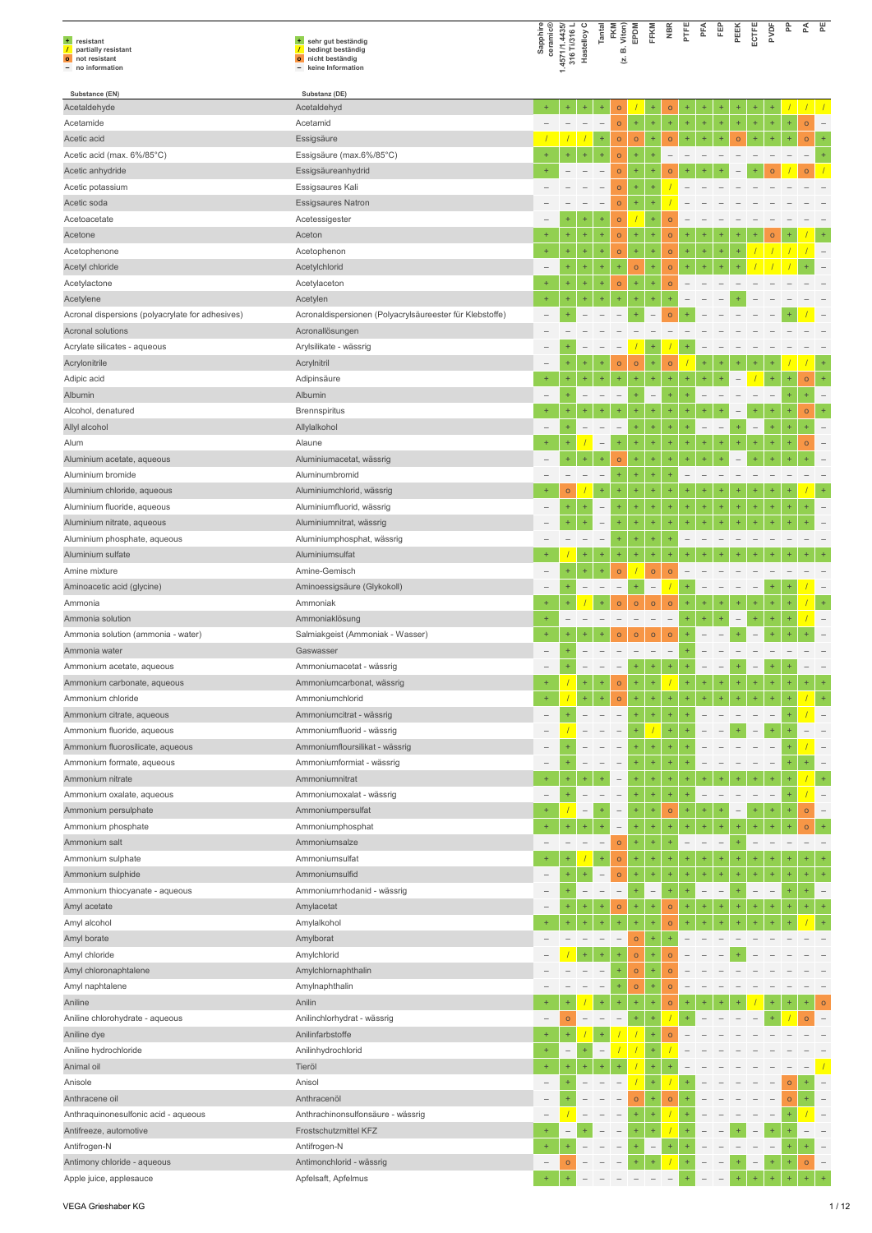| + resistant<br>partially resistant<br>$\sqrt{ }$<br>o not resistant<br>- no information | + sehr gut beständig<br>bedingt beständig<br>$\overline{1}$<br>o nicht beständig<br>keine Information | Sapphire<br>ceramic®          | 1.4571/1.4435/<br>316 Ti/316 L | Hastelloy C              | Tantal                   | <b>FKM</b><br>Viton)<br>ωó<br>Σj  | EPDM                   | FFKM                     | <b>NBR</b>         | PTFE      | PFA                      | Ê                        | PEEK                     | PVDF<br>ECTFE            | ድ                      | 쥰              | 뿐                        |
|-----------------------------------------------------------------------------------------|-------------------------------------------------------------------------------------------------------|-------------------------------|--------------------------------|--------------------------|--------------------------|-----------------------------------|------------------------|--------------------------|--------------------|-----------|--------------------------|--------------------------|--------------------------|--------------------------|------------------------|----------------|--------------------------|
| Substance (EN)                                                                          | Substanz (DE)                                                                                         |                               |                                |                          |                          |                                   |                        |                          |                    |           |                          |                          |                          |                          |                        |                |                          |
| Acetaldehyde                                                                            | Acetaldehyd                                                                                           | $+$                           | $\ddot{}$                      | ÷                        | $\ddot{}$                | $\circ$                           |                        | ÷                        | $\circ$            | $\ddot{}$ | $\ddot{}$                | ÷                        |                          | $\ddot{}$                |                        |                |                          |
| Acetamide                                                                               | Acetamid                                                                                              |                               |                                | $\overline{\phantom{a}}$ | $\overline{\phantom{a}}$ | $\circ$                           | $\ddot{}$              | ÷                        | Ŧ,                 | $\ddot{}$ | $\ddot{}$                | $\pm$                    | $\ddot{}$                | $\ddot{}$                | ÷<br>÷                 | $\circ$        |                          |
| Acetic acid                                                                             | Essigsäure                                                                                            |                               |                                |                          | $^{+}$                   | $\circ$                           | $\circ$                | $\ddot{}$                | $\circ$            | $\ddot{}$ | $\ddot{}$                | ÷                        | $\circ$                  | ÷<br>÷                   | ÷                      | $\circ$        |                          |
| Acetic acid (max. 6%/85°C)                                                              | Essigsäure (max.6%/85°C)                                                                              |                               |                                | $\ddot{}$                | $\ddot{}$                | $\circ$                           | $\ddot{}$              |                          |                    |           |                          |                          |                          |                          |                        |                |                          |
| Acetic anhydride                                                                        | Essigsäureanhydrid                                                                                    |                               |                                |                          |                          | $\circ$                           | $^{+}$                 | $\ddot{}$                | $\mathsf{o}$       |           |                          |                          |                          | $\circ$<br>$\ddot{}$     |                        | $\circ$        |                          |
| Acetic potassium                                                                        | Essigsaures Kali                                                                                      |                               |                                |                          |                          | $\circ$                           | $\ddot{}$              | $+$                      |                    |           |                          |                          |                          |                          |                        |                |                          |
| Acetic soda                                                                             | <b>Essigsaures Natron</b>                                                                             |                               |                                |                          |                          | $\circ$                           | $\ddot{}$              | $\ddot{}$                |                    |           |                          |                          |                          |                          |                        |                |                          |
| Acetoacetate                                                                            | Acetessigester                                                                                        | ÷                             | $+$<br>$+$                     | $\ddot{}$<br>$\ddot{}$   | $\ddot{}$<br>$\ddot{}$   | $\circ$                           |                        | ÷<br>$\ddot{}$           | $\overline{O}$     |           |                          |                          |                          |                          |                        |                |                          |
| Acetone<br>Acetophenone                                                                 | Aceton<br>Acetophenon                                                                                 | ÷                             | $\ddot{}$                      | $\ddot{}$                | $\ddot{}$                | $\overline{O}$<br>$\circ$         | $\ddot{}$<br>$\ddot{}$ | $\ddot{}$                | $\circ$<br>$\circ$ | $\ddot{}$ | $\ddot{}$                | ÷                        |                          |                          |                        |                |                          |
| Acetyl chloride                                                                         | Acetylchlorid                                                                                         | $\overline{\phantom{0}}$      | $\ddot{}$                      | ÷                        | ÷                        | ÷                                 | $\circ$                | $\ddot{}$                | $\circ$            |           |                          |                          |                          |                          |                        |                |                          |
| Acetylactone                                                                            | Acetylaceton                                                                                          | ÷                             | $\ddot{}$                      | $\ddot{}$                | $\ddot{}$                | $\circ$                           | $\ddot{}$              | $\ddot{}$                | $\circ$            |           |                          |                          |                          |                          |                        |                |                          |
| Acetylene                                                                               | Acetylen                                                                                              | $\ddot{}$                     |                                | $\ddot{}$                | ÷                        | 4                                 | $\ddot{}$              | $+$                      | ÷                  |           |                          |                          |                          |                          |                        |                |                          |
| Acronal dispersions (polyacrylate for adhesives)                                        | Acronaldispersionen (Polyacrylsäureester für Klebstoffe)                                              |                               |                                |                          |                          |                                   | $\ddot{}$              |                          | $\circ$            |           |                          |                          |                          |                          |                        |                |                          |
| Acronal solutions                                                                       | Acronallösungen                                                                                       |                               |                                |                          |                          |                                   |                        |                          |                    |           |                          |                          |                          |                          |                        |                |                          |
| Acrylate silicates - aqueous                                                            | Arylsilikate - wässrig                                                                                |                               |                                |                          |                          | $\overline{\phantom{a}}$          |                        | $+$                      |                    |           |                          |                          |                          |                          |                        |                |                          |
| Acrylonitrile                                                                           | Acrylnitril                                                                                           |                               |                                | $\ddot{}$                | ÷                        | $\circ$                           | $\circ$                | ÷                        | $\circ$            |           |                          |                          |                          |                          |                        |                |                          |
| Adipic acid                                                                             | Adipinsäure                                                                                           |                               |                                | ÷                        |                          | ÷                                 |                        | $\ddot{}$                | ÷                  |           |                          |                          | $\overline{\phantom{0}}$ |                          | $\ddot{}$              | $\circ$        |                          |
| Albumin                                                                                 | Albumin                                                                                               | ۳                             | $+$                            |                          |                          | $\overline{\phantom{0}}$          | $\ddot{}$              | $\overline{\phantom{a}}$ | $\ddot{}$          |           |                          |                          |                          |                          | $\ddot{}$              | $\ddot{}$      |                          |
| Alcohol, denatured                                                                      | <b>Brennspiritus</b>                                                                                  | ÷                             |                                |                          |                          | ÷                                 |                        | ÷                        | ÷                  |           |                          |                          |                          |                          |                        | $\circ$        | $\ddot{}$                |
| Allyl alcohol                                                                           | Allylalkohol                                                                                          |                               |                                |                          |                          |                                   | $\ddot{}$              | $\ddot{}$                | ÷                  |           |                          |                          |                          |                          | ÷<br>÷                 | $\ddot{}$      |                          |
| Alum                                                                                    | Alaune                                                                                                | $+$                           |                                |                          | $\overline{\phantom{0}}$ | $\ddot{}$                         | ÷                      | $\ddot{}$                | ÷                  |           | $+$                      |                          |                          |                          |                        | $\circ$        |                          |
| Aluminium acetate, aqueous                                                              | Aluminiumacetat, wässrig                                                                              |                               | $\ddot{}$                      | $\ddot{}$                | $\ddot{}$                | $\circ$                           | $\ddot{}$              | ÷                        | ÷                  |           | $+$                      | $\ddot{}$                |                          |                          |                        |                |                          |
| Aluminium bromide                                                                       | Aluminumbromid                                                                                        |                               |                                |                          |                          | $\ddot{}$                         | ÷                      | $\ddot{}$                | ÷                  |           |                          |                          |                          |                          |                        |                |                          |
| Aluminium chloride, aqueous                                                             | Aluminiumchlorid, wässrig                                                                             | $\ddot{}$                     | $\circ$                        |                          | ÷                        | ÷                                 | $\ddot{}$              | ÷                        | ÷                  |           |                          | $\ddot{}$                |                          | 4                        |                        |                |                          |
| Aluminium fluoride, aqueous                                                             | Aluminiumfluorid, wässrig                                                                             |                               | $\ddot{}$                      | $\ddot{}$                | $\qquad \qquad -$        | ÷                                 | $^{+}$                 | ÷                        | ÷                  | $\ddot{}$ | $\ddot{}$                | $\ddot{}$                | $\ddot{}$                | $\ddot{}$                | $\ddot{}$<br>$\ddot{}$ |                |                          |
| Aluminium nitrate, aqueous                                                              | Aluminiumnitrat, wässrig                                                                              |                               |                                | ÷                        | L                        | ÷                                 | $\ddot{}$              | $+$                      | $\ddot{}$          |           |                          |                          |                          |                          |                        |                |                          |
| Aluminium phosphate, aqueous                                                            | Aluminiumphosphat, wässrig                                                                            |                               |                                |                          | $\overline{\phantom{0}}$ | ÷                                 | $\ddot{}$              | $\ddot{}$                | ÷                  |           |                          |                          |                          |                          |                        |                |                          |
| Aluminium sulfate                                                                       | Aluminiumsulfat                                                                                       |                               |                                | ÷                        | Ŧ                        | ÷                                 | $\ddot{}$              | $\ddot{}$                |                    |           |                          |                          |                          |                          |                        |                |                          |
| Amine mixture                                                                           | Amine-Gemisch                                                                                         | $\overline{\phantom{0}}$      | $\ddot{}$                      | $\ddot{}$                | $\ddot{}$                | $\circ$                           |                        | $\circ$                  | $\circ$            |           |                          |                          |                          |                          |                        |                |                          |
| Aminoacetic acid (glycine)                                                              | Aminoessigsäure (Glykokoll)                                                                           |                               | $\ddot{}$                      |                          |                          | $\overline{\phantom{0}}$          | $\ddot{}$              | $\qquad \qquad -$        |                    | $\ddot{}$ |                          |                          |                          |                          |                        |                |                          |
| Ammonia                                                                                 | Ammoniak<br>Ammoniaklösung                                                                            | ÷<br>$+$                      |                                |                          |                          | $\circ$                           | $\circ$                | $\circ$                  | $\circ$            |           | ÷                        |                          |                          |                          |                        |                |                          |
| Ammonia solution<br>Ammonia solution (ammonia - water)                                  | Salmiakgeist (Ammoniak - Wasser)                                                                      | ÷                             |                                |                          |                          | $\circ$                           | $\circ$                | $\circ$                  | $\circ$            |           |                          |                          |                          |                          |                        |                |                          |
| Ammonia water                                                                           | Gaswasser                                                                                             |                               |                                |                          |                          |                                   |                        |                          |                    |           |                          |                          |                          |                          |                        |                |                          |
| Ammonium acetate, aqueous                                                               | Ammoniumacetat - wässrig                                                                              | $\overline{\phantom{0}}$      |                                | $\overline{\phantom{m}}$ | $\overline{\phantom{m}}$ | $\hspace{0.1mm}-\hspace{0.1mm}$   | $\pm$                  | $\pm$                    | ÷                  |           | $\qquad \qquad -$        | $\overline{\phantom{a}}$ | $\ddot{}$                | $\overline{\phantom{a}}$ | ÷,<br>÷                |                |                          |
| Ammonium carbonate, aqueous                                                             | Ammoniumcarbonat, wässrig                                                                             | $\ddot{}$                     |                                |                          |                          | $\circ$                           |                        |                          |                    |           |                          |                          |                          |                          |                        |                |                          |
| Ammonium chloride                                                                       | Ammoniumchlorid                                                                                       | ÷                             |                                |                          | $\ddot{}$                | $\circ$                           | $\ddot{}$              | ÷                        | ÷,                 |           |                          |                          |                          |                          |                        |                |                          |
| Ammonium citrate, aqueous                                                               | Ammoniumcitrat - wässrig                                                                              |                               |                                |                          |                          | $\overline{\phantom{a}}$          | $\ddot{}$              | $\ddot{}$                | ÷                  |           |                          |                          |                          |                          |                        |                |                          |
| Ammonium fluoride, aqueous                                                              | Ammoniumfluorid - wässrig                                                                             | $\overline{\phantom{0}}$      |                                |                          |                          | $\hspace{1.0cm} - \hspace{1.0cm}$ | $\ddot{}$              |                          | ÷                  |           |                          |                          | $\ddot{}$                | $\overline{\phantom{a}}$ | $\ddot{}$              |                |                          |
| Ammonium fluorosilicate, aqueous                                                        | Ammoniumfloursilikat - wässrig                                                                        |                               |                                |                          |                          | $\overline{\phantom{0}}$          | $\ddot{}$              | $\ddot{}$                | ÷                  |           |                          |                          |                          |                          |                        |                |                          |
| Ammonium formate, aqueous                                                               | Ammoniumformiat - wässrig                                                                             |                               |                                |                          |                          | $\qquad \qquad -$                 | $\ddot{}$              | ÷                        | ÷                  |           |                          |                          |                          |                          |                        |                |                          |
| Ammonium nitrate                                                                        | Ammoniumnitrat                                                                                        |                               |                                |                          |                          | $\overline{\phantom{0}}$          |                        | ÷                        | ÷                  |           |                          |                          |                          |                          |                        |                |                          |
| Ammonium oxalate, aqueous                                                               | Ammoniumoxalat - wässrig                                                                              |                               | $\ddot{}$                      |                          |                          | $\overline{\phantom{a}}$          | $\ddot{}$              | $\ddot{}$                | ÷,                 |           |                          |                          |                          |                          |                        |                |                          |
| Ammonium persulphate                                                                    | Ammoniumpersulfat                                                                                     | ÷                             |                                |                          |                          | $\overline{\phantom{0}}$          | ÷                      | ÷,                       | $\circ$            | $\ddot{}$ | ÷                        |                          |                          |                          |                        | $\circ$        |                          |
| Ammonium phosphate                                                                      | Ammoniumphosphat                                                                                      | ÷                             | $\ddot{}$                      | ÷                        |                          |                                   | ÷                      | $\ddot{}$                | ÷                  | $\ddot{}$ | $\ddot{}$                | ÷                        |                          |                          |                        | $\circ$        |                          |
| Ammonium salt                                                                           | Ammoniumsalze                                                                                         | $\overline{\phantom{0}}$      |                                |                          | $\overline{\phantom{0}}$ | $\circ$                           | $\ddot{}$              | $\ddot{}$                | ÷                  |           |                          | $\overline{\phantom{a}}$ |                          |                          |                        |                |                          |
| Ammonium sulphate                                                                       | Ammoniumsulfat                                                                                        | ÷                             |                                |                          | $\ddot{}$                | $\circ$                           | ÷                      | $\ddot{}$                | ÷                  |           |                          | 4                        |                          |                          |                        |                |                          |
| Ammonium sulphide                                                                       | Ammoniumsulfid                                                                                        |                               | $\ddot{}$                      | $\ddot{}$                |                          | $\circ$                           | $\ddot{}$              | $\ddot{}$                | ÷                  | $\ddot{}$ | $\ddot{}$                | Ŧ                        |                          |                          |                        |                |                          |
| Ammonium thiocyanate - aqueous                                                          | Ammoniumrhodanid - wässrig                                                                            | -                             | $\ddot{}$                      |                          | -                        | $\overline{\phantom{a}}$          | $\ddot{}$              | $\overline{\phantom{a}}$ | ÷                  | $\ddot{}$ | $\overline{\phantom{0}}$ |                          |                          | $\overline{\phantom{a}}$ |                        |                |                          |
| Amyl acetate                                                                            | Amylacetat                                                                                            |                               |                                | ÷                        | ÷                        | $\circ$                           | $\ddot{}$              | ÷                        | $\circ$            | $\ddot{}$ |                          | ÷                        |                          |                          |                        |                | $\ddot{}$                |
| Amyl alcohol                                                                            | Amylalkohol                                                                                           | ÷.                            |                                | $\ddot{}$                | $\ddot{}$                | $\ddot{}$                         | $\ddot{}$              | $+$                      | o                  |           |                          | ÷.                       |                          |                          |                        |                |                          |
| Amyl borate                                                                             | Amylborat                                                                                             |                               |                                |                          |                          |                                   | $\circ$                | ÷                        | ÷                  |           |                          |                          |                          |                          |                        |                |                          |
| Amyl chloride                                                                           | Amylchlorid                                                                                           |                               |                                |                          | $\ddot{}$                |                                   | $\circ$                | $\ddot{}$                | $\circ$            |           |                          |                          |                          |                          |                        |                |                          |
| Amyl chloronaphtalene                                                                   | Amylchlornaphthalin                                                                                   |                               |                                |                          |                          | ÷                                 | $\circ$                | ÷                        | $\circ$            |           |                          |                          |                          |                          |                        |                |                          |
| Amyl naphtalene                                                                         | Amylnaphthalin                                                                                        |                               |                                |                          | $\qquad \qquad -$        | ÷                                 | $\circ$                | $\ddot{}$                | $\circ$            |           |                          |                          |                          |                          |                        |                |                          |
| Aniline                                                                                 | Anilin                                                                                                |                               |                                |                          |                          | $\overline{\phantom{a}}$          | $\ddot{}$              | $\ddot{}$<br>$+$         | $\circ$            | $\ddot{}$ |                          |                          |                          |                          |                        |                | $\circ$                  |
| Aniline chlorohydrate - aqueous                                                         | Anilinchlorhydrat - wässrig                                                                           | $\overline{\phantom{0}}$<br>÷ | $\circ$                        | $\overline{\phantom{a}}$ | $\overline{\phantom{a}}$ |                                   | $\ddot{}$              | $\ddot{}$                |                    |           |                          |                          |                          |                          |                        | $\overline{O}$ |                          |
| Aniline dye                                                                             | Anilinfarbstoffe<br>Anilinhydrochlorid                                                                | ÷                             |                                | $^{+}$                   |                          |                                   |                        |                          | $\circ$            |           |                          |                          |                          |                          |                        |                |                          |
| Aniline hydrochloride                                                                   |                                                                                                       | Ŧ.                            |                                |                          |                          |                                   |                        |                          |                    |           |                          |                          |                          |                          |                        |                |                          |
| Animal oil                                                                              | Tieröl<br>Anisol                                                                                      | $\overline{\phantom{0}}$      | $\ddot{}$                      |                          |                          | $\overline{\phantom{0}}$          |                        | $+$                      |                    |           |                          |                          |                          |                          |                        | ÷              |                          |
| Anisole<br>Anthracene oil                                                               | Anthracenöl                                                                                           |                               |                                |                          |                          |                                   | $\circ$                | $\ddot{}$                | $\circ$            |           |                          |                          |                          |                          | $\circ$<br>$\circ$     |                | $\overline{\phantom{a}}$ |
| Anthraquinonesulfonic acid - aqueous                                                    | Anthrachinonsulfonsäure - wässrig                                                                     | $\qquad \qquad -$             |                                | $\qquad \qquad -$        |                          | $\overline{\phantom{a}}$          | ÷                      |                          |                    |           |                          |                          |                          |                          |                        |                |                          |
| Antifreeze, automotive                                                                  | Frostschutzmittel KFZ                                                                                 |                               |                                |                          |                          | $\qquad \qquad -$                 | ÷                      | $\ddot{}$                |                    |           |                          |                          |                          |                          |                        |                |                          |
| Antifrogen-N                                                                            | Antifrogen-N                                                                                          |                               |                                |                          |                          |                                   | $\ddot{}$              | $\overline{\phantom{0}}$ | ÷                  |           |                          |                          |                          |                          |                        |                |                          |
| Antimony chloride - aqueous                                                             | Antimonchlorid - wässrig                                                                              |                               | $\mathsf{o}$                   |                          |                          |                                   |                        |                          |                    | $\ddot{}$ |                          |                          |                          | $\qquad \qquad -$        | ÷                      | $\circ$        |                          |
| Apple juice, applesauce                                                                 | Apfelsaft, Apfelmus                                                                                   |                               |                                |                          |                          |                                   |                        |                          |                    |           |                          |                          |                          |                          |                        |                |                          |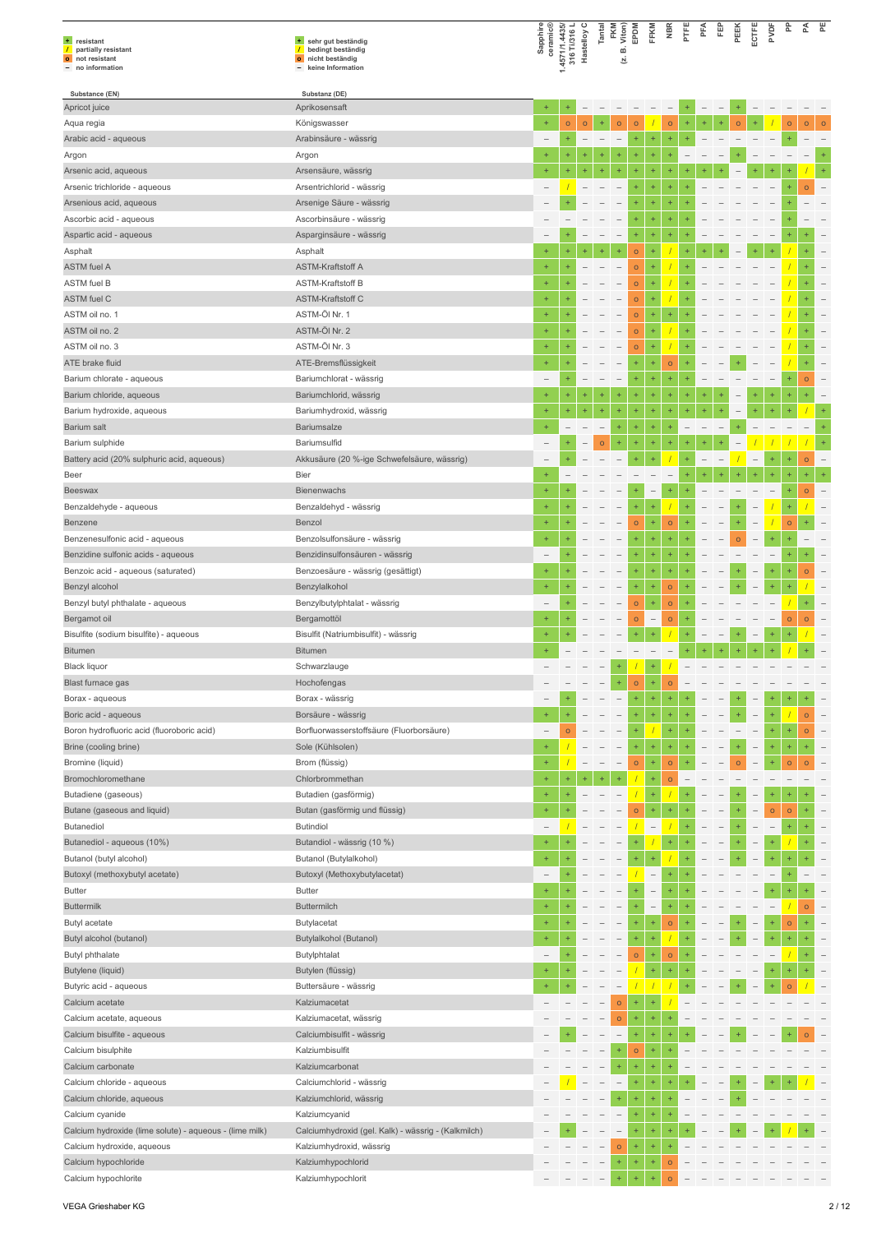| + resistant<br>$\prime$<br>partially resistant<br>o not resistant<br>- no information | + sehr gut beständig<br>$\prime$<br>bedingt beständig<br>nicht beständig<br>$\bullet$<br>keine Information | Sapphire<br>ceramic®     | 1.4571/1.4435/<br>316 Ti/316 L | Hastelloy C | Tantal    | FKM<br>Viton)<br>ø<br>Σ. | EPDM         | FFKM                     | <b>NBR</b> | PTFE      | PFA | 臣 | PEEK           | ECTFE                    | PVDF      | 운         | 준       | 뿐       |
|---------------------------------------------------------------------------------------|------------------------------------------------------------------------------------------------------------|--------------------------|--------------------------------|-------------|-----------|--------------------------|--------------|--------------------------|------------|-----------|-----|---|----------------|--------------------------|-----------|-----------|---------|---------|
| Substance (EN)                                                                        | Substanz (DE)                                                                                              |                          |                                |             |           |                          |              |                          |            |           |     |   |                |                          |           |           |         |         |
| Apricot juice                                                                         | Aprikosensaft                                                                                              | $\ddot{}$                |                                |             |           |                          |              |                          |            |           |     |   |                |                          |           |           |         |         |
| Aqua regia                                                                            | Königswasser                                                                                               | $+$                      | $\circ$                        | $\circ$     | ÷         | $\circ$                  | $\circ$      |                          | $\circ$    |           | ÷   |   | $\circ$        |                          |           | $\circ$   | $\circ$ | $\circ$ |
| Arabic acid - aqueous                                                                 | Arabinsäure - wässrig                                                                                      |                          |                                |             |           |                          | $\ddot{}$    | ÷                        | ÷          |           |     |   |                |                          |           |           |         |         |
| Argon                                                                                 | Argon                                                                                                      |                          |                                |             |           |                          |              | Ŧ                        |            |           |     |   |                |                          |           |           |         |         |
| Arsenic acid, aqueous                                                                 | Arsensäure, wässrig                                                                                        |                          |                                |             |           |                          |              | +                        |            |           |     |   |                |                          |           |           |         |         |
| Arsenic trichloride - aqueous                                                         | Arsentrichlorid - wässrig                                                                                  |                          |                                |             |           |                          |              | 4                        |            |           |     |   |                |                          |           |           | $\circ$ |         |
| Arsenious acid, aqueous                                                               | Arsenige Säure - wässrig                                                                                   |                          |                                |             |           |                          |              | ÷                        |            |           |     |   |                |                          |           |           |         |         |
| Ascorbic acid - aqueous                                                               | Ascorbinsäure - wässrig                                                                                    |                          |                                |             |           |                          | ÷            | ÷                        |            |           |     |   |                |                          |           |           |         |         |
| Aspartic acid - aqueous                                                               | Asparginsäure - wässrig                                                                                    |                          |                                |             |           |                          | $\ddot{}$    | ÷                        |            |           |     |   |                |                          |           |           |         |         |
| Asphalt                                                                               | Asphalt                                                                                                    |                          |                                |             | ÷         |                          | $\circ$      | ÷                        |            |           |     |   |                |                          |           |           |         |         |
| <b>ASTM</b> fuel A                                                                    | <b>ASTM-Kraftstoff A</b>                                                                                   |                          |                                |             |           |                          | $\circ$      |                          |            |           |     |   |                |                          |           |           |         |         |
| <b>ASTM</b> fuel B                                                                    | <b>ASTM-Kraftstoff B</b>                                                                                   | $+$                      |                                |             |           |                          | $\circ$      | 4                        |            |           |     |   |                |                          |           |           |         |         |
| <b>ASTM</b> fuel C                                                                    | <b>ASTM-Kraftstoff C</b>                                                                                   | $\ddot{}$                |                                |             |           |                          |              | ÷                        |            |           |     |   |                |                          |           |           |         |         |
| ASTM oil no. 1                                                                        | ASTM-Öl Nr. 1                                                                                              | $\ddot{}$                |                                |             |           |                          | $\mathsf{o}$ |                          | ÷          |           |     |   |                |                          |           |           |         |         |
|                                                                                       |                                                                                                            |                          |                                |             |           |                          | $\mathsf{o}$ | ÷                        |            |           |     |   |                |                          |           |           |         |         |
| ASTM oil no. 2                                                                        | ASTM-ÖI Nr. 2                                                                                              |                          |                                |             |           |                          | $\circ$      |                          |            |           |     |   |                |                          |           |           |         |         |
| ASTM oil no. 3                                                                        | ASTM-Öl Nr. 3                                                                                              | $+$                      |                                |             |           |                          | $\mathsf{o}$ | ÷                        |            |           |     |   |                |                          |           |           |         |         |
| ATE brake fluid                                                                       | ATE-Bremsflüssigkeit                                                                                       |                          |                                |             |           |                          | $\ddot{}$    | ÷                        | $\circ$    |           |     |   |                |                          |           |           |         |         |
| Barium chlorate - aqueous                                                             | Bariumchlorat - wässrig                                                                                    | $\overline{\phantom{0}}$ |                                |             |           |                          |              | ÷                        |            |           |     |   |                |                          |           |           | $\circ$ |         |
| Barium chloride, aqueous                                                              | Bariumchlorid, wässrig                                                                                     | $+$                      | $\ddot{}$                      |             | ÷         | $\ddot{}$                | $\ddot{}$    | ÷                        | $\ddot{}$  |           |     |   |                |                          |           |           | +       |         |
| Barium hydroxide, aqueous                                                             | Bariumhydroxid, wässrig                                                                                    | $\ddot{}$                | $^{+}$                         | $^{+}$      | $\ddot{}$ | ÷                        | ÷            | ÷                        |            |           |     |   |                |                          |           |           |         |         |
| Barium salt                                                                           | <b>Bariumsalze</b>                                                                                         |                          |                                |             |           | ÷                        |              | ÷                        |            |           |     |   |                |                          |           |           |         |         |
| Barium sulphide                                                                       | Bariumsulfid                                                                                               |                          |                                |             | $\circ$   |                          |              | Ŧ                        |            |           |     |   |                |                          |           |           |         |         |
| Battery acid (20% sulphuric acid, aqueous)                                            | Akkusäure (20 %-ige Schwefelsäure, wässrig)                                                                |                          |                                |             |           |                          |              | ÷                        |            |           |     |   |                |                          |           | $\ddot{}$ | $\circ$ |         |
| Beer                                                                                  | <b>Bier</b>                                                                                                |                          |                                |             |           |                          |              |                          |            |           |     |   |                |                          |           |           |         |         |
| Beeswax                                                                               | <b>Bienenwachs</b>                                                                                         | $\ddot{}$                |                                |             |           |                          |              | $\qquad \qquad -$        |            |           |     |   |                |                          |           |           | $\circ$ |         |
| Benzaldehyde - aqueous                                                                | Benzaldehyd - wässrig                                                                                      | $\ddot{}$                |                                |             |           |                          |              | ÷                        |            |           |     |   |                |                          |           | $\ddot{}$ |         |         |
| Benzene                                                                               | Benzol                                                                                                     |                          |                                |             |           |                          | $\mathsf{o}$ | ÷                        | $\circ$    |           |     |   |                |                          |           | $\circ$   |         |         |
| Benzenesulfonic acid - aqueous                                                        | Benzolsulfonsäure - wässrig                                                                                |                          |                                |             |           |                          | $\ddot{}$    | ÷                        | $^{+}$     |           |     |   | $\overline{O}$ |                          |           |           |         |         |
| Benzidine sulfonic acids - aqueous                                                    | Benzidinsulfonsäuren - wässrig                                                                             |                          |                                |             |           |                          |              | ÷                        |            |           |     |   |                |                          |           |           |         |         |
| Benzoic acid - aqueous (saturated)                                                    | Benzoesäure - wässrig (gesättigt)                                                                          | $\ddot{}$                |                                |             |           |                          | ÷            | ÷                        | $\ddot{}$  |           |     |   |                |                          | $+$       | $\ddot{}$ | $\circ$ |         |
| Benzyl alcohol                                                                        | Benzylalkohol                                                                                              |                          |                                |             |           |                          | $\ddot{}$    | $\ddot{}$                | $\circ$    |           |     |   |                |                          |           |           |         |         |
| Benzyl butyl phthalate - aqueous                                                      | Benzylbutylphtalat - wässrig                                                                               |                          |                                |             |           |                          | $\circ$      | ÷                        | $\circ$    |           |     |   |                |                          |           |           |         |         |
| Bergamot oil                                                                          | Bergamottöl                                                                                                | $+$                      |                                |             |           |                          | $\circ$      | $\overline{\phantom{0}}$ | $\circ$    |           |     |   |                |                          |           | $\circ$   | $\circ$ |         |
| Bisulfite (sodium bisulfite) - aqueous                                                | Bisulfit (Natriumbisulfit) - wässrig                                                                       | $\ddot{}$                |                                |             |           |                          |              | ÷                        |            |           |     |   |                |                          |           |           |         |         |
| <b>Bitumen</b>                                                                        | <b>Bitumen</b>                                                                                             |                          |                                |             |           |                          |              |                          |            |           |     |   |                |                          |           |           |         |         |
| <b>Black liquor</b>                                                                   | Schwarzlauge                                                                                               |                          |                                |             |           | ÷                        |              | ÷                        |            |           |     |   |                |                          |           |           |         |         |
| Blast furnace gas                                                                     | Hochofengas                                                                                                |                          |                                |             |           |                          |              |                          |            |           |     |   |                |                          |           |           |         |         |
| Borax - aqueous                                                                       | Borax - wässrig                                                                                            |                          |                                |             |           |                          |              | ÷                        | ÷          |           |     |   |                |                          |           |           |         |         |
| Boric acid - aqueous                                                                  | Borsäure - wässrig                                                                                         |                          |                                |             |           | $\overline{\phantom{0}}$ | ÷            | ÷                        | $\ddot{}$  | $\ddot{}$ |     |   |                | $\qquad \qquad -$        |           |           | $\circ$ |         |
| Boron hydrofluoric acid (fluoroboric acid)                                            | Borfluorwasserstoffsäure (Fluorborsäure)                                                                   | $\overline{\phantom{0}}$ | $\circ$                        |             |           | $\overline{\phantom{0}}$ | $\ddot{}$    |                          | $\ddot{}$  |           |     |   |                |                          | $\ddot{}$ | $\ddot{}$ | $\circ$ |         |
| Brine (cooling brine)                                                                 | Sole (Kühlsolen)                                                                                           | $+$                      |                                |             |           |                          | $\ddot{}$    | Ŧ                        |            |           |     |   |                |                          | $\ddot{}$ | $^{+}$    |         |         |
| Bromine (liquid)                                                                      | Brom (flüssig)                                                                                             | $\ddot{}$                |                                |             |           | $\qquad \qquad -$        | $\mathsf{o}$ | $\ddot{}$                | $\circ$    |           |     |   | $\overline{O}$ |                          | $\ddot{}$ | $\circ$   | $\circ$ |         |
| Bromochloromethane                                                                    | Chlorbrommethan                                                                                            |                          |                                |             |           |                          |              | ÷                        | $\circ$    |           |     |   |                |                          |           |           |         |         |
| Butadiene (gaseous)                                                                   | Butadien (gasförmig)                                                                                       | $\ddot{}$                | $+$                            |             |           |                          |              | ÷                        |            |           |     |   |                |                          |           |           |         |         |
| Butane (gaseous and liquid)                                                           |                                                                                                            | $\ddot{}$                |                                |             |           |                          |              | ÷                        | $\ddot{}$  |           |     |   |                |                          |           |           |         |         |
| Butanediol                                                                            | Butan (gasförmig und flüssig)<br><b>Butindiol</b>                                                          |                          |                                |             |           |                          | $\mathsf{o}$ |                          |            |           |     |   |                |                          | $\circ$   | $\circ$   |         |         |
|                                                                                       |                                                                                                            |                          |                                |             |           |                          |              |                          |            |           |     |   |                |                          |           |           |         |         |
| Butanediol - aqueous (10%)                                                            | Butandiol - wässrig (10 %)                                                                                 | $\ddot{}$                |                                |             |           |                          |              |                          | ÷          |           |     |   |                | $\overline{\phantom{0}}$ | $\ddot{}$ |           |         |         |
| Butanol (butyl alcohol)                                                               | Butanol (Butylalkohol)                                                                                     | $\ddot{}$                |                                |             |           |                          |              | ÷                        |            |           |     |   |                |                          |           |           |         |         |
| Butoxyl (methoxybutyl acetate)                                                        | Butoxyl (Methoxybutylacetat)                                                                               |                          |                                |             |           |                          |              |                          |            |           |     |   |                |                          |           |           |         |         |
| <b>Butter</b>                                                                         | <b>Butter</b>                                                                                              | $\ddot{}$                |                                |             |           |                          |              | $\qquad \qquad -$        |            |           |     |   |                |                          |           |           |         |         |
| <b>Buttermilk</b>                                                                     | <b>Buttermilch</b>                                                                                         | $+$                      |                                |             |           | $\overline{\phantom{a}}$ |              | $\overline{\phantom{0}}$ | $\ddot{}$  |           |     |   |                |                          |           |           | $\circ$ |         |
| Butyl acetate                                                                         | Butylacetat                                                                                                | $+$                      |                                |             |           |                          |              | ÷                        | $\circ$    |           |     |   |                |                          |           | $\circ$   |         |         |
| Butyl alcohol (butanol)                                                               | Butylalkohol (Butanol)                                                                                     | $\ddot{}$                |                                |             |           |                          | $\ddot{}$    | $\ddot{}$                |            |           |     |   |                |                          |           | $\ddot{}$ |         |         |
| Butyl phthalate                                                                       | Butylphtalat                                                                                               |                          |                                |             |           |                          | $\circ$      | ÷                        | $\circ$    |           |     |   |                |                          |           |           |         |         |
| Butylene (liquid)                                                                     | Butylen (flüssig)                                                                                          | $+$                      |                                |             |           |                          |              | ÷                        | $\ddot{}$  |           |     |   |                |                          |           |           |         |         |
| Butyric acid - aqueous                                                                | Buttersäure - wässrig                                                                                      |                          |                                |             |           |                          |              |                          |            |           |     |   |                |                          |           |           |         |         |
| Calcium acetate                                                                       | Kalziumacetat                                                                                              |                          |                                |             |           | $\circ$                  |              |                          |            |           |     |   |                |                          |           |           |         |         |
| Calcium acetate, aqueous                                                              | Kalziumacetat, wässrig                                                                                     |                          |                                |             |           | $\circ$                  | $\ddot{}$    | $\ddot{}$                |            |           |     |   |                |                          |           |           |         |         |
| Calcium bisulfite - aqueous                                                           | Calciumbisulfit - wässrig                                                                                  |                          |                                |             |           |                          |              | ÷                        |            |           |     |   |                |                          |           |           |         |         |
| Calcium bisulphite                                                                    | Kalziumbisulfit                                                                                            |                          |                                |             |           |                          | $\circ$      | ÷                        |            |           |     |   |                |                          |           |           |         |         |
| Calcium carbonate                                                                     | Kalziumcarbonat                                                                                            |                          |                                |             |           |                          | $\ddot{}$    | ÷                        |            |           |     |   |                |                          |           |           |         |         |
| Calcium chloride - aqueous                                                            | Calciumchlorid - wässrig                                                                                   |                          |                                |             |           | $\overline{\phantom{a}}$ | $\pm$        | ÷                        |            |           |     |   |                |                          |           |           |         |         |
| Calcium chloride, aqueous                                                             | Kalziumchlorid, wässrig                                                                                    |                          |                                |             |           | ÷                        |              | Ŧ                        |            |           |     |   |                |                          |           |           |         |         |
| Calcium cyanide                                                                       | Kalziumcyanid                                                                                              |                          |                                |             |           | $\overline{\phantom{0}}$ |              | ÷                        |            |           |     |   |                |                          |           |           |         |         |
| Calcium hydroxide (lime solute) - aqueous - (lime milk)                               | Calciumhydroxid (gel. Kalk) - wässrig - (Kalkmilch)                                                        |                          |                                |             |           |                          |              | ÷                        |            |           |     |   |                |                          |           |           |         |         |
| Calcium hydroxide, aqueous                                                            | Kalziumhydroxid, wässrig                                                                                   |                          |                                |             |           | $\circ$                  | $+$          | $\ddot{}$                |            |           |     |   |                |                          |           |           |         |         |
| Calcium hypochloride                                                                  | Kalziumhypochlorid                                                                                         |                          |                                |             |           | $\ddot{}$                | $\ddot{}$    | ÷                        | $\circ$    |           |     |   |                |                          |           |           |         |         |
| Calcium hypochlorite                                                                  | Kalziumhypochlorit                                                                                         |                          |                                |             |           |                          |              |                          | $\circ$    |           |     |   |                |                          |           |           |         |         |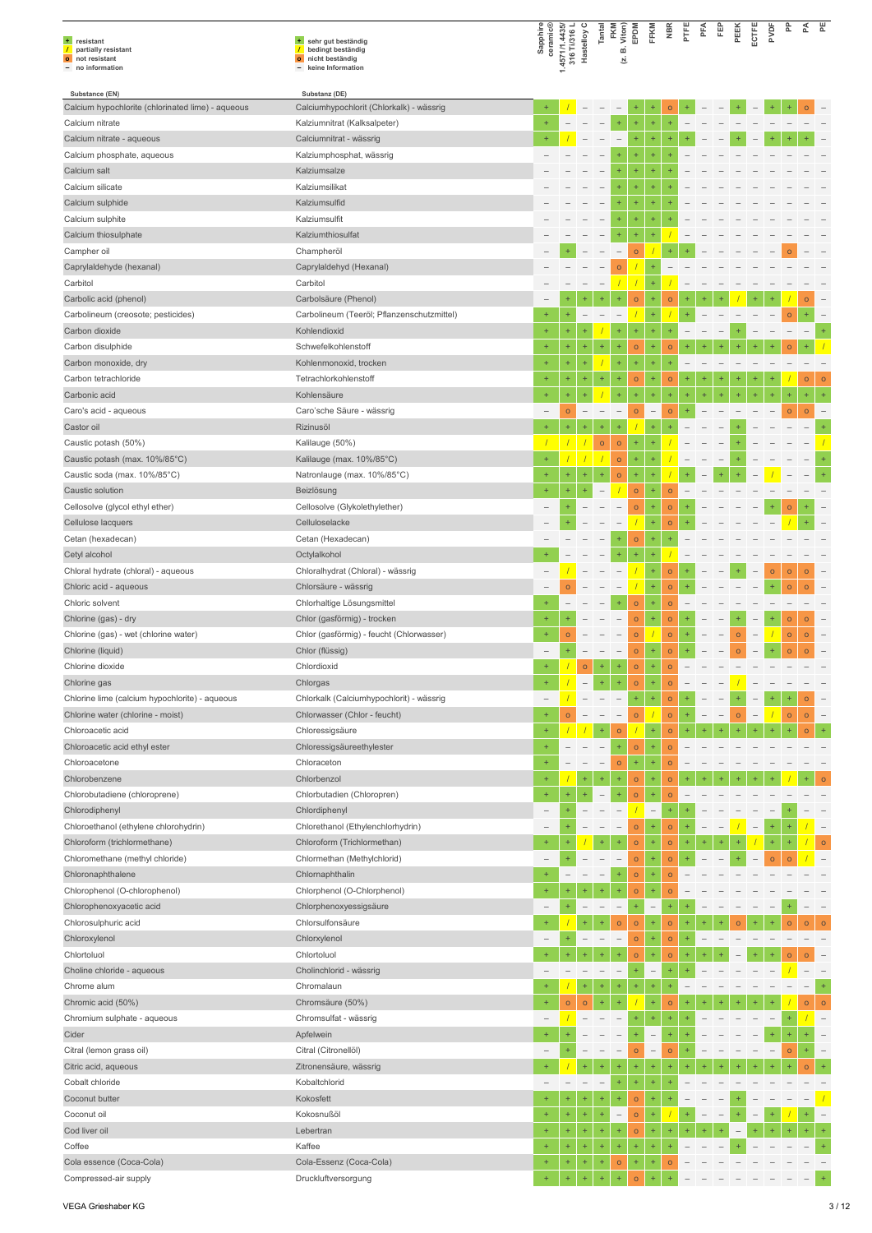| + resistant<br>$\prime$<br>partially resistant<br>o not resistant<br>- no information | + sehr gut beständig<br>$\overline{1}$<br>bedingt beständig<br>o nicht beständig<br>- keine Information | Sapphire<br>ceramic®     | 1.4571/1.4435/<br>316 Ti/316 L<br>Hastelloy C |                          | Tantal                   | FKM<br>Viton)<br>ωí<br>Σ. | EPDM              | FFKM                           | NBR                | PTFE      | PFA | Ë                        | PEEK    | ECTFE                    | PVDF      | 운              | ₹              | 뿐                        |
|---------------------------------------------------------------------------------------|---------------------------------------------------------------------------------------------------------|--------------------------|-----------------------------------------------|--------------------------|--------------------------|---------------------------|-------------------|--------------------------------|--------------------|-----------|-----|--------------------------|---------|--------------------------|-----------|----------------|----------------|--------------------------|
| Substance (EN)                                                                        | Substanz (DE)                                                                                           |                          |                                               |                          |                          |                           |                   |                                |                    |           |     |                          |         |                          |           |                |                |                          |
| Calcium hypochlorite (chlorinated lime) - aqueous                                     | Calciumhypochlorit (Chlorkalk) - wässrig                                                                | $\ddot{}$                |                                               |                          |                          | $\overline{\phantom{0}}$  | ÷<br>$\ddot{}$    | $\ddot{}$                      | $\circ$            |           |     |                          |         |                          |           |                | $\circ$        |                          |
| Calcium nitrate<br>Calcium nitrate - aqueous                                          | Kalziumnitrat (Kalksalpeter)<br>Calciumnitrat - wässrig                                                 | $\ddot{}$<br>$\ddot{}$   |                                               |                          |                          | $\ddot{}$                 | ÷                 | $\ddot{}$<br>$\ddot{}$         | $\ddot{}$<br>÷     |           |     |                          |         |                          |           |                |                |                          |
| Calcium phosphate, aqueous                                                            | Kalziumphosphat, wässrig                                                                                |                          |                                               |                          |                          |                           |                   |                                |                    |           |     |                          |         |                          |           |                |                |                          |
| Calcium salt                                                                          | Kalziumsalze                                                                                            |                          |                                               |                          |                          |                           | ÷                 | $\ddot{}$                      |                    |           |     |                          |         |                          |           |                |                |                          |
| Calcium silicate                                                                      | Kalziumsilikat                                                                                          |                          |                                               |                          |                          | $\ddot{}$                 | <sup>+</sup>      |                                |                    |           |     |                          |         |                          |           |                |                |                          |
| Calcium sulphide                                                                      | Kalziumsulfid                                                                                           |                          |                                               |                          |                          |                           |                   |                                |                    |           |     |                          |         |                          |           |                |                |                          |
| Calcium sulphite                                                                      | Kalziumsulfit                                                                                           |                          |                                               |                          |                          | $\ddot{}$                 | ÷                 | $\ddot{}$                      |                    |           |     |                          |         |                          |           |                |                |                          |
| Calcium thiosulphate                                                                  | Kalziumthiosulfat                                                                                       |                          |                                               |                          |                          | $\ddot{}$                 | ÷                 | ۰                              |                    |           |     |                          |         |                          |           |                |                |                          |
| Campher oil                                                                           | Champheröl                                                                                              |                          |                                               |                          |                          |                           | $\circ$           |                                |                    |           |     |                          |         |                          |           | $\Omega$       |                |                          |
| Caprylaldehyde (hexanal)                                                              | Caprylaldehyd (Hexanal)                                                                                 |                          |                                               |                          |                          | $\Omega$                  |                   |                                |                    |           |     |                          |         |                          |           |                |                |                          |
| Carbitol                                                                              | Carbitol                                                                                                |                          |                                               |                          |                          |                           |                   | $\ddot{}$                      |                    |           |     |                          |         |                          |           |                |                |                          |
| Carbolic acid (phenol)                                                                | Carbolsäure (Phenol)                                                                                    |                          |                                               |                          |                          |                           | $\circ$           | $\ddot{}$                      | $\mathsf{o}$       |           |     |                          |         |                          |           |                | $\circ$        |                          |
| Carbolineum (creosote; pesticides)                                                    | Carbolineum (Teeröl; Pflanzenschutzmittel)                                                              | $\ddot{}$                | $\ddot{}$                                     |                          |                          |                           |                   | $\ddot{}$                      |                    |           |     |                          |         |                          |           | $\circ$        | ÷              |                          |
| Carbon dioxide                                                                        | Kohlendioxid                                                                                            | $\ddot{}$<br>$+$         | $\ddot{}$                                     | ÷                        | $+$                      | ÷                         | Ŧ                 | $\ddot{}$<br>$\ddot{}$         | ÷                  |           |     |                          |         |                          |           |                |                |                          |
| Carbon disulphide<br>Carbon monoxide, dry                                             | Schwefelkohlenstoff<br>Kohlenmonoxid, trocken                                                           | ÷                        | $\ddot{}$                                     | ÷                        |                          | $\ddot{}$                 | $\mathsf{o}$<br>÷ | $\ddot{}$                      | $\circ$<br>÷       |           |     |                          |         |                          |           |                |                |                          |
| Carbon tetrachloride                                                                  | Tetrachlorkohlenstoff                                                                                   | $\ddot{}$                | ÷                                             |                          |                          | $\ddot{}$                 | $\circ$           |                                | $\circ$            |           |     |                          |         |                          |           |                | $\circ$        | $\circ$                  |
| Carbonic acid                                                                         | Kohlensäure                                                                                             | $\ddot{}$                | $\ddot{}$                                     | Ŧ                        |                          | $\ddot{}$                 | ÷                 | $\ddot{}$                      | ÷                  | ÷         | $+$ | ÷                        | $+$     | $\ddot{}$                | $\ddot{}$ | $\ddot{}$      | ÷,             | $\ddot{}$                |
| Caro's acid - aqueous                                                                 | Caro'sche Säure - wässrig                                                                               | $\qquad \qquad -$        | $\mathsf{o}$                                  | $\overline{\phantom{0}}$ | $\qquad \qquad -$        | $\overline{\phantom{a}}$  | $\circ$           | $\qquad \qquad -$              | $\circ$            | $\ddot{}$ |     |                          |         |                          |           | $\mathsf{o}$   | $\circ$        |                          |
| Castor oil                                                                            | Rizinusöl                                                                                               | $\ddot{}$                | ÷                                             |                          |                          | ÷                         |                   |                                |                    |           |     |                          |         |                          |           |                |                |                          |
| Caustic potash (50%)                                                                  | Kalilauge (50%)                                                                                         | $\overline{1}$           |                                               |                          | $\mathsf{o}$             | $\mathsf{o}$              | ÷                 |                                |                    |           |     |                          |         |                          |           |                |                |                          |
| Caustic potash (max. 10%/85°C)                                                        | Kalilauge (max. 10%/85°C)                                                                               | $+$                      |                                               |                          |                          | $\mathsf{o}$              | ÷                 | $\ddot{}$                      |                    |           |     |                          |         |                          |           |                |                |                          |
| Caustic soda (max. 10%/85°C)                                                          | Natronlauge (max. 10%/85°C)                                                                             | $\ddot{}$                | ÷                                             | ÷                        | $^{+}$                   | $\circ$                   | ÷                 |                                |                    |           |     |                          |         |                          |           |                |                |                          |
| Caustic solution                                                                      | Beizlösung                                                                                              | $\ddot{}$                | ÷                                             | ÷                        |                          |                           | $\circ$           | $\ddot{}$                      | $\circ$            |           |     |                          |         |                          |           |                |                |                          |
| Cellosolve (glycol ethyl ether)                                                       | Cellosolve (Glykolethylether)                                                                           |                          | +                                             |                          |                          |                           | $\circ$           | $\ddot{}$                      | $\circ$            |           |     |                          |         |                          |           | $\Omega$       |                |                          |
| Cellulose lacquers                                                                    | Celluloselacke                                                                                          |                          |                                               |                          |                          |                           |                   | $\ddot{}$                      | $\mathsf{o}$       |           |     |                          |         |                          |           |                |                |                          |
| Cetan (hexadecan)                                                                     | Cetan (Hexadecan)                                                                                       |                          |                                               |                          |                          |                           | $\circ$           | $\ddot{}$                      | ÷                  |           |     |                          |         |                          |           |                |                |                          |
| Cetyl alcohol                                                                         | Octylalkohol                                                                                            |                          |                                               |                          |                          |                           | $\ddot{}$         |                                |                    |           |     |                          |         |                          |           |                |                |                          |
| Chloral hydrate (chloral) - aqueous                                                   | Chloralhydrat (Chloral) - wässrig                                                                       | $\overline{\phantom{0}}$ |                                               |                          |                          |                           |                   | $\ddot{}$                      | $\bullet$          |           |     |                          | $+$     |                          | $\circ$   | $\circ$        | $\circ$        |                          |
| Chloric acid - aqueous<br>Chloric solvent                                             | Chlorsäure - wässrig<br>Chlorhaltige Lösungsmittel                                                      |                          | $\overline{O}$                                |                          |                          |                           | $\circ$           | $\ddot{}$                      | $\circ$<br>$\circ$ |           |     |                          |         |                          |           | $\circ$        | $\Omega$       |                          |
| Chlorine (gas) - dry                                                                  | Chlor (gasförmig) - trocken                                                                             | $\ddot{}$                |                                               |                          |                          |                           | $\circ$           | $\ddot{}$                      | $\circ$            |           |     |                          |         |                          | $+$       | $\mathsf{o}$   | $\circ$        |                          |
| Chlorine (gas) - wet (chlorine water)                                                 | Chlor (gasförmig) - feucht (Chlorwasser)                                                                | $+$                      | $\circ$                                       |                          |                          |                           | $\circ$           |                                | $\circ$            |           |     |                          | $\circ$ |                          |           | $\mathsf{o}$   | $\mathsf{o}$   |                          |
| Chlorine (liquid)                                                                     | Chlor (flüssig)                                                                                         |                          |                                               |                          |                          |                           | $\circ$           | ÷                              | $\circ$            |           |     |                          | $\circ$ |                          |           | $\circ$        | $\overline{O}$ |                          |
| Chlorine dioxide                                                                      | Chlordioxid                                                                                             | $\ddot{}$                |                                               | $\circ$                  | ÷                        | $\ddot{}$                 | $\circ$           |                                | $\circ$            |           |     |                          |         |                          |           |                |                |                          |
| Chlorine gas                                                                          | Chlorgas                                                                                                |                          |                                               |                          |                          |                           | O                 |                                | O                  |           |     |                          |         |                          |           |                |                |                          |
| Chlorine lime (calcium hypochlorite) - aqueous                                        | Chlorkalk (Calciumhypochlorit) - wässrig                                                                |                          |                                               |                          |                          |                           | ÷,                | $\ddot{}$                      | $\circ$            |           |     |                          |         |                          |           |                | $\circ$        |                          |
| Chlorine water (chlorine - moist)                                                     | Chlorwasser (Chlor - feucht)                                                                            | $\ddot{}$                | $\circ$                                       |                          | $\overline{\phantom{0}}$ | $\overline{\phantom{a}}$  | $\circ$           |                                | $\circ$            | $^{+}$    |     | $\overline{\phantom{m}}$ | $\circ$ | $\overline{\phantom{a}}$ |           | $\circ$        | $\circ$        | $\overline{\phantom{0}}$ |
| Chloroacetic acid                                                                     | Chloressigsäure                                                                                         | $\ddot{}$                |                                               |                          | $\pm$                    | $\circ$                   |                   | $\ddot{}$                      | $\circ$            | $\ddot{}$ |     |                          |         |                          |           |                | $\overline{O}$ |                          |
| Chloroacetic acid ethyl ester                                                         | Chloressigsäureethylester                                                                               | $+$                      |                                               |                          | $\overline{\phantom{0}}$ | $\ddot{}$                 | $\circ$           | $\ddot{}$                      | $\circ$            |           |     |                          |         |                          |           |                |                |                          |
| Chloroacetone                                                                         | Chloraceton                                                                                             | $\ddot{}$                |                                               |                          | $\qquad \qquad -$        | $\circ$                   | ÷                 | $\ddot{}$                      | $\circ$            |           |     |                          |         |                          |           |                |                |                          |
| Chlorobenzene                                                                         | Chlorbenzol                                                                                             | $\ddot{}$                | $+$                                           | $\ddot{}$                |                          | $\ddot{}$<br>÷            | $\circ$           | $\ddot{}$                      | $\circ$            |           |     |                          |         |                          |           |                |                |                          |
| Chlorobutadiene (chloroprene)<br>Chlorodiphenyl                                       | Chlorbutadien (Chloropren)<br>Chlordiphenyl                                                             | $\qquad \qquad -$        | ÷                                             |                          |                          |                           | $\circ$           | $\ddot{}$<br>$\qquad \qquad -$ | $\circ$<br>$\pm$   |           |     |                          |         |                          |           |                |                |                          |
| Chloroethanol (ethylene chlorohydrin)                                                 | Chlorethanol (Ethylenchlorhydrin)                                                                       |                          |                                               |                          |                          |                           | $\circ$           | ÷                              | $\circ$            |           |     |                          |         |                          |           |                |                |                          |
| Chloroform (trichlormethane)                                                          | Chloroform (Trichlormethan)                                                                             | $\ddot{}$                |                                               |                          |                          | $\ddot{}$                 | $\circ$           | $\ddot{}$                      | $\circ$            | $\ddot{}$ |     |                          |         |                          |           | $\ddot{}$      |                | $\circ$                  |
| Chloromethane (methyl chloride)                                                       | Chlormethan (Methylchlorid)                                                                             | $\qquad \qquad -$        |                                               |                          | $\overline{\phantom{0}}$ |                           | $\circ$           | $\ddot{}$                      | $\circ$            |           |     |                          |         |                          | $\circ$   | $\overline{O}$ |                |                          |
| Chloronaphthalene                                                                     | Chlornaphthalin                                                                                         | $\ddot{}$                |                                               |                          |                          | $\ddot{}$                 | $\circ$           | ÷                              | $\circ$            |           |     |                          |         |                          |           |                |                |                          |
| Chlorophenol (O-chlorophenol)                                                         | Chlorphenol (O-Chlorphenol)                                                                             | $\ddot{}$                | ÷                                             | ÷                        |                          | ÷                         | $\circ$           | $\ddot{}$                      | $\circ$            |           |     |                          |         |                          |           |                |                |                          |
| Chlorophenoxyacetic acid                                                              | Chlorphenoxyessigsäure                                                                                  | $\overline{\phantom{a}}$ | $\ddot{}$                                     |                          |                          | $\overline{\phantom{0}}$  | ÷                 | $\overline{\phantom{0}}$       | ÷                  |           |     |                          |         |                          |           |                |                |                          |
| Chlorosulphuric acid                                                                  | Chlorsulfonsäure                                                                                        | $+$                      |                                               | Ŧ                        |                          | $\mathsf{o}$              | $\circ$           | $\ddot{}$                      | $\circ$            |           |     |                          | $\circ$ |                          |           | $\mathsf{o}$   | $\circ$        | $\circ$                  |
| Chloroxylenol                                                                         | Chlorxylenol                                                                                            | $\qquad \qquad -$        | $\ddot{}$                                     |                          |                          | $\overline{\phantom{a}}$  | $\circ$           | $\ddot{}$                      | $\circ$            |           |     |                          |         |                          |           |                |                |                          |
| Chlortoluol                                                                           | Chlortoluol                                                                                             | $\ddot{}$                |                                               |                          |                          | $\ddot{}$                 | $\circ$           | $\ddot{}$                      | $\circ$            |           |     |                          |         |                          |           | $\circ$        | $\circ$        |                          |
| Choline chloride - aqueous                                                            | Cholinchlorid - wässrig                                                                                 |                          |                                               |                          |                          |                           | ÷,                | $\overline{\phantom{0}}$       | $\ddot{}$          |           |     |                          |         |                          |           |                |                |                          |
| Chrome alum                                                                           | Chromalaun                                                                                              | $\ddot{}$                | 7                                             | $\ddot{}$                |                          | $\ddot{}$                 | ÷                 | $^{+}$                         | ÷                  |           |     |                          |         |                          |           |                |                | $\ddot{}$                |
| Chromic acid (50%)                                                                    | Chromsäure (50%)                                                                                        | $\ddot{}$                | $\circ$                                       | $\circ$                  | $\ddot{}$                | $\ddot{}$                 |                   |                                | $\circ$            |           |     |                          |         |                          |           |                | $\circ$        | $\circ$                  |
| Chromium sulphate - aqueous                                                           | Chromsulfat - wässrig                                                                                   | $\qquad \qquad -$        |                                               |                          |                          | $\overline{\phantom{a}}$  | $\ddot{}$         | $\ddot{}$                      | $\ddot{}$          |           |     |                          |         |                          |           |                |                |                          |
| Cider                                                                                 | Apfelwein                                                                                               | $\ddot{}$                |                                               |                          |                          |                           | ÷                 | $\qquad \qquad -$              | $\ddot{}$          |           |     |                          |         |                          |           |                |                |                          |
| Citral (lemon grass oil)<br>Citric acid, aqueous                                      | Citral (Citronellöl)<br>Zitronensäure, wässrig                                                          | $\ddot{}$                |                                               | ÷                        |                          |                           | $\circ$<br>÷      | $\qquad \qquad -$<br>$\ddot{}$ | $\circ$<br>÷       |           |     |                          |         |                          |           | $\circ$        | $\circ$        |                          |
| Cobalt chloride                                                                       | Kobaltchlorid                                                                                           | $\qquad \qquad -$        | $\overline{\phantom{0}}$                      | $\overline{\phantom{a}}$ | $\overline{\phantom{0}}$ | $\ddot{}$                 | ÷                 | $\ddot{}$                      | ÷                  |           |     |                          |         |                          |           |                |                |                          |
| Coconut butter                                                                        | Kokosfett                                                                                               | $\ddot{}$                | ÷                                             | ł.                       |                          | $\ddot{}$                 | $\circ$           | $\ddot{}$                      |                    |           |     |                          |         |                          |           |                |                |                          |
| Coconut oil                                                                           | Kokosnußöl                                                                                              | $+$                      | $\ddot{}$                                     | $\pm$                    | $\ddot{}$                | $\overline{\phantom{a}}$  | $\circ$           | $\ddot{}$                      |                    |           |     |                          |         |                          |           |                | $\ddot{}$      | $\overline{\phantom{0}}$ |
| Cod liver oil                                                                         | Lebertran                                                                                               | $\ddot{}$                | ÷                                             | $\ddot{}$                | $\ddot{}$                | $\pm$                     | $\circ$           | $\ddot{}$                      | ÷                  |           |     |                          |         |                          |           |                |                |                          |
| Coffee                                                                                | Kaffee                                                                                                  | $\ddot{}$                | $+$                                           | ÷                        | $\ddot{}$                | $\ddot{}$                 | $\ddot{}$         | $\ddot{}$                      |                    |           |     |                          |         |                          |           |                |                |                          |
| Cola essence (Coca-Cola)                                                              | Cola-Essenz (Coca-Cola)                                                                                 | $\ddot{}$                | ÷                                             | $^{+}$                   | $\ddot{}$                | $\mathsf{o}$              | ÷                 |                                | $\circ$            |           |     |                          |         |                          |           |                |                |                          |
| Compressed-air supply                                                                 | Druckluftversorgung                                                                                     | $\ddot{}$                | $\ddot{}$                                     | Ŧ                        |                          |                           | $\circ$           |                                |                    |           |     |                          |         |                          |           |                |                |                          |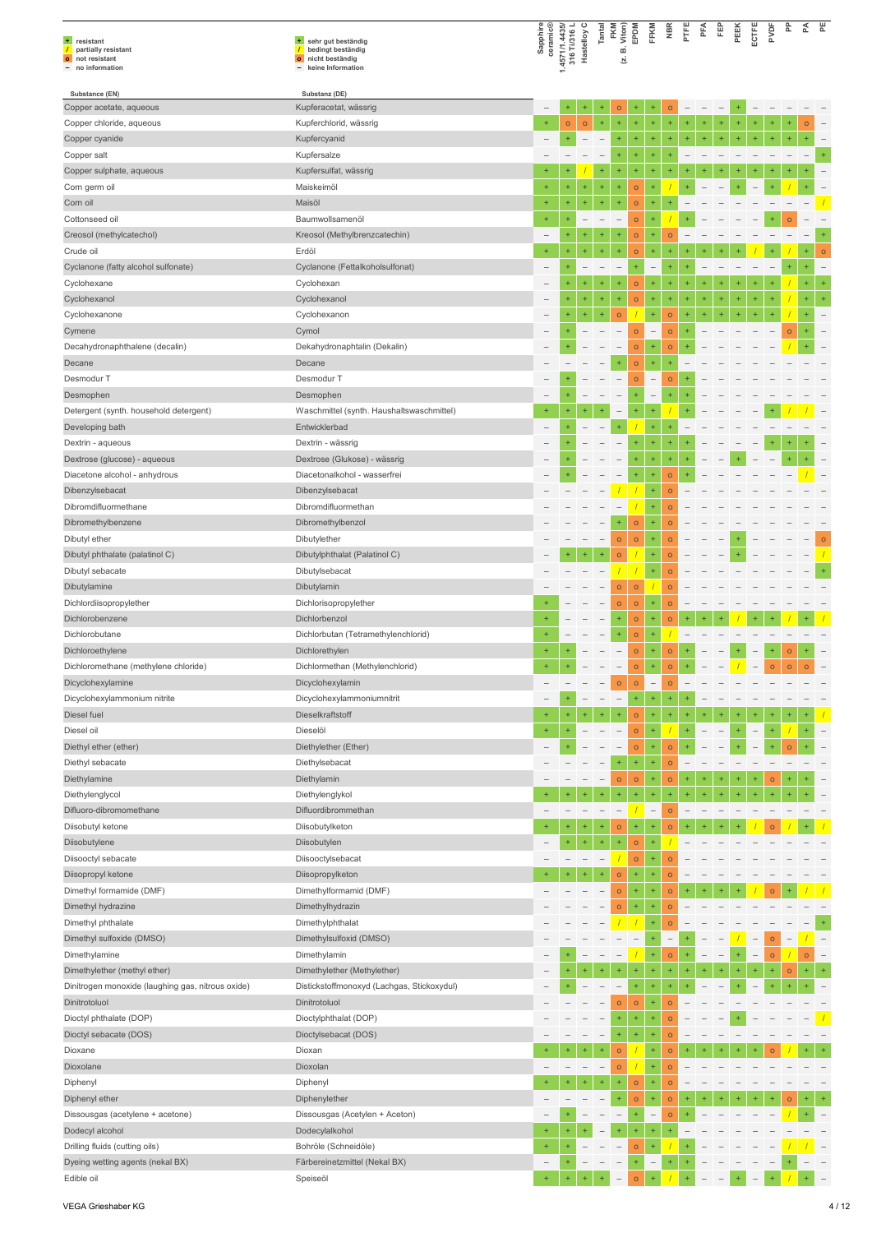|                                                                             |                                                                                     | Sapphire                              |                                |                          | Tantal                   | FKM<br>Viton)            | EPDM                     | FFKM              | NBR                      | PTFE      | PFA       | 臣                        | ECTFE<br>PEEK                   | PVDF            | 운                        | 쥰         | 뿐                        |
|-----------------------------------------------------------------------------|-------------------------------------------------------------------------------------|---------------------------------------|--------------------------------|--------------------------|--------------------------|--------------------------|--------------------------|-------------------|--------------------------|-----------|-----------|--------------------------|---------------------------------|-----------------|--------------------------|-----------|--------------------------|
| $+$<br>resistant<br>partially resistant<br>$\mathcal{L}$<br>o not resistant | + sehr gut beständig<br>bedingt beständig<br>$\prime$<br>nicht beständig<br>$\circ$ | ceramic®                              | 1.4571/1.4435/<br>316 Ti/316 L | Hastelloy                |                          | ωó<br>ञ्                 |                          |                   |                          |           |           |                          |                                 |                 |                          |           |                          |
| no information                                                              | keine Information                                                                   |                                       |                                |                          |                          |                          |                          |                   |                          |           |           |                          |                                 |                 |                          |           |                          |
| Substance (EN)                                                              | Substanz (DE)                                                                       |                                       |                                |                          |                          |                          |                          |                   |                          |           |           |                          |                                 |                 |                          |           |                          |
| Copper acetate, aqueous                                                     | Kupferacetat, wässrig                                                               |                                       |                                |                          |                          | $\circ$                  |                          |                   | $\circ$                  |           |           |                          |                                 |                 |                          |           |                          |
| Copper chloride, aqueous                                                    | Kupferchlorid, wässrig                                                              | $\ddot{}$                             | $\circ$                        | $\circ$                  | $\ddot{}$                | $\ddot{}$                | ÷                        | ÷                 | $\ddot{}$                | $\ddot{}$ | $\ddot{}$ | $^{+}$                   | $\ddot{}$                       | ÷               | $\ddot{}$                | $\circ$   |                          |
| Copper cyanide                                                              | Kupfercyanid                                                                        |                                       | $\pm$                          | $\overline{\phantom{0}}$ | $\overline{\phantom{a}}$ | ÷                        | ÷                        | $\ddot{}$         | $\pm$                    | $\ddot{}$ |           | $\ddot{}$                |                                 |                 |                          |           |                          |
| Copper salt                                                                 | Kupfersalze                                                                         |                                       |                                |                          |                          | $+$                      | $\ddot{}$                | $+$               | ÷                        |           |           |                          |                                 |                 |                          |           | $\ddot{}$                |
| Copper sulphate, aqueous                                                    | Kupfersulfat, wässrig<br>Maiskeimöl                                                 | $\overline{\phantom{a}}$<br>$\ddot{}$ | Ŧ                              | ÷                        | $^{+}$<br>$\ddot{}$      | $\ddot{}$<br>$\ddot{}$   | ÷                        | $\ddot{}$         | 4                        |           |           |                          | 4                               |                 |                          |           |                          |
| Corn germ oil<br>Corn oil                                                   | Maisöl                                                                              | $\ddot{}$                             | ÷                              | $\ddot{}$                | $\pm$                    | $\ddot{}$                | $\circ$<br>$\circ$       | $\ddot{}$         | ÷                        |           |           |                          |                                 |                 |                          |           |                          |
|                                                                             |                                                                                     | $\ddot{}$                             | ÷                              |                          |                          |                          |                          |                   |                          |           |           |                          |                                 |                 |                          |           |                          |
| Cottonseed oil<br>Creosol (methylcatechol)                                  | Baumwollsamenöl<br>Kreosol (Methylbrenzcatechin)                                    | $\overline{\phantom{0}}$              |                                |                          |                          | $\overline{\phantom{a}}$ | $\circ$<br>$\circ$       |                   | $\circ$                  |           |           |                          |                                 |                 |                          |           |                          |
| Crude oil                                                                   | Erdöl                                                                               | $\ddot{}$                             | $\ddot{}$                      | $\ddot{}$                | ÷                        | $\ddot{}$                | $\circ$                  | $\ddot{}$         | $\ddot{}$                |           |           |                          |                                 |                 |                          |           | $\circ$                  |
| Cyclanone (fatty alcohol sulfonate)                                         | Cyclanone (Fettalkoholsulfonat)                                                     |                                       | $\ddot{}$                      |                          |                          | $\qquad \qquad -$        | ÷                        | $\overline{a}$    | ÷                        |           |           |                          |                                 |                 | $\ddot{}$                |           | $\overline{\phantom{a}}$ |
| Cyclohexane                                                                 | Cyclohexan                                                                          |                                       | $\ddot{}$                      | ÷                        | ÷                        | $\ddot{}$                | $\circ$                  | $\ddot{}$         | 4                        | $\ddot{}$ |           |                          |                                 |                 |                          |           | $\ddot{}$                |
| Cyclohexanol                                                                | Cyclohexanol                                                                        | -                                     | ÷                              | ÷                        | ÷                        | ÷                        | $\circ$                  | ÷                 | $^{\rm +}$               | $\ddot{}$ | $\ddot{}$ | $\ddot{}$                | $\ddot{}$                       | ÷,<br>$\ddot{}$ | $\sqrt{2}$               | $\ddot{}$ | $\pm$                    |
| Cyclohexanone                                                               | Cyclohexanon                                                                        | -                                     | $\ddot{}$                      | $\ddot{}$                | $\ddot{}$                | $\circ$                  |                          | $\ddot{}$         | $\circ$                  | $\ddot{}$ | $\ddot{}$ | $\ddot{}$                | $\ddot{}$<br>$\ddot{}$          | $\ddot{}$       |                          |           |                          |
| Cymene                                                                      | Cymol                                                                               |                                       | $^{+}$                         |                          |                          | $\overline{\phantom{0}}$ | $\circ$                  | $\overline{a}$    | $\circ$                  | $\ddot{}$ |           |                          |                                 |                 | $\circ$                  |           | $\overline{\phantom{0}}$ |
| Decahydronaphthalene (decalin)                                              | Dekahydronaphtalin (Dekalin)                                                        |                                       | ÷                              |                          |                          | $\overline{\phantom{m}}$ | $\circ$                  | ÷                 | $\circ$                  |           |           |                          |                                 |                 |                          |           |                          |
| Decane                                                                      | Decane                                                                              |                                       |                                |                          |                          | $\pm$                    | $\circ$                  | $\ddot{}$         | $\ddot{}$                |           |           |                          |                                 |                 |                          |           |                          |
| Desmodur T                                                                  | Desmodur T                                                                          |                                       |                                |                          |                          | $\overline{\phantom{0}}$ | $\circ$                  | $\overline{a}$    | $\circ$                  |           |           |                          |                                 |                 |                          |           |                          |
| Desmophen                                                                   | Desmophen                                                                           | $\overline{\phantom{0}}$              | $\ddot{}$                      |                          |                          |                          | $\ddot{}$                | $\qquad \qquad -$ | ÷                        |           |           |                          |                                 |                 |                          |           |                          |
| Detergent (synth. household detergent)                                      | Waschmittel (synth. Haushaltswaschmittel)                                           | $\ddot{}$                             |                                |                          |                          | $\overline{\phantom{0}}$ |                          |                   |                          |           |           |                          |                                 |                 |                          |           |                          |
| Developing bath                                                             | Entwicklerbad                                                                       |                                       | $\ddot{}$                      |                          |                          | $+$                      |                          | $\ddot{}$         | ÷                        |           |           |                          |                                 |                 |                          |           |                          |
| Dextrin - aqueous                                                           | Dextrin - wässrig                                                                   |                                       |                                |                          |                          |                          | ÷                        | $\ddot{}$         | ÷                        |           |           |                          |                                 |                 |                          |           |                          |
| Dextrose (glucose) - aqueous                                                | Dextrose (Glukose) - wässrig                                                        |                                       |                                |                          |                          |                          | $\ddot{}$                |                   | ÷                        |           |           |                          |                                 |                 |                          |           | $\qquad \qquad -$        |
| Diacetone alcohol - anhydrous                                               | Diacetonalkohol - wasserfrei                                                        | -                                     | ÷                              |                          |                          |                          | ÷                        | $\ddot{}$         | $\circ$                  |           |           |                          |                                 |                 |                          |           |                          |
| Dibenzylsebacat                                                             | Dibenzylsebacat                                                                     |                                       |                                |                          |                          |                          |                          | $\ddot{}$         | $\circ$                  |           |           |                          |                                 |                 |                          |           |                          |
| Dibromdifluormethane                                                        | Dibromdifluormethan                                                                 |                                       |                                |                          |                          |                          |                          |                   | $\circ$                  |           |           |                          |                                 |                 |                          |           |                          |
| Dibromethylbenzene                                                          | Dibromethylbenzol                                                                   |                                       |                                |                          |                          | $\ddot{}$                | $\circ$                  | $\ddot{}$         | $\circ$                  |           |           |                          |                                 |                 |                          |           |                          |
| Dibutyl ether                                                               | Dibutylether                                                                        |                                       |                                |                          | $\overline{\phantom{0}}$ | $\mathsf{o}$             | $\circ$                  | $\ddot{}$         | $\circ$                  |           |           |                          |                                 |                 |                          |           | $\circ$                  |
| Dibutyl phthalate (palatinol C)                                             | Dibutylphthalat (Palatinol C)                                                       |                                       |                                | $\ddot{}$                | $\ddot{}$                | $\circ$                  |                          |                   | $\circ$                  |           |           |                          |                                 |                 |                          |           |                          |
| Dibutyl sebacate                                                            | Dibutylsebacat                                                                      |                                       |                                |                          |                          |                          |                          |                   | $\circ$                  |           |           |                          |                                 |                 |                          |           |                          |
| Dibutylamine                                                                | Dibutylamin                                                                         |                                       |                                |                          |                          | $\circ$                  | $\circ$                  |                   | $\circ$                  |           |           |                          |                                 |                 |                          |           |                          |
| Dichlordiisopropylether                                                     | Dichlorisopropylether                                                               | $\ddot{}$                             |                                |                          |                          | $\mathsf{o}$             | $\circ$                  | $+$               | $\circ$                  |           |           |                          |                                 |                 |                          |           |                          |
| Dichlorobenzene                                                             | Dichlorbenzol                                                                       |                                       |                                |                          |                          | $\ddot{}$                | $\circ$                  | $\ddot{}$         | $\circ$                  |           |           |                          |                                 |                 |                          |           |                          |
| Dichlorobutane                                                              | Dichlorbutan (Tetramethylenchlorid)                                                 |                                       |                                |                          |                          |                          | $\circ$                  |                   |                          |           |           |                          |                                 |                 |                          |           |                          |
| Dichloroethylene                                                            | Dichlorethylen                                                                      | $\ddot{}$                             | ÷                              |                          |                          |                          | $\circ$                  | $\ddot{}$         | $\circ$                  | $^{+}$    |           |                          | $+$<br>$\qquad \qquad -$        | $^{+}$          | $\circ$                  | $+$       |                          |
| Dichloromethane (methylene chloride)                                        | Dichlormethan (Methylenchlorid)                                                     | $+$                                   | $\ddot{}$                      | $\overline{\phantom{0}}$ |                          | $\overline{\phantom{a}}$ | $\circ$                  | $\ddot{}$         | $\circ$                  | $\ddot{}$ | ۳         | $\overline{\phantom{a}}$ | $\sqrt{ }$<br>$\qquad \qquad -$ | $\circ$         | $\circ$                  | $\circ$   | ÷                        |
| Dicyclohexylamine                                                           | Dicyclohexylamin                                                                    |                                       |                                |                          |                          | $\circ$                  | $\circ$                  | $\overline{a}$    | $\circ$                  |           |           |                          |                                 |                 |                          |           |                          |
| Dicyclohexylammonium nitrite                                                | Dicyclohexylammoniumnitrit                                                          |                                       | ÷                              |                          | $\overline{\phantom{a}}$ | $\overline{\phantom{a}}$ | $\pm$                    | $\ddot{}$         | $\pm$                    |           |           |                          |                                 |                 |                          |           |                          |
| Diesel fuel                                                                 | Dieselkraftstoff                                                                    | $\ddot{}$                             | $\ddot{}$                      | $\ddot{}$                |                          | $\ddot{}$                | $\circ$                  | ÷                 | $\ddot{}$                | $\ddot{}$ | $\ddot{}$ |                          |                                 |                 |                          |           |                          |
| Diesel oil                                                                  | Dieselöl                                                                            | $\pm$                                 | $\ddot{}$                      |                          |                          |                          | $\circ$                  | $\ddot{}$         |                          | $\ddot{}$ |           |                          |                                 |                 |                          |           |                          |
| Diethyl ether (ether)                                                       | Diethylether (Ether)                                                                | $\overline{\phantom{0}}$              |                                |                          |                          | $\qquad \qquad -$        | $\circ$                  | $\ddot{}$         | $\circ$                  |           |           |                          |                                 |                 | $\circ$                  |           |                          |
| Diethyl sebacate                                                            | Diethylsebacat                                                                      |                                       |                                |                          |                          | $+$                      | ÷                        |                   | $\circ$                  |           |           |                          |                                 |                 |                          |           |                          |
| Diethylamine                                                                | Diethylamin                                                                         |                                       |                                |                          |                          | $\circ$                  | $\circ$                  | $\ddot{}$         | $\circ$                  |           |           |                          |                                 | $\circ$         |                          |           |                          |
| Diethylenglycol                                                             | Diethylenglykol                                                                     | $\ddot{}$                             |                                | ÷                        | ÷                        |                          | ÷                        | $\ddot{}$         | ÷                        |           |           |                          |                                 |                 |                          |           |                          |
| Difluoro-dibromomethane                                                     | Difluordibrommethan                                                                 |                                       |                                |                          |                          | $\overline{\phantom{0}}$ |                          | $\qquad \qquad -$ | $\circ$                  |           |           |                          |                                 |                 |                          |           |                          |
| Diisobutyl ketone                                                           | Diisobutylketon                                                                     | $+$                                   | ÷                              | $\ddot{}$                | ÷                        | $\circ$                  | ÷                        | ÷                 | $\circ$                  |           |           |                          |                                 | $\circ$         |                          |           |                          |
| Diisobutylene                                                               | Diisobutylen                                                                        |                                       | ÷                              | $\ddot{}$                | $\ddot{}$                | $\ddot{}$                | $\circ$                  |                   |                          |           |           |                          |                                 |                 |                          |           |                          |
| Diisooctyl sebacate                                                         | Diisooctylsebacat                                                                   |                                       |                                |                          |                          |                          | $\circ$                  |                   | $\circ$                  |           |           |                          |                                 |                 |                          |           |                          |
| Diisopropyl ketone                                                          | Diisopropylketon                                                                    |                                       |                                | $\ddot{}$                | ÷                        | $\mathsf{o}$             | ÷                        | $+$               | $\circ$                  |           |           |                          |                                 |                 |                          |           |                          |
| Dimethyl formamide (DMF)                                                    | Dimethylformamid (DMF)                                                              |                                       |                                |                          |                          | $\circ$                  | ÷                        | $\ddot{}$         | $\circ$                  |           |           |                          |                                 | $\circ$         |                          |           |                          |
| Dimethyl hydrazine                                                          | Dimethylhydrazin                                                                    |                                       |                                |                          |                          | $\circ$                  | ÷                        | $\ddot{}$         | $\circ$                  |           |           |                          |                                 |                 |                          |           |                          |
| Dimethyl phthalate                                                          | Dimethylphthalat                                                                    |                                       |                                | $\overline{\phantom{m}}$ |                          |                          | $\overline{1}$           | $\ddot{}$         | $\circ$                  |           |           |                          |                                 |                 |                          |           |                          |
| Dimethyl sulfoxide (DMSO)                                                   | Dimethylsulfoxid (DMSO)                                                             |                                       |                                |                          |                          |                          | $\overline{\phantom{0}}$ | $\ddot{}$         | $\overline{\phantom{a}}$ |           |           |                          |                                 | $\circ$         |                          |           | $\overline{\phantom{a}}$ |
| Dimethylamine                                                               | Dimethylamin                                                                        |                                       |                                |                          |                          | $\overline{\phantom{0}}$ |                          | $\ddot{}$         | $\circ$                  | $+$       |           |                          | $\overline{\phantom{0}}$        | $\circ$         | $\overline{\phantom{a}}$ | $\circ$   |                          |
| Dimethylether (methyl ether)                                                | Dimethylether (Methylether)                                                         | $\overline{\phantom{0}}$              | $\ddot{}$                      |                          |                          |                          | ÷                        | $\ddot{}$         | $\ddot{}$                | $\ddot{}$ |           |                          |                                 |                 | $\circ$                  |           | $\pm$                    |
| Dinitrogen monoxide (laughing gas, nitrous oxide)                           | Distickstoffmonoxyd (Lachgas, Stickoxydul)                                          |                                       |                                |                          |                          |                          | ÷                        | $\ddot{}$         | $\ddot{}$                |           |           |                          |                                 |                 |                          |           |                          |
| Dinitrotoluol                                                               | Dinitrotoluol                                                                       |                                       |                                |                          |                          | $\mathsf{o}$             | $\circ$                  | $+$               | $\circ$                  |           |           |                          |                                 |                 |                          |           |                          |
| Dioctyl phthalate (DOP)                                                     | Dioctylphthalat (DOP)                                                               |                                       |                                |                          |                          |                          | ÷                        | $\ddot{}$         | $\circ$                  |           |           |                          |                                 |                 |                          |           |                          |
| Dioctyl sebacate (DOS)                                                      | Dioctylsebacat (DOS)                                                                |                                       |                                |                          |                          |                          | ÷                        |                   | $\circ$                  |           |           |                          |                                 |                 |                          |           |                          |
| Dioxane                                                                     | Dioxan                                                                              | $\ddot{}$                             |                                |                          | $\ddot{}$                | $\circ$                  |                          | $\ddot{}$         | $\circ$                  |           |           |                          |                                 | $\circ$         |                          |           |                          |
| Dioxolane                                                                   | Dioxolan                                                                            |                                       |                                |                          | $\overline{\phantom{a}}$ | $\circ$                  |                          | $\ddot{}$         | $\circ$                  |           |           |                          |                                 |                 |                          |           |                          |
| Diphenyl                                                                    | Diphenyl                                                                            | $\ddot{}$                             | $\ddot{}$                      | ÷                        | ÷                        | $\ddot{}$                | $\circ$                  |                   | $\bullet$                |           |           |                          |                                 |                 |                          |           |                          |
| Diphenyl ether                                                              | Diphenylether                                                                       |                                       |                                |                          |                          | $+$                      | $\circ$                  | $\ddot{}$         | $\circ$                  | $\ddot{}$ |           |                          |                                 |                 | $\Omega$                 |           | $\pm$                    |
| Dissousgas (acetylene + acetone)                                            | Dissousgas (Acetylen + Aceton)                                                      |                                       |                                |                          |                          | $\qquad \qquad -$        | ÷                        | $\overline{a}$    | $\circ$                  |           |           |                          |                                 |                 |                          |           |                          |
| Dodecyl alcohol                                                             | Dodecylalkohol                                                                      | $\ddot{}$                             | $\ddot{}$                      |                          |                          |                          |                          |                   |                          |           |           |                          |                                 |                 |                          |           |                          |
| Drilling fluids (cutting oils)                                              | Bohröle (Schneidöle)                                                                | $\ddot{}$                             |                                |                          |                          |                          | $\circ$                  | $\ddot{}$         |                          |           |           |                          |                                 |                 |                          |           |                          |
| Dyeing wetting agents (nekal BX)                                            | Färbereinetzmittel (Nekal BX)                                                       | $\overline{\phantom{0}}$              | $\ddot{}$                      |                          |                          | $\qquad \qquad -$        | ÷                        | $\qquad \qquad -$ | ÷                        | $\ddot{}$ |           |                          |                                 |                 |                          |           |                          |
| Edible oil                                                                  | Speiseöl                                                                            | $\ddot{}$                             |                                |                          |                          |                          | $\overline{O}$           |                   |                          |           |           |                          |                                 |                 |                          |           |                          |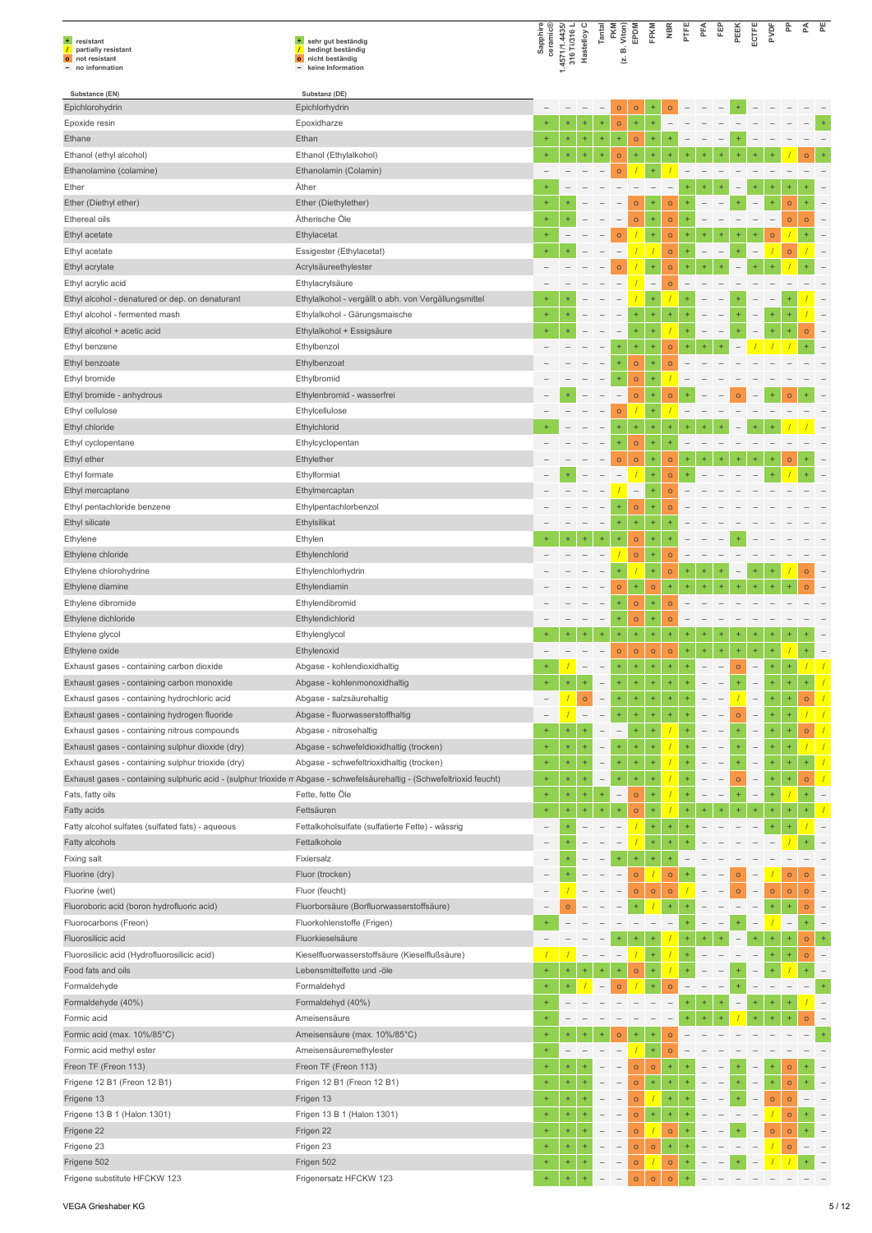| + resistant<br>partially resistant<br>$\prime$<br>o not resistant<br>- no information                                   | + sehr gut beständig<br>/ bedingt beständig<br>o nicht beständig<br>- keine Information | Sapphire<br>ceramic®     |              | 1.4571/1.4435/<br>316 Ti/316 L<br>Hastelloy C | Tantal                     | FKM<br>Viton)<br>ம்<br>브          | EPDM               | FFKM                     | <b>NBR</b>             | PTFE | PFA                      | Ë                        | PEEK     | ECTFE                    | pypF      | 운                       | ₫         | 뿐         |
|-------------------------------------------------------------------------------------------------------------------------|-----------------------------------------------------------------------------------------|--------------------------|--------------|-----------------------------------------------|----------------------------|-----------------------------------|--------------------|--------------------------|------------------------|------|--------------------------|--------------------------|----------|--------------------------|-----------|-------------------------|-----------|-----------|
| Substance (EN)                                                                                                          | Substanz (DE)                                                                           |                          |              |                                               |                            |                                   |                    |                          |                        |      |                          |                          |          |                          |           |                         |           |           |
| Epichlorohydrin                                                                                                         | Epichlorhydrin                                                                          |                          |              |                                               |                            | $\circ$                           | $\circ$            |                          |                        |      |                          |                          |          |                          |           |                         |           |           |
| Epoxide resin<br>Ethane                                                                                                 | Epoxidharze<br>Ethan                                                                    | $\ddot{}$<br>$\ddot{}$   | $\ddot{}$    | ÷<br>$\ddot{}$                                | $\ddot{}$<br>$^\mathrm{+}$ | $\circ$<br>$^{+}$                 | ÷,<br>$\circ$      | ÷                        |                        |      |                          |                          |          |                          |           |                         |           |           |
| Ethanol (ethyl alcohol)                                                                                                 | Ethanol (Ethylalkohol)                                                                  | $\ddot{}$                | $\ddot{}$    | $\ddot{}$                                     | $\ddot{}$                  | $\circ$                           | ÷                  |                          |                        |      |                          |                          |          |                          |           |                         |           |           |
| Ethanolamine (colamine)                                                                                                 | Ethanolamin (Colamin)                                                                   | $\overline{\phantom{a}}$ |              |                                               |                            | $\circ$                           |                    |                          |                        |      |                          |                          |          |                          |           |                         |           |           |
| Ether                                                                                                                   | Äther                                                                                   | $+$                      |              |                                               |                            |                                   |                    |                          |                        |      |                          |                          |          |                          |           |                         |           |           |
| Ether (Diethyl ether)                                                                                                   | Ether (Diethylether)                                                                    | $\ddot{}$                |              |                                               |                            |                                   | $\circ$            |                          | $\circ$                |      |                          |                          |          |                          |           | $\circ$                 |           |           |
| Ethereal oils                                                                                                           | Ätherische Öle                                                                          | $\ddot{}$                |              |                                               |                            |                                   | $\circ$            | $\ddot{}$                | $\circ$                |      |                          |                          |          |                          |           | $\circ$                 |           |           |
| Ethyl acetate                                                                                                           | Ethylacetat                                                                             | $\ddot{}$                |              |                                               |                            | $\circ$                           |                    | ÷                        | $\circ$                |      |                          |                          |          |                          | $\circ$   |                         |           |           |
| Ethyl acetate                                                                                                           | Essigester (Ethylacetat)                                                                | $\ddot{}$                |              |                                               |                            |                                   |                    |                          | $\circ$                |      |                          |                          |          |                          |           | $\circ$                 |           |           |
| Ethyl acrylate                                                                                                          | Acrylsäureethylester                                                                    |                          |              |                                               |                            | $\Omega$                          |                    |                          | $\Omega$               |      |                          |                          |          |                          |           |                         |           |           |
| Ethyl acrylic acid                                                                                                      | Ethylacrylsäure                                                                         |                          |              |                                               |                            |                                   |                    | $\overline{\phantom{a}}$ | $\circ$                |      |                          |                          |          |                          |           |                         |           |           |
| Ethyl alcohol - denatured or dep. on denaturant<br>Ethyl alcohol - fermented mash                                       | Ethylalkohol - vergällt o abh. von Vergällungsmittel<br>Ethylalkohol - Gärungsmaische   | $\ddot{}$                |              |                                               |                            |                                   | $\ddot{}$          | $\ddot{}$                | $\ddot{}$              |      |                          |                          |          |                          | $\ddot{}$ |                         |           |           |
| Ethyl alcohol + acetic acid                                                                                             | Ethylalkohol + Essigsäure                                                               | $\ddot{}$                |              |                                               |                            |                                   |                    | ÷                        |                        |      |                          |                          |          |                          |           |                         | $\circ$   |           |
| Ethyl benzene                                                                                                           | Ethylbenzol                                                                             |                          |              |                                               |                            | $\ddot{}$                         | $\ddot{}$          | $\ddot{}$                | $\circ$                |      |                          |                          |          |                          |           |                         |           |           |
| Ethyl benzoate                                                                                                          | Ethylbenzoat                                                                            |                          |              |                                               |                            | $\ddot{}$                         | $\circ$            | $\ddot{}$                | $\circ$                |      |                          |                          |          |                          |           |                         |           |           |
| Ethyl bromide                                                                                                           | Ethylbromid                                                                             |                          |              |                                               |                            | $\ddot{}$                         | $\circ$            | ÷                        |                        |      |                          |                          |          |                          |           |                         |           |           |
| Ethyl bromide - anhydrous                                                                                               | Ethylenbromid - wasserfrei                                                              |                          |              |                                               |                            | $\overline{\phantom{0}}$          | $\circ$            | $\ddot{}$                | $\circ$                |      |                          |                          | $\Omega$ |                          |           | $\Omega$                |           |           |
| Ethyl cellulose                                                                                                         | Ethylcellulose                                                                          |                          |              |                                               |                            | $\circ$                           |                    | ÷                        |                        |      |                          |                          |          |                          |           |                         |           |           |
| Ethyl chloride                                                                                                          | Ethylchlorid                                                                            |                          |              |                                               |                            |                                   | $\ddot{}$          |                          |                        |      |                          |                          |          |                          |           |                         |           |           |
| Ethyl cyclopentane                                                                                                      | Ethylcyclopentan                                                                        |                          |              |                                               |                            | ÷                                 | $\circ$            | ÷                        |                        |      |                          |                          |          |                          |           |                         |           |           |
| Ethyl ether                                                                                                             | Ethylether                                                                              |                          |              |                                               |                            | $\circ$                           | $\circ$            | 4                        | $\mathsf{o}$           | ÷    |                          |                          |          |                          |           | $\circ$                 |           |           |
| Ethyl formate                                                                                                           | Ethylformiat                                                                            |                          |              |                                               |                            |                                   |                    | ÷                        | $\circ$                |      |                          |                          |          |                          |           |                         |           |           |
| Ethyl mercaptane                                                                                                        | Ethylmercaptan                                                                          |                          |              |                                               |                            |                                   | $\qquad \qquad -$  | ÷<br>÷                   | $\Omega$               |      |                          |                          |          |                          |           |                         |           |           |
| Ethyl pentachloride benzene<br>Ethyl silicate                                                                           | Ethylpentachlorbenzol<br>Ethylsilikat                                                   |                          |              |                                               |                            | $\ddot{}$                         | $\circ$<br>Ŧ       | $\ddot{}$                | $\circ$                |      |                          |                          |          |                          |           |                         |           |           |
| Ethylene                                                                                                                | Ethylen                                                                                 |                          |              |                                               | ÷                          |                                   | $\circ$            | $\ddot{}$                |                        |      |                          |                          |          |                          |           |                         |           |           |
| Ethylene chloride                                                                                                       | Ethylenchlorid                                                                          |                          |              |                                               |                            |                                   | $\circ$            | ÷                        | $\circ$                |      |                          |                          |          |                          |           |                         |           |           |
| Ethylene chlorohydrine                                                                                                  | Ethylenchlorhydrin                                                                      |                          |              |                                               |                            | $\ddot{}$                         |                    | $\ddot{}$                | $\mathsf{o}$           | ÷    |                          |                          |          |                          |           |                         | $\circ$   |           |
| Ethylene diamine                                                                                                        | Ethylendiamin                                                                           |                          |              |                                               |                            | $\circ$                           | ÷                  | $\circ$                  | $\ddot{}$              |      |                          |                          |          |                          |           |                         |           |           |
| Ethylene dibromide                                                                                                      | Ethylendibromid                                                                         |                          |              |                                               |                            |                                   | $\circ$            | ÷                        | $\Omega$               |      |                          |                          |          |                          |           |                         |           |           |
| Ethylene dichloride                                                                                                     | Ethylendichlorid                                                                        |                          |              |                                               | $\overline{\phantom{a}}$   | $\ddot{}$                         | $\circ$            | ÷                        | $\circ$                |      |                          |                          |          |                          |           |                         |           |           |
| Ethylene glycol                                                                                                         | Ethylenglycol                                                                           |                          |              |                                               | ÷                          |                                   | ÷                  | 4                        | $\ddot{}$              | ÷    |                          |                          | ÷        |                          |           |                         |           |           |
| Ethylene oxide                                                                                                          | Ethylenoxid                                                                             |                          |              |                                               |                            | $\circ$                           | $\circ$            | $\circ$                  | $\circ$                | ÷    | ÷                        | $\ddot{}$                | ÷        |                          | $\ddot{}$ |                         |           |           |
| Exhaust gases - containing carbon dioxide                                                                               | Abgase - kohlendioxidhaltig                                                             | $\ddot{}$                |              | $\overline{\phantom{a}}$                      | $\overline{\phantom{0}}$   | $\ddot{}$                         | ÷                  | $\ddot{}$                | $\ddot{}$              | ÷    | $\overline{\phantom{0}}$ | $\overline{\phantom{0}}$ | $\circ$  | $\overline{\phantom{0}}$ | $\ddot{}$ |                         |           |           |
| Exhaust gases - containing carbon monoxide<br>Exhaust gases - containing hydrochloric acid                              | Abgase - kohlenmonoxidhaltig<br>Abgase - salzsäurehaltig                                |                          |              | $\circ$                                       | $\qquad \qquad -$          | ÷                                 | $\ddot{}$          | ÷                        | $\ddot{}$              |      |                          |                          |          |                          | ÷         | ÷                       | $\circ$   |           |
| Exhaust gases - containing hydrogen fluoride                                                                            | Abgase - fluorwasserstoffhaltig                                                         | $\overline{\phantom{0}}$ |              | $\overline{\phantom{a}}$                      | $\overline{\phantom{0}}$   | $\ddot{}$                         | ÷                  | $\ddot{}$                | $\ddot{}$              |      |                          |                          | $\circ$  | $\qquad \qquad -$        | $\ddot{}$ |                         |           |           |
| Exhaust gases - containing nitrous compounds                                                                            | Abgase - nitrosehaltig                                                                  | $+$                      | $\ddot{}$    |                                               | $\overline{\phantom{a}}$   | $\hspace{1.0cm} - \hspace{1.0cm}$ | $\ddot{}$          | $\ddot{}$                |                        |      |                          |                          |          | $\overline{\phantom{0}}$ | $\ddot{}$ | $\ddot{}$               | $\circ$   |           |
| Exhaust gases - containing sulphur dioxide (dry)                                                                        | Abgase - schwefeldioxidhaltig (trocken)                                                 | $+$                      | $\ddot{}$    | $\ddot{}$                                     | $\qquad \qquad -$          | $\ddot{}$                         | Ŧ                  | ۰                        |                        |      |                          |                          |          | $\overline{\phantom{0}}$ | $+$       | ÷                       |           |           |
| Exhaust gases - containing sulphur trioxide (dry)                                                                       | Abgase - schwefeltrioxidhaltig (trocken)                                                | $\ddot{}$                | $\ddot{}$    | ÷                                             | $\qquad \qquad -$          | $\pm$                             | $\ddot{}$          | ÷                        |                        |      |                          |                          |          | $\qquad \qquad -$        | $\ddot{}$ | $\ddot{}$               | $\ddot{}$ |           |
| Exhaust gases - containing sulphuric acid - (sulphur trioxide m Abgase - schwefelsäurehaltig - (Schwefeltrioxid feucht) |                                                                                         | $\ddot{}$                |              |                                               | $\overline{\phantom{a}}$   | ÷                                 | $\ddot{}$          |                          |                        |      |                          |                          | $\circ$  | $\qquad \qquad -$        | $\ddot{}$ |                         | $\circ$   |           |
| Fats, fatty oils                                                                                                        | Fette, fette Öle                                                                        | $\ddot{}$                | $\ddot{}$    | ÷                                             | $^{+}$                     | $\overline{\phantom{0}}$          | $\circ$            | ÷                        |                        |      |                          |                          | ÷        | $\qquad \qquad -$        | $\ddot{}$ |                         |           |           |
| Fatty acids                                                                                                             | Fettsäuren                                                                              | $\ddot{}$                | $\ddot{}$    |                                               | $\ddot{}$                  | $\ddot{}$                         | $\circ$            | ÷                        |                        | ÷    |                          |                          |          | $\ddot{}$                | $\ddot{}$ | ÷                       |           |           |
| Fatty alcohol sulfates (sulfated fats) - aqueous                                                                        | Fettalkoholsulfate (sulfatierte Fette) - wässrig                                        | $\qquad \qquad -$        |              |                                               |                            |                                   |                    | ÷                        | $+$                    |      |                          |                          |          |                          |           |                         |           |           |
| Fatty alcohols                                                                                                          | Fettalkohole                                                                            | $\overline{\phantom{0}}$ |              |                                               |                            |                                   | $\ddot{}$          | ÷                        | $+$                    |      |                          |                          |          |                          |           |                         |           |           |
| Fixing salt<br>Fluorine (dry)                                                                                           | Fixiersalz<br>Fluor (trocken)                                                           | $\overline{\phantom{0}}$ |              |                                               |                            | $\ddot{}$                         | $\circ$            | ÷                        | $\circ$                |      |                          |                          | $\circ$  |                          |           | $\circ$                 | $\circ$   |           |
| Fluorine (wet)                                                                                                          | Fluor (feucht)                                                                          | $\qquad \qquad -$        |              |                                               |                            |                                   | $\circ$            | $\circ$                  | $\circ$                |      |                          |                          | $\circ$  | $\overline{\phantom{0}}$ | $\circ$   | $\circ$                 | $\circ$   |           |
| Fluoroboric acid (boron hydrofluoric acid)                                                                              | Fluorborsäure (Borfluorwasserstoffsäure)                                                |                          | $\mathsf{o}$ |                                               |                            |                                   | $\ddot{}$          |                          |                        |      |                          |                          |          |                          |           |                         | $\circ$   |           |
| Fluorocarbons (Freon)                                                                                                   | Fluorkohlenstoffe (Frigen)                                                              | $+$                      |              |                                               |                            |                                   |                    |                          |                        |      |                          |                          |          |                          |           |                         |           |           |
| Fluorosilicic acid                                                                                                      | Fluorkieselsäure                                                                        |                          |              |                                               |                            |                                   |                    |                          |                        |      |                          |                          |          |                          |           | ÷                       | $\circ$   |           |
| Fluorosilicic acid (Hydrofluorosilicic acid)                                                                            | Kieselfluorwasserstoffsäure (Kieselflußsäure)                                           |                          |              |                                               |                            |                                   |                    |                          |                        |      |                          |                          |          |                          |           | ÷                       | $\circ$   |           |
| Food fats and oils                                                                                                      | Lebensmittelfette und -öle                                                              | $\ddot{}$                |              |                                               |                            |                                   | $\circ$            |                          |                        |      |                          |                          |          |                          |           |                         |           |           |
| Formaldehyde                                                                                                            | Formaldehyd                                                                             | $\ddot{}$                | $\ddot{}$    |                                               |                            | $\Omega$                          |                    |                          |                        |      |                          |                          |          |                          |           |                         |           | $\ddot{}$ |
| Formaldehyde (40%)                                                                                                      | Formaldehyd (40%)                                                                       | $\ddot{}$                |              |                                               |                            |                                   |                    |                          |                        |      |                          |                          |          |                          |           |                         |           |           |
| Formic acid                                                                                                             | Ameisensäure                                                                            | $+$                      |              |                                               |                            |                                   |                    |                          |                        |      |                          |                          |          |                          |           |                         | $\Omega$  |           |
| Formic acid (max. 10%/85°C)                                                                                             | Ameisensäure (max. 10%/85°C)                                                            | $\ddot{}$                |              |                                               |                            | $\circ$                           |                    |                          |                        |      |                          |                          |          |                          |           |                         |           |           |
| Formic acid methyl ester                                                                                                | Ameisensäuremethylester                                                                 | $\ddot{}$                |              |                                               |                            |                                   |                    | ÷                        | $\circ$                |      |                          |                          |          |                          |           |                         |           |           |
| Freon TF (Freon 113)<br>Frigene 12 B1 (Freon 12 B1)                                                                     | Freon TF (Freon 113)<br>Frigen 12 B1 (Freon 12 B1)                                      | $+$<br>$\ddot{}$         | $\ddot{}$    | ÷                                             |                            |                                   | $\circ$            | $\circ$<br>÷             | $\ddot{}$<br>$\ddot{}$ |      |                          |                          |          |                          | $\ddot{}$ | $\circ$                 |           |           |
| Frigene 13                                                                                                              | Frigen 13                                                                               | $\ddot{}$                | $\ddot{}$    |                                               |                            |                                   | $\circ$<br>$\circ$ |                          | $\ddot{}$              |      |                          |                          |          | $\overline{\phantom{0}}$ | $\circ$   | $\mathsf{o}$<br>$\circ$ |           |           |
| Frigene 13 B 1 (Halon 1301)                                                                                             | Frigen 13 B 1 (Halon 1301)                                                              | $\ddot{}$                | $\ddot{}$    |                                               | $\overline{\phantom{0}}$   | $\overline{\phantom{0}}$          | $\circ$            | ÷                        | $\ddot{}$              |      |                          |                          |          |                          |           | $\circ$                 |           |           |
| Frigene 22                                                                                                              | Frigen 22                                                                               | $+$                      | $\ddot{}$    |                                               | $\overline{\phantom{a}}$   | $\overline{\phantom{0}}$          | $\circ$            |                          | $\circ$                |      |                          |                          |          |                          | $\circ$   | $\circ$                 |           |           |
| Frigene 23                                                                                                              | Frigen 23                                                                               | $+$                      | $\ddot{}$    | ÷                                             |                            |                                   | $\circ$            | $\circ$                  | $\ddot{}$              |      |                          |                          |          |                          |           | $\circ$                 |           |           |
| Frigene 502                                                                                                             | Frigen 502                                                                              | $\ddot{}$                | $\ddot{}$    |                                               |                            |                                   | $\circ$            | $\overline{1}$           | $\mathsf{o}$           |      |                          |                          |          |                          |           |                         |           |           |
| Frigene substitute HFCKW 123                                                                                            | Frigenersatz HFCKW 123                                                                  | $\ddot{}$                | Ŧ            |                                               |                            |                                   | $\circ$            | $\circ$                  | $\circ$                |      |                          |                          |          |                          |           |                         |           |           |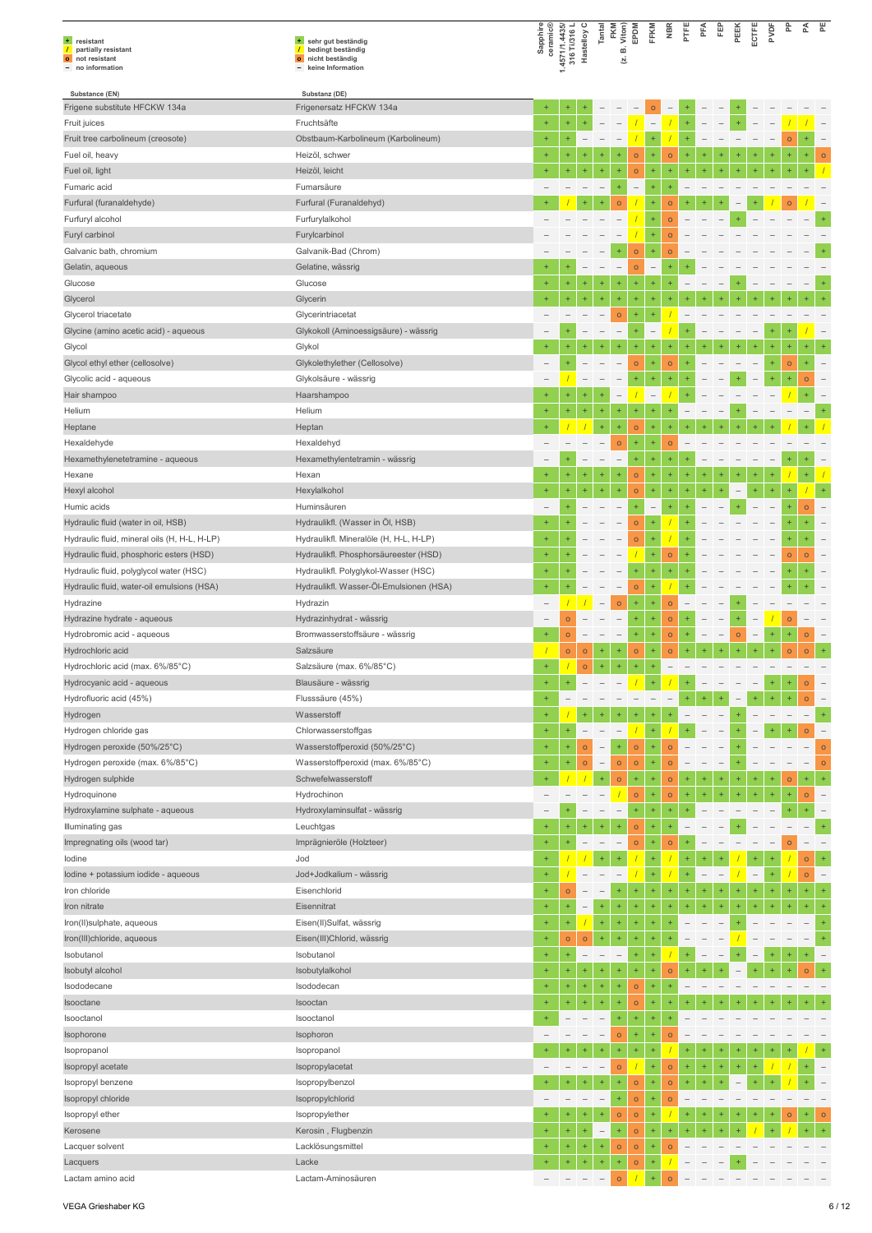| + resistant<br>$\overline{1}$<br>partially resistant<br>o not resistant<br>- no information | + sehr gut beständig<br>/ bedingt beständig<br>o nicht beständig<br>- keine Information | Sapphire<br>ceramic®     | 1.4571/1.4435/<br>316 Ti/316 L<br>Hastelloy C |                                   | Tantal                                 | FKM<br>B. Viton)<br>Σj        | EPDM                 | FFKM                     | <b>NBR</b>                          | PTFE      | PFA            | 臣         | PEEK    | ECTFE        | ğ         | 운                                 | 준                        | 뿐                        |
|---------------------------------------------------------------------------------------------|-----------------------------------------------------------------------------------------|--------------------------|-----------------------------------------------|-----------------------------------|----------------------------------------|-------------------------------|----------------------|--------------------------|-------------------------------------|-----------|----------------|-----------|---------|--------------|-----------|-----------------------------------|--------------------------|--------------------------|
| Substance (EN)                                                                              | Substanz (DE)                                                                           |                          |                                               |                                   |                                        |                               |                      |                          |                                     |           |                |           |         |              |           |                                   |                          |                          |
| Frigene substitute HFCKW 134a                                                               | Frigenersatz HFCKW 134a                                                                 | $\ddot{}$                | ÷                                             |                                   |                                        |                               |                      | $\circ$                  | $\overline{\phantom{0}}$            |           |                |           |         |              |           |                                   |                          |                          |
| Fruit juices                                                                                | Fruchtsäfte                                                                             | $\ddot{}$                | $\ddot{}$                                     | ÷.                                |                                        |                               |                      | Ĭ.                       |                                     | $+$       |                |           | $+$     |              |           |                                   |                          |                          |
| Fruit tree carbolineum (creosote)<br>Fuel oil, heavy                                        | Obstbaum-Karbolineum (Karbolineum)<br>Heizöl, schwer                                    | $\ddot{}$<br>$\ddot{}$   | $\ddot{}$                                     |                                   |                                        |                               | $\circ$              | ÷<br>Ŧ                   | $\circ$                             |           |                |           |         |              |           | $\circ$                           |                          | $\mathsf{o}$             |
| Fuel oil, light                                                                             | Heizöl, leicht                                                                          | $\ddot{}$                | $\ddot{}$                                     | Ŧ                                 |                                        | ÷                             | $\circ$              | $\ddot{}$                | $\ddot{}$                           |           |                |           |         |              |           |                                   |                          |                          |
| Fumaric acid                                                                                | Fumarsäure                                                                              |                          |                                               |                                   |                                        | +                             | $\qquad \qquad -$    | ÷                        | ÷                                   |           |                |           |         |              |           |                                   |                          |                          |
| Furfural (furanaldehyde)                                                                    | Furfural (Furanaldehyd)                                                                 | ÷                        |                                               |                                   |                                        | $\circ$                       |                      | ÷                        | $\circ$                             |           |                |           |         |              |           | $\overline{O}$                    |                          |                          |
| Furfuryl alcohol                                                                            | Furfurylalkohol                                                                         |                          |                                               |                                   |                                        |                               |                      | $\ddot{}$                | $\circ$                             |           |                |           |         |              |           |                                   |                          |                          |
| Furyl carbinol                                                                              | Furylcarbinol                                                                           |                          |                                               |                                   |                                        |                               |                      | ÷                        | $\overline{O}$                      |           |                |           |         |              |           |                                   |                          |                          |
| Galvanic bath, chromium                                                                     | Galvanik-Bad (Chrom)                                                                    |                          |                                               |                                   |                                        |                               | $\circ$              | ÷                        | $\circ$                             |           |                |           |         |              |           |                                   |                          |                          |
| Gelatin, aqueous                                                                            | Gelatine, wässrig                                                                       |                          |                                               |                                   |                                        | $\overline{\phantom{a}}$      | $\circ$              | $\qquad \qquad -$        |                                     |           |                |           |         |              |           |                                   |                          |                          |
| Glucose                                                                                     | Glucose                                                                                 | $\ddot{}$<br>4           | ÷<br>÷                                        | ÷<br>$\ddot{}$                    | $\ddot{}$<br>$\ddot{}$                 | ÷                             | $\ddot{}$            | ÷<br>$\ddot{}$           | $+$<br>4                            |           |                |           |         |              |           |                                   |                          |                          |
| Glycerol<br>Glycerol triacetate                                                             | Glycerin<br>Glycerintriacetat                                                           | $\qquad \qquad -$        |                                               |                                   |                                        | ÷<br>$\circ$                  | $\ddot{}$<br>÷       | $\ddot{}$                |                                     |           |                |           |         |              |           |                                   |                          |                          |
| Glycine (amino acetic acid) - aqueous                                                       | Glykokoll (Aminoessigsäure) - wässrig                                                   |                          |                                               |                                   |                                        | $\overline{\phantom{a}}$      | $\ddot{}$            | $\qquad \qquad -$        |                                     |           |                |           |         |              |           |                                   |                          |                          |
| Glycol                                                                                      | Glykol                                                                                  | $+$                      | ÷                                             |                                   |                                        |                               | ÷                    | $\ddot{}$                | ÷                                   |           |                |           |         |              |           |                                   |                          |                          |
| Glycol ethyl ether (cellosolve)                                                             | Glykolethylether (Cellosolve)                                                           |                          | ÷                                             |                                   |                                        |                               | $\circ$              | ÷                        | $\circ$                             |           |                |           |         |              | $\ddot{}$ | $\circ$                           |                          |                          |
| Glycolic acid - aqueous                                                                     | Glykolsäure - wässrig                                                                   |                          |                                               |                                   |                                        |                               | $\ddot{}$            | ÷                        | $\ddot{}$                           |           |                |           |         |              |           | ÷                                 | $\circ$                  |                          |
| Hair shampoo                                                                                | Haarshampoo                                                                             | $\ddot{}$                | ÷                                             | $\ddot{}$                         |                                        | $\overline{\phantom{0}}$      |                      | $\overline{\phantom{a}}$ |                                     |           |                |           |         |              |           |                                   | ÷                        |                          |
| Helium                                                                                      | Helium                                                                                  | $\ddot{}$                | $\ddot{}$                                     | $\ddot{}$                         | $\ddot{}$                              | ÷                             | $\ddot{}$            | ÷                        | ÷                                   |           |                |           |         |              |           |                                   |                          | ÷                        |
| Heptane                                                                                     | Heptan                                                                                  | $\ddot{}$                |                                               |                                   | $\ddot{}$                              | ÷                             | $\circ$              | ÷                        |                                     |           |                |           |         |              |           |                                   |                          |                          |
| Hexaldehyde                                                                                 | Hexaldehyd                                                                              | -                        |                                               |                                   |                                        | $\circ$                       | ÷                    | ÷                        | $\circ$                             |           |                |           |         |              |           |                                   |                          |                          |
| Hexamethylenetetramine - aqueous                                                            | Hexamethylentetramin - wässrig                                                          |                          | $\ddot{}$                                     |                                   |                                        | $\overline{\phantom{a}}$      | ÷                    | ÷                        | ÷                                   |           |                |           |         |              |           |                                   |                          |                          |
| Hexane                                                                                      | Hexan                                                                                   | $\ddot{}$<br>$\ddot{}$   | $\ddot{}$                                     | ÷                                 |                                        | ÷<br>÷                        | $\circ$              | ÷<br>÷                   | $\ddot{}$<br>÷                      |           | ÷              |           |         | ÷            |           | ÷                                 | $\ddot{}$                |                          |
| Hexyl alcohol<br>Humic acids                                                                | Hexylalkohol<br>Huminsäuren                                                             | $\overline{\phantom{0}}$ |                                               |                                   |                                        |                               | $\circ$<br>$\ddot{}$ | $\overline{\phantom{0}}$ | ÷                                   |           |                |           |         |              |           |                                   | $\circ$                  |                          |
| Hydraulic fluid (water in oil, HSB)                                                         | Hydraulikfl. (Wasser in Öl, HSB)                                                        | $+$                      |                                               |                                   |                                        |                               | $\circ$              | $\ddot{}$                |                                     |           |                |           |         |              |           |                                   |                          |                          |
| Hydraulic fluid, mineral oils (H, H-L, H-LP)                                                | Hydraulikfl. Mineralöle (H, H-L, H-LP)                                                  | $\ddot{}$                |                                               |                                   |                                        |                               | $\circ$              | $\ddot{}$                |                                     |           |                |           |         |              |           |                                   |                          |                          |
| Hydraulic fluid, phosphoric esters (HSD)                                                    | Hydraulikfl. Phosphorsäureester (HSD)                                                   | $\ddot{}$                |                                               |                                   |                                        |                               |                      | ÷                        | $\circ$                             |           |                |           |         |              |           | $\circ$                           | $\circ$                  |                          |
| Hydraulic fluid, polyglycol water (HSC)                                                     | Hydraulikfl. Polyglykol-Wasser (HSC)                                                    | $\pm$                    |                                               |                                   |                                        |                               | $\ddot{}$            | $\ddot{}$                | $\ddot{}$                           |           |                |           |         |              |           |                                   | +                        |                          |
| Hydraulic fluid, water-oil emulsions (HSA)                                                  | Hydraulikfl. Wasser-Öl-Emulsionen (HSA)                                                 | $\ddot{}$                |                                               |                                   |                                        |                               | $\circ$              | ÷                        |                                     |           |                |           |         |              |           |                                   |                          |                          |
| Hydrazine                                                                                   | Hydrazin                                                                                | $\overline{\phantom{0}}$ |                                               |                                   |                                        | $\circ$                       | ÷                    | ÷                        | $\circ$                             |           |                |           |         |              |           |                                   |                          |                          |
| Hydrazine hydrate - aqueous                                                                 | Hydrazinhydrat - wässrig                                                                | $\overline{\phantom{a}}$ | $\overline{O}$                                |                                   |                                        | $\overline{\phantom{a}}$      | $\ddot{}$            | ÷                        | $\circ$                             | ÷         |                |           |         |              |           | $\circ$                           |                          |                          |
| Hydrobromic acid - aqueous                                                                  | Bromwasserstoffsäure - wässrig                                                          | $\ddot{}$                | $\mathsf{o}$                                  |                                   |                                        | $\overline{\phantom{a}}$      | $\ddot{}$            | ÷                        | $\circ$                             | $\ddot{}$ |                |           | $\circ$ |              | $\ddot{}$ | $\ddot{}$                         | $\circ$                  | $\qquad \qquad -$        |
| Hydrochloric acid                                                                           | Salzsäure                                                                               | $\ddot{}$                | $\mathsf{o}$                                  | $\circ$                           | $\ddot{}$                              | ÷<br>$\ddot{}$                | $\circ$<br>÷         | ÷<br>÷                   | $\circ$<br>$\overline{\phantom{a}}$ |           |                |           |         |              |           | $\circ$                           | $\circ$                  |                          |
| Hydrochloric acid (max. 6%/85°C)<br>Hydrocyanic acid - aqueous                              | Salzsäure (max. 6%/85°C)<br>Blausäure - wässrig                                         | $\ddot{}$                |                                               | $\circ$                           |                                        |                               |                      |                          |                                     |           |                |           |         |              |           |                                   | $\circ$                  |                          |
| Hydrofluoric acid (45%)                                                                     | Flusssäure (45%)                                                                        | $\ddot{}$                |                                               |                                   |                                        |                               |                      |                          |                                     |           |                |           |         |              |           | $\ddot{}$                         | $\circ$                  |                          |
| Hydrogen                                                                                    | Wasserstoff                                                                             | $+$                      |                                               |                                   |                                        | ÷                             |                      | $\ddot{}$                |                                     |           |                |           |         |              |           | $\hspace{1.0cm} - \hspace{1.0cm}$ | $\overline{\phantom{a}}$ | $\ddot{}$                |
| Hydrogen chloride gas                                                                       | Chlorwasserstoffgas                                                                     | $\pm$                    | $\ddot{}$                                     | $\overline{\phantom{a}}$          | $\overline{\phantom{a}}$               | $\overline{\phantom{m}}$      |                      | $\ddot{}$                |                                     |           |                |           |         |              |           | $\ddot{}$                         | $\circ$                  | $\qquad \qquad -$        |
| Hydrogen peroxide (50%/25°C)                                                                | Wasserstoffperoxid (50%/25°C)                                                           | $\ddot{}$                | ÷                                             | $\circ$                           | $\overline{\phantom{0}}$               | ÷                             | $\circ$              | $\ddot{}$                | $\circ$                             |           |                |           |         |              |           |                                   |                          | $\circ$                  |
| Hydrogen peroxide (max. 6%/85°C)                                                            | Wasserstoffperoxid (max. 6%/85°C)                                                       | $\ddot{}$                | $\ddot{}$                                     | $\circ$                           | $\overline{\phantom{a}}$               | $\circ$                       | $\circ$              | ÷                        | $\circ$                             |           |                |           |         |              |           |                                   |                          | $\circ$                  |
| Hydrogen sulphide                                                                           | Schwefelwasserstoff                                                                     | $\ddot{}$                |                                               |                                   | $\pm$                                  | $\circ$                       | ÷                    | $\ddot{}$                | $\circ$                             |           |                |           |         |              |           | $\circ$                           | $\ddot{}$                | Ŧ                        |
| Hydroquinone                                                                                | Hydrochinon                                                                             | $\overline{\phantom{0}}$ | $\overline{\phantom{a}}$                      |                                   |                                        | $\overline{1}$                | $\circ$              | $\ddot{}$                | $\circ$                             | $\ddot{}$ | $\ddot{}$      |           |         | $\ddot{}$    | $+$       | $\ddot{}$                         | $\circ$                  | $\overline{\phantom{a}}$ |
| Hydroxylamine sulphate - aqueous                                                            | Hydroxylaminsulfat - wässrig                                                            | $\overline{\phantom{0}}$ | ÷                                             |                                   | $\qquad \qquad -$                      | $\overline{\phantom{a}}$      | $\pm$                | $\ddot{}$                | $\pm$                               | $\ddot{}$ |                |           |         |              |           |                                   |                          |                          |
| Illuminating gas<br>Impregnating oils (wood tar)                                            | Leuchtgas                                                                               | $\ddot{}$<br>$\ddot{}$   | $\ddot{}$<br>$\ddot{}$                        | $\ddot{}$                         | $\ddot{}$                              | ÷<br>$\overline{\phantom{a}}$ | $\circ$              | ÷<br>$\ddot{}$           | $\ddot{}$                           | ÷         |                |           |         |              |           |                                   |                          | $\ddot{}$                |
| lodine                                                                                      | Imprägnieröle (Holzteer)<br>Jod                                                         | $+$                      |                                               |                                   | $\ddot{}$                              | ÷                             | $\circ$              | $\ddot{}$                | $\circ$                             |           | $\ddot{}$      |           |         | $\ddot{}$    |           | $\circ$                           | $\circ$                  | $\ddot{}$                |
| lodine + potassium iodide - aqueous                                                         | Jod+Jodkalium - wässrig                                                                 | $\ddot{}$                |                                               |                                   |                                        |                               |                      | $\ddot{}$                |                                     |           |                |           |         |              | $\ddot{}$ |                                   | $\circ$                  |                          |
| Iron chloride                                                                               | Eisenchlorid                                                                            | $\ddot{}$                | $\circ$                                       |                                   | $\overline{\phantom{0}}$               | $\ddot{}$                     | $\ddot{}$            | ÷                        | $\ddot{}$                           |           | ÷              | $\ddot{}$ |         | <sup>+</sup> |           | $\ddot{}$                         | $\ddot{}$                |                          |
| Iron nitrate                                                                                | Eisennitrat                                                                             | $\ddot{}$                | ÷                                             | $\qquad \qquad -$                 | ÷                                      | $\pm$                         | $\ddot{}$            | $\ddot{}$                | $\ddot{}$                           | $\ddot{}$ | $\ddot{}$      | $\ddot{}$ |         | $\ddot{}$    |           | $\ddot{}$                         | $\ddot{}$                | $\ddot{}$                |
| Iron(II)sulphate, aqueous                                                                   | Eisen(II)Sulfat, wässrig                                                                | $\ddot{}$                | ÷                                             |                                   | $\ddot{}$                              | $\ddot{}$                     | ÷                    | $\ddot{}$                | $\ddot{}$                           |           |                |           |         |              |           |                                   |                          | Ŧ                        |
| Iron(III)chloride, aqueous                                                                  | Eisen(III)Chlorid, wässrig                                                              | $\ddot{}$                | $\circ$                                       | $\bullet$                         | ÷                                      | $\pm$                         | $\ddot{}$            | $\ddot{}$                |                                     |           |                |           |         |              |           |                                   | $\overline{\phantom{0}}$ | $\ddot{}$                |
| Isobutanol                                                                                  | Isobutanol                                                                              | $\ddot{}$                | $\ddot{}$                                     | $\hspace{1.0cm} - \hspace{1.0cm}$ | $\qquad \qquad -$                      | $\overline{\phantom{a}}$      | $\ddot{}$            | $\ddot{}$                |                                     |           |                |           |         |              |           |                                   |                          | $\overline{a}$           |
| Isobutyl alcohol                                                                            | Isobutylalkohol                                                                         | $\ddot{}$                | $\ddot{}$                                     | $\ddot{}$                         | $\ddot{}$                              | ÷                             | ÷                    | ÷                        | $\circ$                             |           |                |           |         |              |           |                                   | $\overline{O}$           |                          |
| Isododecane                                                                                 | Isododecan                                                                              | $\ddot{}$                | ÷                                             | $\ddot{}$                         | ÷                                      | $\pm$                         | $\circ$              | $\ddot{}$                | $\ddot{}$                           |           |                |           |         |              |           |                                   |                          |                          |
| Isooctane                                                                                   | Isooctan                                                                                | $\ddot{}$<br>$\ddot{}$   | $\ddot{}$                                     | $\ddot{}$                         | $\ddot{}$                              | $\ddot{}$<br>$\ddot{}$        | $\circ$              | $\ddot{}$                | $\ddot{}$                           |           |                |           |         |              |           |                                   |                          |                          |
| Isooctanol<br>Isophorone                                                                    | Isooctanol<br>Isophoron                                                                 | $\overline{\phantom{0}}$ | $\overline{\phantom{0}}$                      |                                   | $\qquad \qquad -$<br>$\qquad \qquad -$ | $\circ$                       | ÷<br>$\ddot{}$       | $\ddot{}$                | $\circ$                             |           |                |           |         |              |           |                                   |                          |                          |
| Isopropanol                                                                                 | Isopropanol                                                                             | $\ddot{}$                | ÷                                             | $\ddot{}$                         | $\ddot{}$                              | Ŧ                             | ÷                    | $\ddot{}$                |                                     |           |                |           |         |              |           |                                   |                          |                          |
| Isopropyl acetate                                                                           | Isopropylacetat                                                                         | $\overline{\phantom{0}}$ |                                               | $\overline{\phantom{a}}$          | $\overline{\phantom{0}}$               | $\circ$                       | $\overline{1}$       | ÷                        | $\circ$                             | ÷         | $\ddot{}$      | $\ddot{}$ |         |              |           |                                   |                          |                          |
| Isopropyl benzene                                                                           | Isopropylbenzol                                                                         | $\ddot{}$                | $\ddot{}$                                     | $\ddot{}$                         | $\ddot{}$                              | ÷                             | $\circ$              | ÷                        | $\circ$                             | $\ddot{}$ | Ŧ              |           |         |              |           |                                   |                          |                          |
| Isopropyl chloride                                                                          | Isopropylchlorid                                                                        |                          |                                               |                                   |                                        | ÷                             | $\circ$              | $\ddot{}$                | $\circ$                             |           |                |           |         |              |           |                                   |                          |                          |
| Isopropyl ether                                                                             | Isopropylether                                                                          | $\ddot{}$                | ÷                                             | $^{+}$                            | $\ddot{}$                              | $\circ$                       | $\circ$              | ÷                        |                                     |           | ÷              | $\ddot{}$ |         | ÷            |           | $\circ$                           | ÷                        | $\circ$                  |
| Kerosene                                                                                    | Kerosin, Flugbenzin                                                                     | $\ddot{}$                | ÷                                             | $\ddot{}$                         | $\qquad \qquad -$                      | ÷,                            | $\circ$              | ÷                        | $\ddot{}$                           | $\ddot{}$ | $\overline{1}$ |           |         |              |           |                                   |                          |                          |
| Lacquer solvent                                                                             | Lacklösungsmittel                                                                       | $\ddot{}$                | $\ddot{}$                                     | ÷                                 | $\pm$                                  | $\circ$                       | $\circ$              | $\ddot{}$                | $\circ$                             |           |                |           |         |              |           |                                   |                          |                          |
| Lacquers                                                                                    | Lacke                                                                                   | $\ddot{}$                | ÷                                             | $\ddot{}$                         | $\ddot{}$                              | $\ddot{}$                     | $\circ$              | $\ddot{}$                |                                     |           |                |           |         |              |           |                                   |                          |                          |
| Lactam amino acid                                                                           | Lactam-Aminosäuren                                                                      |                          |                                               |                                   |                                        | $\circ$                       |                      | $\ddot{}$                | $\circ$                             |           |                |           |         |              |           |                                   |                          |                          |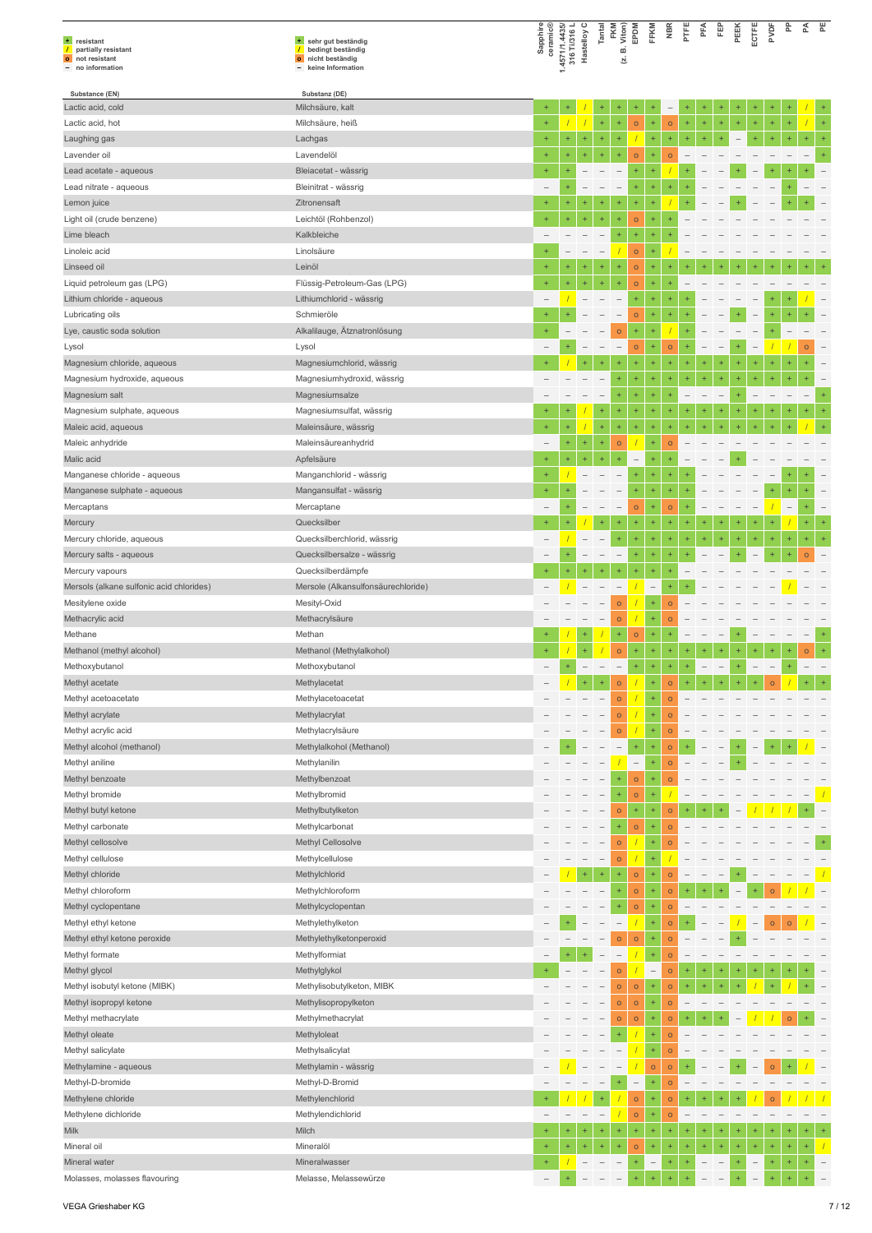| + resistant<br>$\sqrt{ }$<br>partially resistant<br>o not resistant<br>- no information | + sehr gut beständig<br>$\sqrt{ }$<br>bedingt beständig<br>o nicht beständig<br>- keine Information | Sapphire<br>ceramic®     | 1.4571/1.4435/<br>316 Ti/316 L<br>Hastelloy C |                          | Tantal                   | FKM<br>Viton)<br>ø<br>Σj | EPDM                     | FFKM                     | <b>NBR</b>           | PTFE                             | PFA                      | 臣                        | PEEK                     | ECTFE                    | PVDF                     | 운         | 준                 | PΕ        |
|-----------------------------------------------------------------------------------------|-----------------------------------------------------------------------------------------------------|--------------------------|-----------------------------------------------|--------------------------|--------------------------|--------------------------|--------------------------|--------------------------|----------------------|----------------------------------|--------------------------|--------------------------|--------------------------|--------------------------|--------------------------|-----------|-------------------|-----------|
| Substance (EN)                                                                          | Substanz (DE)                                                                                       |                          |                                               |                          |                          |                          |                          |                          |                      |                                  |                          |                          |                          |                          |                          |           |                   |           |
| Lactic acid, cold                                                                       | Milchsäure, kalt                                                                                    | $^{+}$                   |                                               |                          |                          |                          |                          |                          |                      |                                  |                          |                          |                          |                          |                          |           |                   |           |
| Lactic acid, hot                                                                        | Milchsäure, heiß                                                                                    | $\ddot{}$                |                                               |                          | $\ddot{}$                | ÷                        | $\circ$                  | $\ddot{}$                | $\circ$              | $\ddot{}$                        | $\ddot{}$                |                          |                          | ÷                        |                          |           |                   |           |
| Laughing gas                                                                            | Lachgas                                                                                             | $\ddot{}$                |                                               | ÷                        | $\ddot{}$                | ÷                        |                          | ÷                        | ÷                    |                                  | $\ddot{}$                |                          | $\overline{\phantom{0}}$ |                          |                          |           |                   |           |
| Lavender oil                                                                            | Lavendelöl                                                                                          | $\ddot{}$                | ÷                                             | ÷                        | $\ddot{}$                | $\ddot{}$                | $\circ$                  | ٠                        | $\circ$              |                                  |                          |                          |                          |                          |                          |           |                   |           |
| Lead acetate - aqueous                                                                  | Bleiacetat - wässrig                                                                                | ÷                        |                                               |                          |                          |                          | $\ddot{}$                | $\ddot{}$                |                      |                                  |                          |                          |                          |                          |                          |           |                   |           |
| Lead nitrate - aqueous                                                                  | Bleinitrat - wässrig                                                                                |                          | ÷                                             |                          |                          | $\overline{\phantom{m}}$ | $^{+}$                   | $\ddot{}$                | ÷                    |                                  |                          |                          |                          |                          |                          |           |                   |           |
| Lemon juice                                                                             | Zitronensaft                                                                                        |                          |                                               |                          |                          | $\ddot{}$                | ÷                        | ÷                        |                      |                                  |                          |                          |                          |                          |                          |           |                   |           |
| Light oil (crude benzene)                                                               | Leichtöl (Rohbenzol)                                                                                | $+$                      | ÷                                             | $\ddot{}$                | $\ddot{}$                | ÷                        | $\circ$                  | ÷                        |                      |                                  |                          |                          |                          |                          |                          |           |                   |           |
| Lime bleach                                                                             | Kalkbleiche                                                                                         |                          |                                               |                          |                          | ÷                        | ÷                        | ÷                        |                      |                                  |                          |                          |                          |                          |                          |           |                   |           |
| Linoleic acid                                                                           | Linolsäure                                                                                          |                          |                                               |                          | $\overline{\phantom{0}}$ |                          | $\circ$                  |                          |                      |                                  |                          |                          |                          |                          |                          |           |                   |           |
| Linseed oil                                                                             | Leinöl                                                                                              | $\ddot{}$<br>$\ddot{}$   | $\ddot{}$<br>÷                                | ÷                        | $\ddot{}$                | $\ddot{}$<br>÷           | $\circ$                  | $\ddot{}$                |                      |                                  |                          |                          |                          |                          |                          |           |                   |           |
| Liquid petroleum gas (LPG)                                                              | Flüssig-Petroleum-Gas (LPG)                                                                         |                          |                                               |                          |                          |                          | $\circ$                  | $\ddot{}$<br>$\ddot{}$   |                      |                                  |                          |                          |                          |                          |                          |           |                   |           |
| Lithium chloride - aqueous                                                              | Lithiumchlorid - wässrig                                                                            | $\ddot{}$                |                                               |                          |                          |                          | $\ddot{}$                |                          | ÷                    |                                  |                          |                          |                          |                          |                          |           |                   |           |
| Lubricating oils                                                                        | Schmieröle                                                                                          | $\ddot{}$                |                                               |                          |                          | $\qquad \qquad -$        | $\circ$                  | ÷                        |                      |                                  |                          |                          |                          |                          |                          |           |                   |           |
| Lye, caustic soda solution                                                              | Alkalilauge, Ätznatronlösung                                                                        |                          |                                               |                          |                          | $\circ$                  | $^{+}$                   | $\ddot{}$                |                      |                                  |                          |                          |                          |                          |                          |           |                   |           |
| Lysol                                                                                   | Lysol                                                                                               |                          |                                               |                          |                          | ÷                        | $\circ$                  | $\ddot{}$<br>$\ddot{}$   | $\circ$<br>$\ddot{}$ |                                  | $\ddot{}$                |                          |                          |                          |                          |           | $\circ$           |           |
| Magnesium chloride, aqueous                                                             | Magnesiumchlorid, wässrig                                                                           |                          |                                               |                          |                          | ÷                        | ÷<br>÷                   | $\ddot{}$                | $\ddot{}$            | $\ddot{}$<br>$\ddot{}$           | $\ddot{}$                | ÷<br>$\ddot{}$           | $\ddot{}$                | 4                        |                          |           |                   |           |
| Magnesium hydroxide, aqueous                                                            | Magnesiumhydroxid, wässrig                                                                          |                          |                                               |                          |                          | $\ddot{}$                | $\ddot{}$                | $\ddot{}$                | ÷                    |                                  |                          |                          |                          |                          |                          |           |                   | $\ddot{}$ |
| Magnesium salt<br>Magnesium sulphate, aqueous                                           | Magnesiumsalze<br>Magnesiumsulfat, wässrig                                                          | $\ddot{}$                |                                               |                          | $\ddot{}$                | ÷                        | $^{+}$                   | $\ddot{}$                |                      |                                  |                          |                          |                          |                          |                          |           | ÷                 | ÷         |
| Maleic acid, aqueous                                                                    | Maleinsäure, wässrig                                                                                | $\ddot{}$                |                                               |                          | $\ddot{}$                | ÷                        |                          | ÷                        |                      |                                  |                          |                          |                          |                          |                          |           |                   |           |
| Maleic anhydride                                                                        | Maleinsäureanhydrid                                                                                 | $\overline{\phantom{0}}$ | $+$                                           | ÷                        | $\ddot{}$                | $\mathsf{o}$             |                          | Ŧ                        | $\circ$              |                                  |                          |                          |                          |                          |                          |           |                   |           |
| Malic acid                                                                              |                                                                                                     | $\ddot{}$                | ÷                                             |                          |                          | ł                        |                          |                          |                      |                                  |                          |                          |                          |                          |                          |           |                   |           |
| Manganese chloride - aqueous                                                            | Apfelsäure<br>Manganchlorid - wässrig                                                               |                          |                                               |                          |                          |                          |                          |                          |                      |                                  |                          |                          |                          |                          |                          |           |                   |           |
|                                                                                         |                                                                                                     | $+$                      |                                               |                          |                          |                          |                          | $\ddot{}$                | ÷                    |                                  |                          |                          |                          |                          |                          |           |                   |           |
| Manganese sulphate - aqueous                                                            | Mangansulfat - wässrig                                                                              |                          |                                               |                          |                          | $\overline{\phantom{a}}$ | $\ddot{}$                |                          |                      |                                  |                          |                          |                          |                          |                          |           |                   |           |
| Mercaptans                                                                              | Mercaptane<br>Quecksilber                                                                           | $\ddot{}$                |                                               |                          |                          | ÷                        | $\circ$<br>÷             | ÷<br>÷                   | $\mathsf{o}$<br>÷    |                                  |                          |                          |                          |                          |                          |           |                   |           |
| Mercury<br>Mercury chloride, aqueous                                                    | Quecksilberchlorid, wässrig                                                                         | $\overline{\phantom{0}}$ |                                               |                          |                          | ÷                        | ÷                        | ÷                        | ÷                    |                                  |                          |                          |                          |                          |                          |           |                   |           |
|                                                                                         | Quecksilbersalze - wässrig                                                                          |                          | ÷                                             |                          |                          | $\overline{\phantom{a}}$ | $\ddot{}$                | $\ddot{}$                | $\ddot{}$            |                                  |                          |                          |                          |                          |                          |           | $\circ$           |           |
| Mercury salts - aqueous                                                                 | Quecksilberdämpfe                                                                                   | $\ddot{}$                |                                               |                          |                          | ÷                        |                          | $\ddot{}$                |                      |                                  |                          |                          |                          |                          |                          |           |                   |           |
| Mercury vapours                                                                         |                                                                                                     |                          |                                               |                          |                          | $\overline{\phantom{m}}$ |                          | $\overline{\phantom{0}}$ |                      |                                  |                          |                          |                          |                          |                          |           |                   |           |
| Mersols (alkane sulfonic acid chlorides)<br>Mesitylene oxide                            | Mersole (Alkansulfonsäurechloride)<br>Mesityl-Oxid                                                  |                          |                                               |                          |                          | $\circ$                  |                          | $\ddot{}$                | $\circ$              |                                  |                          |                          |                          |                          |                          |           |                   |           |
| Methacrylic acid                                                                        | Methacrylsäure                                                                                      |                          |                                               |                          |                          | $\circ$                  |                          | $\ddot{}$                | $\circ$              |                                  |                          |                          |                          |                          |                          |           |                   |           |
| Methane                                                                                 | Methan                                                                                              | $\ddot{}$                |                                               | ÷                        |                          | ÷                        | $\circ$                  | ÷                        | ÷                    |                                  |                          |                          |                          |                          |                          |           | $\qquad \qquad -$ | $\ddot{}$ |
| Methanol (methyl alcohol)                                                               | Methanol (Methylalkohol)                                                                            | $\ddot{}$                |                                               | Ŧ                        |                          | $\circ$                  | ÷                        | ÷                        | ÷                    |                                  |                          |                          |                          |                          |                          |           | $\circ$           | $\ddot{}$ |
| Methoxybutanol                                                                          | Methoxybutanol                                                                                      | $\overline{\phantom{0}}$ | $\pm$                                         | $\overline{\phantom{0}}$ | $\overline{\phantom{m}}$ | $\overline{\phantom{a}}$ | $\pm$                    | ÷,                       | $\pm$                | $\begin{array}{c} + \end{array}$ | $\overline{\phantom{0}}$ | $\overline{\phantom{a}}$ | $+$                      | $\overline{\phantom{0}}$ | $\overline{\phantom{a}}$ | $\ddot{}$ |                   |           |
| Methyl acetate                                                                          | Methylacetat                                                                                        |                          |                                               | ÷,                       | ÷,                       | $\circ$                  |                          |                          | $\circ$              |                                  |                          |                          |                          |                          |                          |           |                   |           |
| Methyl acetoacetate                                                                     | Methylacetoacetat                                                                                   |                          |                                               |                          |                          | $\circ$                  |                          | $\ddot{}$                | $\circ$              |                                  |                          |                          |                          |                          |                          |           |                   |           |
| Methyl acrylate                                                                         | Methylacrylat                                                                                       |                          |                                               |                          |                          | $\circ$                  |                          | ÷                        | $\circ$              |                                  |                          |                          |                          |                          |                          |           |                   |           |
| Methyl acrylic acid                                                                     | Methylacrylsäure                                                                                    |                          |                                               |                          |                          | $\circ$                  |                          | $\ddot{}$                | $\circ$              |                                  |                          |                          |                          |                          |                          |           |                   |           |
| Methyl alcohol (methanol)                                                               | Methylalkohol (Methanol)                                                                            |                          |                                               |                          |                          |                          | $\pm$                    | $\ddot{}$                | $\circ$              |                                  |                          |                          |                          |                          |                          |           |                   |           |
| Methyl aniline                                                                          | Methylanilin                                                                                        |                          |                                               |                          | $\qquad \qquad -$        |                          | $\overline{\phantom{a}}$ | ÷                        | $\circ$              |                                  |                          |                          |                          |                          |                          |           |                   |           |
| Methyl benzoate                                                                         | Methylbenzoat                                                                                       |                          |                                               |                          |                          | ÷                        | $\circ$                  | ÷                        | $\circ$              |                                  |                          |                          |                          |                          |                          |           |                   |           |
| Methyl bromide                                                                          | Methylbromid                                                                                        |                          |                                               |                          |                          | $\ddot{}$                | $\circ$                  | $\ddot{}$                |                      |                                  |                          |                          |                          |                          |                          |           |                   |           |
| Methyl butyl ketone                                                                     | Methylbutylketon                                                                                    |                          |                                               |                          |                          | $\circ$                  | $\ddot{}$                | $\ddot{}$                | $\circ$              |                                  |                          |                          |                          |                          |                          |           |                   |           |
| Methyl carbonate                                                                        | Methylcarbonat                                                                                      |                          |                                               |                          | $\qquad \qquad -$        | $\ddot{}$                | $\circ$                  | $\ddot{}$                | $\circ$              |                                  |                          |                          |                          |                          |                          |           |                   |           |
| Methyl cellosolve                                                                       | Methyl Cellosolve                                                                                   |                          |                                               |                          | $\overline{\phantom{a}}$ | $\circ$                  |                          | $\ddot{}$                | $\circ$              |                                  |                          |                          |                          |                          |                          |           |                   |           |
| Methyl cellulose                                                                        | Methylcellulose                                                                                     |                          |                                               |                          | $\overline{\phantom{a}}$ | $\circ$                  |                          | $\ddot{}$                |                      |                                  |                          |                          |                          |                          |                          |           |                   |           |
| Methyl chloride                                                                         | Methylchlorid                                                                                       |                          |                                               | ÷                        | $\ddot{}$                |                          | $\circ$                  | $\ddot{}$                | $\circ$              |                                  |                          |                          |                          |                          |                          |           |                   |           |
| Methyl chloroform                                                                       | Methylchloroform                                                                                    |                          |                                               |                          |                          | $\ddot{}$                | $\circ$                  | $\ddot{}$                | $\circ$              |                                  |                          |                          |                          |                          |                          |           |                   |           |
| Methyl cyclopentane                                                                     | Methylcyclopentan                                                                                   |                          |                                               |                          |                          | ÷                        | $\circ$                  | ÷                        | $\circ$              |                                  |                          |                          |                          |                          |                          |           |                   |           |
| Methyl ethyl ketone                                                                     | Methylethylketon                                                                                    |                          |                                               |                          |                          |                          | $\sqrt{2}$               | $\ddot{}$                | $\circ$              |                                  |                          |                          |                          |                          |                          |           |                   |           |
| Methyl ethyl ketone peroxide                                                            | Methylethylketonperoxid                                                                             |                          |                                               | $\overline{\phantom{0}}$ | $\qquad \qquad -$        | $\circ$                  | $\circ$                  | $\ddot{}$                | $\circ$              |                                  |                          |                          |                          |                          |                          |           |                   |           |
| Methyl formate                                                                          | Methylformiat                                                                                       |                          |                                               |                          | $\overline{\phantom{0}}$ | $\overline{\phantom{m}}$ |                          | $\ddot{}$                | $\circ$              |                                  |                          |                          |                          |                          |                          |           |                   |           |
| Methyl glycol                                                                           | Methylglykol                                                                                        |                          |                                               |                          |                          | $\circ$                  |                          | $\overline{\phantom{0}}$ | $\circ$              |                                  |                          |                          |                          |                          |                          |           |                   |           |
| Methyl isobutyl ketone (MIBK)                                                           | Methylisobutylketon, MIBK                                                                           |                          |                                               |                          |                          | $\circ$                  | $\circ$                  | $\ddot{}$                | $\circ$              |                                  |                          |                          |                          |                          |                          |           |                   |           |
| Methyl isopropyl ketone                                                                 | Methylisopropylketon                                                                                |                          |                                               |                          | $\overline{\phantom{0}}$ | $\circ$                  | $\circ$                  | $\ddot{}$                | $\circ$              |                                  |                          |                          |                          |                          |                          |           |                   |           |
| Methyl methacrylate                                                                     | Methylmethacrylat                                                                                   |                          |                                               |                          | $\overline{\phantom{0}}$ | $\circ$                  | $\circ$                  | $\ddot{}$                | $\circ$              |                                  |                          |                          |                          |                          |                          | $\circ$   |                   |           |
| Methyl oleate                                                                           | Methyloleat                                                                                         |                          |                                               |                          |                          | ÷                        |                          | $\ddot{}$                | $\circ$              |                                  |                          |                          |                          |                          |                          |           |                   |           |
| Methyl salicylate                                                                       | Methylsalicylat                                                                                     |                          |                                               |                          |                          |                          |                          | $\ddot{}$                | $\circ$              |                                  |                          |                          |                          |                          |                          |           |                   |           |
| Methylamine - aqueous                                                                   | Methylamin - wässrig                                                                                |                          |                                               |                          |                          |                          |                          | $\circ$                  | $\circ$              |                                  |                          |                          |                          |                          | $\circ$                  |           |                   |           |
| Methyl-D-bromide                                                                        | Methyl-D-Bromid                                                                                     |                          |                                               |                          |                          | ÷                        | $\overline{\phantom{a}}$ | ÷                        | $\circ$              |                                  |                          |                          |                          |                          |                          |           |                   |           |
| Methylene chloride                                                                      | Methylenchlorid                                                                                     |                          |                                               |                          |                          |                          | $\circ$                  | ÷                        | $\circ$              |                                  |                          |                          |                          |                          | $\circ$                  |           |                   |           |
| Methylene dichloride                                                                    | Methylendichlorid                                                                                   | $\overline{\phantom{a}}$ |                                               |                          |                          |                          | $\circ$                  | $\ddot{}$                | $\circ$              |                                  |                          |                          |                          |                          |                          |           |                   |           |
| Milk                                                                                    | Milch                                                                                               |                          | ÷                                             | ÷                        | $\ddot{}$                | ÷                        | $\ddot{}$                | ÷                        | ÷                    |                                  | ÷                        |                          |                          |                          |                          |           |                   |           |
| Mineral oil                                                                             | Mineralöl                                                                                           | $^{+}$                   | $\ddot{}$                                     | $\ddot{}$                | $\ddot{}$                | $\ddot{}$                | $\circ$                  | $\ddot{}$                | $\ddot{}$            | $^{+}$                           | ÷                        | $\ddot{}$                | $\ddot{}$                | $\ddot{}$                | $\ddot{}$                | $\ddot{}$ | $\ddot{}$         |           |
| Mineral water                                                                           | Mineralwasser                                                                                       | $\ddot{}$                |                                               |                          |                          | $\overline{\phantom{a}}$ | $^\mathrm{+}$            | $\overline{\phantom{a}}$ | ÷                    | $\ddot{}$                        |                          | $\overline{\phantom{0}}$ | $\ddot{}$                | $\overline{\phantom{a}}$ | ÷                        | $\ddot{}$ |                   |           |
| Molasses, molasses flavouring                                                           | Melasse, Melassewürze                                                                               | $\qquad \qquad -$        | $\ddot{}$                                     |                          |                          |                          | $\ddot{}$                | ÷                        | $\ddot{}$            | ÷                                |                          |                          |                          |                          | $\ddot{}$                | $\ddot{}$ |                   |           |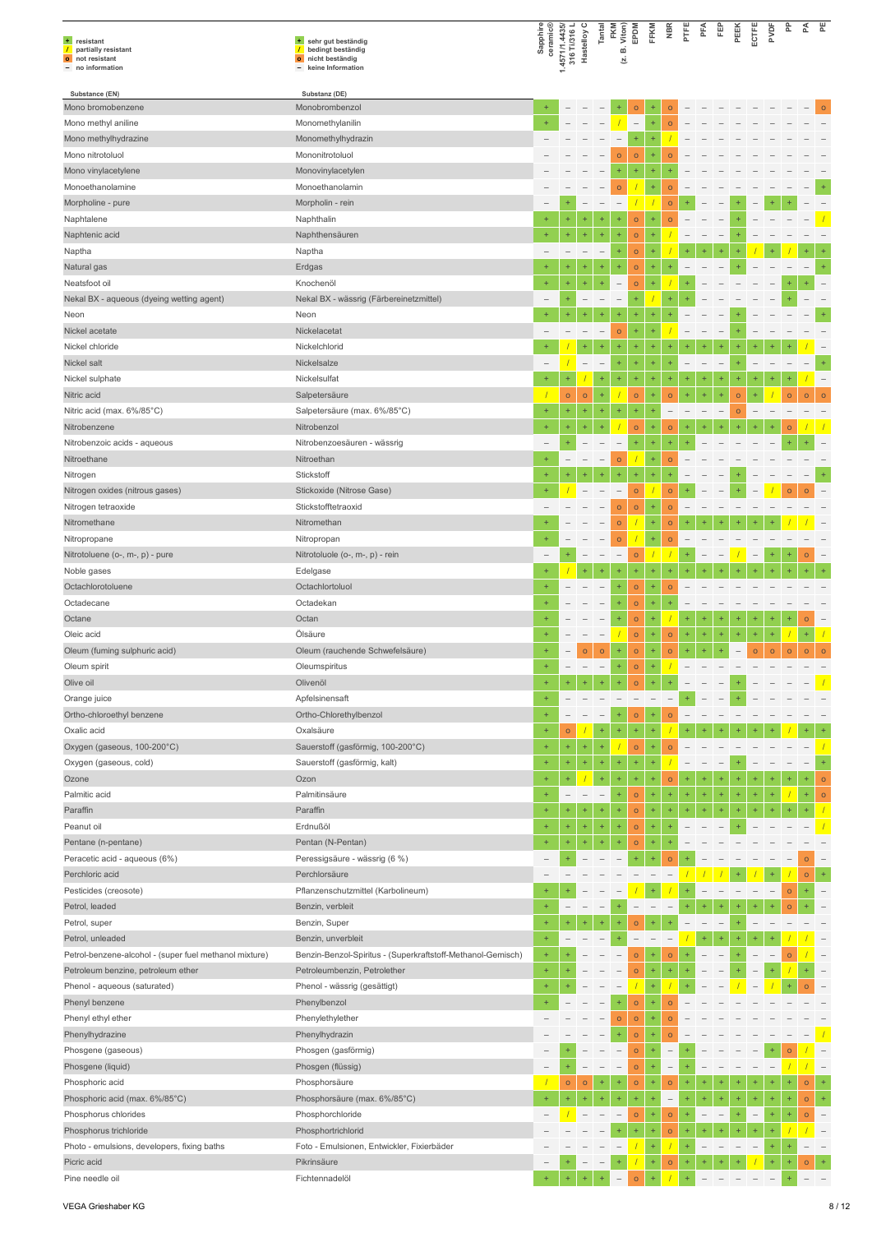| + resistant<br>partially resistant<br>$\sqrt{ }$<br>o not resistant<br>- no information | + sehr gut beständig<br>bedingt beständig<br>$\overline{1}$<br>o nicht beständig<br>- keine Information | Sapphire<br>ceramic®     | 1.4571/1.4435/<br>316 Ti/316 L | Hastelloy C              | Tantal                   | FKM<br>B. Viton)<br>Γ.              | EPDM                     | FFKM                     | <b>NBR</b>               | PTFE                     | PFA                      | Ë         | PEEK                              | ECTFE                    | PVDF      | 운         | 준              | 붙                        |
|-----------------------------------------------------------------------------------------|---------------------------------------------------------------------------------------------------------|--------------------------|--------------------------------|--------------------------|--------------------------|-------------------------------------|--------------------------|--------------------------|--------------------------|--------------------------|--------------------------|-----------|-----------------------------------|--------------------------|-----------|-----------|----------------|--------------------------|
| Substance (EN)                                                                          | Substanz (DE)                                                                                           |                          |                                |                          |                          |                                     |                          |                          |                          |                          |                          |           |                                   |                          |           |           |                |                          |
| Mono bromobenzene                                                                       | Monobrombenzol                                                                                          | $\ddot{}$                |                                |                          |                          |                                     | $\mathsf{o}$             | +                        | $\circ$                  |                          |                          |           |                                   |                          |           |           |                | $\Omega$                 |
| Mono methyl aniline                                                                     | Monomethylanilin                                                                                        | $\ddot{}$                |                                |                          |                          |                                     | $\overline{\phantom{a}}$ | $\ddot{}$                | $\circ$                  |                          |                          |           |                                   |                          |           |           |                |                          |
| Mono methylhydrazine                                                                    | Monomethylhydrazin                                                                                      |                          |                                |                          |                          |                                     | ÷                        | ÷                        |                          |                          |                          |           |                                   |                          |           |           |                |                          |
| Mono nitrotoluol                                                                        | Mononitrotoluol<br>Monovinylacetylen                                                                    |                          |                                |                          |                          | $\circ$<br>٠                        | $\circ$<br>÷             | ÷<br>÷                   | $\Omega$                 |                          |                          |           |                                   |                          |           |           |                |                          |
| Mono vinylacetylene<br>Monoethanolamine                                                 | Monoethanolamin                                                                                         |                          |                                |                          |                          | $\circ$                             |                          | ÷                        | $\circ$                  |                          |                          |           |                                   |                          |           |           |                |                          |
| Morpholine - pure                                                                       | Morpholin - rein                                                                                        |                          |                                |                          |                          | $\overline{\phantom{a}}$            |                          |                          | $\circ$                  |                          |                          |           |                                   |                          |           |           |                |                          |
| Naphtalene                                                                              | Naphthalin                                                                                              | $\ddot{}$                | $\ddot{}$                      | $\ddot{}$                | ÷                        | $\ddot{}$                           | $\mathsf{o}$             | ÷                        | $\circ$                  |                          |                          |           |                                   |                          |           |           |                |                          |
| Naphtenic acid                                                                          | Naphthensäuren                                                                                          | $\ddot{}$                | $\ddot{}$                      | $\ddot{}$                | $\ddot{}$                | $\ddot{}$                           | $\circ$                  | ÷                        |                          |                          |                          |           |                                   |                          |           |           |                |                          |
| Naptha                                                                                  | Naptha                                                                                                  |                          |                                |                          |                          | $\ddot{}$                           | $\circ$                  | ÷                        |                          |                          |                          |           |                                   |                          |           |           |                |                          |
| Natural gas                                                                             | Erdgas                                                                                                  | $\ddot{}$                | ÷                              | ÷                        | ÷                        | $\ddot{}$                           | $\circ$                  | ÷                        |                          |                          |                          |           |                                   |                          |           |           |                | $\ddot{}$                |
| Neatsfoot oil                                                                           | Knochenöl                                                                                               | $\ddot{}$                | ÷                              | $\ddot{}$                | ÷                        | $\overline{\phantom{a}}$            | $\circ$                  | ÷                        |                          |                          |                          |           |                                   |                          |           |           |                |                          |
| Nekal BX - aqueous (dyeing wetting agent)                                               | Nekal BX - wässrig (Färbereinetzmittel)                                                                 |                          | ÷                              |                          |                          | $\overline{\phantom{0}}$            | $+$                      |                          | ÷                        |                          |                          |           |                                   |                          |           |           |                |                          |
| Neon                                                                                    | Neon                                                                                                    | $\ddot{}$                | ÷                              |                          | $\ddot{}$                | $\ddot{}$                           | $\ddot{}$                | ÷                        |                          |                          |                          |           |                                   |                          |           |           |                |                          |
| Nickel acetate                                                                          | Nickelacetat                                                                                            |                          |                                |                          | $\overline{\phantom{0}}$ | $\circ$                             | $\ddot{}$                | ÷                        |                          |                          |                          |           |                                   |                          |           |           |                |                          |
| Nickel chloride                                                                         | Nickelchlorid                                                                                           | $+$                      |                                | $\ddot{}$                | $\ddot{}$                | $\ddot{}$                           | $\ddot{}$                | ÷                        |                          |                          |                          |           |                                   |                          |           |           |                |                          |
| Nickel salt                                                                             | Nickelsalze                                                                                             |                          |                                | $\overline{\phantom{0}}$ | $\overline{\phantom{a}}$ | $\ddot{}$                           | ÷                        | ÷                        | $\ddot{}$                |                          |                          |           |                                   |                          |           |           |                | $\ddot{}$                |
| Nickel sulphate                                                                         | Nickelsulfat                                                                                            |                          | ÷                              |                          | ÷                        | $\ddot{}$                           | ÷                        | ÷                        |                          |                          |                          |           |                                   |                          |           |           |                | $\qquad \qquad -$        |
| Nitric acid                                                                             | Salpetersäure                                                                                           |                          | $\mathsf{o}$                   | $\circ$                  | $\ddot{}$                |                                     | $\circ$                  | $\ddot{}$                | $\circ$                  | $+$                      | $\ddot{}$                | $\ddot{}$ | $\circ$                           |                          |           | $\circ$   | $\circ$        | $\circ$                  |
| Nitric acid (max. 6%/85°C)                                                              | Salpetersäure (max. 6%/85°C)                                                                            | $\ddot{}$                | ÷                              | $\ddot{}$                | $\ddot{}$                | $\ddot{}$                           | $\ddot{}$                | ÷                        |                          |                          |                          |           | $\circ$                           |                          |           |           |                |                          |
| Nitrobenzene                                                                            | Nitrobenzol                                                                                             | $\ddot{}$                | ÷                              | $+$                      | $\ddot{}$                |                                     | $\mathsf{o}$             |                          | $\circ$                  |                          |                          |           |                                   |                          |           | $\circ$   |                |                          |
| Nitrobenzoic acids - aqueous                                                            | Nitrobenzoesäuren - wässrig                                                                             | $\overline{\phantom{0}}$ | ÷                              |                          |                          | $\overline{\phantom{a}}$            | $\ddot{}$                | ÷                        | ÷                        |                          |                          |           |                                   |                          |           |           |                |                          |
| Nitroethane                                                                             | Nitroethan                                                                                              | $\ddot{}$                | $\overline{a}$                 |                          | $\overline{\phantom{0}}$ | $\circ$                             |                          | ÷                        | $\circ$                  |                          |                          |           |                                   |                          |           |           |                |                          |
| Nitrogen                                                                                | Stickstoff                                                                                              | $\ddot{}$                | ÷                              | ÷                        | $\ddot{}$                | $\ddot{}$                           |                          | ÷                        |                          |                          |                          |           |                                   |                          |           |           |                |                          |
| Nitrogen oxides (nitrous gases)<br>Nitrogen tetraoxide                                  | Stickoxide (Nitrose Gase)<br>Stickstofftetraoxid                                                        |                          |                                | $\qquad \qquad -$        | $\overline{\phantom{a}}$ | $\overline{\phantom{m}}$<br>$\circ$ | $\mathsf{o}$             | ÷                        | $\circ$<br>$\circ$       |                          |                          |           |                                   |                          |           | $\Omega$  | $\Omega$       |                          |
| Nitromethane                                                                            | Nitromethan                                                                                             |                          |                                |                          |                          | $\circ$                             | $\circ$                  | ÷                        | $\circ$                  |                          |                          |           |                                   |                          |           |           |                |                          |
| Nitropropane                                                                            | Nitropropan                                                                                             |                          |                                |                          |                          | $\circ$                             |                          | ÷                        | $\circ$                  |                          |                          |           |                                   |                          |           |           |                |                          |
| Nitrotoluene (o-, m-, p) - pure                                                         | Nitrotoluole (o-, m-, p) - rein                                                                         |                          | ÷                              |                          | $\overline{\phantom{0}}$ | $\qquad \qquad -$                   | $\circ$                  |                          |                          |                          |                          |           |                                   | $\overline{\phantom{0}}$ |           |           | $\circ$        |                          |
| Noble gases                                                                             | Edelgase                                                                                                | $\ddot{}$                |                                | $\ddot{}$                | $\ddot{}$                | $\ddot{}$                           | ÷                        | ÷                        | $\ddot{}$                |                          |                          |           |                                   |                          |           |           |                |                          |
| Octachlorotoluene                                                                       | Octachlortoluol                                                                                         | $\ddot{}$                |                                |                          |                          | $\ddot{}$                           | $\mathsf{o}$             | ÷                        | $\circ$                  |                          |                          |           |                                   |                          |           |           |                |                          |
| Octadecane                                                                              | Octadekan                                                                                               |                          |                                |                          |                          | ÷                                   | $\circ$                  | ÷                        |                          |                          |                          |           |                                   |                          |           |           |                |                          |
| Octane                                                                                  | Octan                                                                                                   |                          |                                |                          |                          | $\ddot{}$                           | $\mathsf{o}$             | ÷                        |                          | ÷                        | $\ddot{}$                |           | $\ddot{}$                         | ÷                        | $\ddot{}$ | $\ddot{}$ | $\circ$        | $\overline{\phantom{a}}$ |
| Oleic acid                                                                              | Ölsäure                                                                                                 |                          | $\overline{\phantom{0}}$       |                          | $\overline{\phantom{a}}$ |                                     | $\mathsf{o}$             | ÷                        | $\circ$                  | ÷                        | ÷                        | $\ddot{}$ | $\ddot{}$                         | $\ddot{}$                | $\ddot{}$ |           | $\ddot{}$      |                          |
| Oleum (fuming sulphuric acid)                                                           | Oleum (rauchende Schwefelsäure)                                                                         |                          |                                | $\mathsf{o}$             | $\circ$                  | $^{+}$                              | $\circ$                  | ÷                        | $\circ$                  | ÷                        | $\ddot{}$                |           |                                   | $\circ$                  | $\circ$   | $\circ$   | $\circ$        | $\circ$                  |
| Oleum spirit                                                                            | Oleumspiritus                                                                                           | $\ddot{}$                | $\overline{\phantom{m}}$       | $\qquad \qquad -$        | $\overline{\phantom{a}}$ | $\ddot{}$                           | $\circ$                  | ÷                        |                          | $\overline{\phantom{0}}$ | $\overline{\phantom{0}}$ |           | $\hspace{1.0cm} - \hspace{1.0cm}$ |                          |           |           |                |                          |
| Olive oil                                                                               | Olivenöl                                                                                                |                          |                                |                          |                          |                                     |                          |                          |                          |                          |                          |           |                                   |                          |           |           |                |                          |
| Orange juice                                                                            | Apfelsinensaft                                                                                          | $\ddot{}$                |                                |                          |                          |                                     |                          |                          |                          |                          |                          |           |                                   |                          |           |           |                |                          |
| Ortho-chloroethyl benzene                                                               | Ortho-Chlorethylbenzol                                                                                  | $\ddot{}$                | $\overline{\phantom{0}}$       |                          | $\overline{\phantom{0}}$ | $\ddot{}$                           | $\circ$                  |                          | $\Omega$                 |                          |                          |           |                                   |                          |           |           |                |                          |
| Oxalic acid                                                                             | Oxalsäure                                                                                               | $\ddot{}$                | $\circ$                        |                          | ÷                        | $\ddot{}$                           | $\pm$                    | Ŧ                        |                          |                          |                          |           |                                   |                          |           |           |                |                          |
| Oxygen (gaseous, 100-200°C)                                                             | Sauerstoff (gasförmig, 100-200°C)                                                                       | $\ddot{}$                | ÷                              | $\ddot{}$                | ÷                        |                                     | $\circ$                  | ÷                        | $\circ$                  |                          |                          |           |                                   |                          |           |           |                |                          |
| Oxygen (gaseous, cold)                                                                  | Sauerstoff (gasförmig, kalt)                                                                            | $\ddot{}$                | $^{+}$                         | $\ddot{}$                | ÷                        | $\ddot{}$                           | ÷                        | ÷                        |                          |                          |                          |           |                                   |                          |           |           |                | $\ddot{}$                |
| Ozone                                                                                   | Ozon                                                                                                    | $\ddot{}$                | $\ddot{}$                      |                          | $\ddot{}$                | $\overline{1}$                      |                          |                          | $\circ$                  |                          |                          |           |                                   |                          |           |           |                | $\circ$                  |
| Palmitic acid                                                                           | Palmitinsäure                                                                                           | $\ddot{}$                | $\overline{\phantom{a}}$       |                          | $\overline{\phantom{a}}$ | $\ddot{}$                           | $\circ$                  | ÷,                       | $\ddot{}$                | $\ddot{}$                | $\ddot{}$                | $\ddot{}$ | $\ddot{}$                         | ÷                        |           |           | ÷              | $\circ$                  |
| Paraffin                                                                                | Paraffin<br>Erdnußöl                                                                                    | $\ddot{}$                | ÷                              | $\ddot{}$                | ÷                        | $\ddot{}$<br>$\ddot{}$              | $\circ$                  | ÷<br>÷                   | $\ddot{}$                | $\ddot{}$                | $\ddot{}$                | $\ddot{}$ | $\ddot{}$                         |                          |           |           |                |                          |
| Peanut oil                                                                              | Pentan (N-Pentan)                                                                                       | $\ddot{}$<br>$\ddot{}$   | $\ddot{}$<br>$\ddot{}$         | $\ddot{}$<br>$\pm$       | $\ddot{}$<br>$\ddot{}$   | $\ddot{}$                           | $\circ$                  | ÷                        |                          |                          |                          |           |                                   |                          |           |           |                |                          |
| Pentane (n-pentane)<br>Peracetic acid - aqueous (6%)                                    | Peressigsäure - wässrig (6 %)                                                                           |                          | $\ddot{}$                      |                          | $\overline{\phantom{0}}$ |                                     | $\circ$<br>$+$           | ÷                        | $\circ$                  |                          |                          |           |                                   |                          |           |           | $\overline{O}$ |                          |
| Perchloric acid                                                                         | Perchlorsäure                                                                                           |                          |                                |                          |                          |                                     |                          |                          |                          |                          |                          |           |                                   |                          |           |           | $\circ$        | $\ddot{}$                |
| Pesticides (creosote)                                                                   | Pflanzenschutzmittel (Karbolineum)                                                                      | $\ddot{}$                |                                |                          |                          |                                     |                          |                          |                          |                          |                          |           |                                   |                          |           | $\circ$   |                |                          |
| Petrol, leaded                                                                          | Benzin, verbleit                                                                                        | $\ddot{}$                | $\overline{\phantom{0}}$       |                          |                          |                                     |                          |                          |                          |                          |                          |           |                                   |                          |           | $\circ$   |                |                          |
| Petrol, super                                                                           | Benzin, Super                                                                                           | $\ddot{}$                | $\ddot{}$                      |                          | $+$                      | $\ddot{}$                           | $\circ$                  | ÷.                       |                          |                          |                          |           |                                   |                          |           |           |                |                          |
| Petrol, unleaded                                                                        | Benzin, unverbleit                                                                                      | $\ddot{}$                |                                |                          |                          | ÷                                   |                          | $\overline{\phantom{a}}$ |                          |                          | $\ddot{}$                |           |                                   | ÷                        |           |           |                |                          |
| Petrol-benzene-alcohol - (super fuel methanol mixture)                                  | Benzin-Benzol-Spiritus - (Superkraftstoff-Methanol-Gemisch)                                             | $\ddot{}$                |                                |                          |                          |                                     | $\circ$                  | ÷                        | $\circ$                  |                          |                          |           |                                   |                          |           | $\circ$   |                |                          |
| Petroleum benzine, petroleum ether                                                      | Petroleumbenzin, Petrolether                                                                            | $\ddot{}$                |                                |                          |                          |                                     | $\circ$                  | ÷,                       | $\ddot{}$                |                          |                          |           |                                   |                          |           |           |                |                          |
| Phenol - aqueous (saturated)                                                            | Phenol - wässrig (gesättigt)                                                                            | $\ddot{}$                |                                |                          |                          |                                     |                          | ÷                        |                          |                          |                          |           |                                   |                          |           |           |                |                          |
| Phenyl benzene                                                                          | Phenylbenzol                                                                                            |                          |                                |                          |                          |                                     | $\circ$                  |                          | $\circ$                  |                          |                          |           |                                   |                          |           |           |                |                          |
| Phenyl ethyl ether                                                                      | Phenylethylether                                                                                        |                          |                                |                          |                          | $\circ$                             | $\circ$                  | ÷                        | $\circ$                  |                          |                          |           |                                   |                          |           |           |                |                          |
| Phenylhydrazine                                                                         | Phenylhydrazin                                                                                          |                          |                                |                          |                          | $\ddot{}$                           | $\circ$                  | ÷                        | $\circ$                  |                          |                          |           |                                   |                          |           |           |                |                          |
| Phosgene (gaseous)                                                                      | Phosgen (gasförmig)                                                                                     |                          |                                |                          |                          |                                     | $\circ$                  | ÷                        | $\overline{\phantom{0}}$ |                          |                          |           |                                   |                          |           | $\circ$   |                |                          |
| Phosgene (liquid)                                                                       | Phosgen (flüssig)                                                                                       |                          |                                |                          | $\overline{\phantom{0}}$ | $\overline{\phantom{a}}$            | $\circ$                  | ÷                        | $\qquad \qquad -$        | ÷                        |                          |           |                                   |                          |           |           |                |                          |
| Phosphoric acid                                                                         | Phosphorsäure                                                                                           |                          | $\mathsf{o}$                   | $\mathsf{o}$             | ÷                        | $\ddot{}$                           | $\mathsf{o}$             | ÷                        | $\circ$                  | ÷                        | $\ddot{}$                |           | 4                                 | $\ddot{}$                |           | $\ddot{}$ | $\circ$        | ÷                        |
| Phosphoric acid (max. 6%/85°C)                                                          | Phosphorsäure (max. 6%/85°C)                                                                            | $\ddot{}$                | $\ddot{}$                      | $\ddot{}$                | $\ddot{}$                | $\ddot{}$                           | $+$                      | $\ddot{}$                | $\overline{\phantom{a}}$ | ÷                        | $\ddot{}$                |           | ÷                                 | $\ddot{}$                | $\ddot{}$ | $\ddot{}$ | $\circ$        | $\ddot{}$                |
| Phosphorus chlorides                                                                    | Phosphorchloride                                                                                        | $\overline{\phantom{0}}$ | $\overline{1}$                 | $\overline{\phantom{0}}$ | $\overline{\phantom{0}}$ | $\overline{\phantom{m}}$            | $\circ$                  | ÷                        | $\circ$                  | $\ddot{}$                | $\overline{\phantom{0}}$ |           |                                   | $\overline{\phantom{0}}$ | $+$       | $\ddot{}$ | $\circ$        |                          |
| Phosphorus trichloride                                                                  | Phosphortrichlorid                                                                                      |                          |                                |                          |                          | $\ddot{}$                           | ÷                        | ÷                        | $\circ$                  | $\ddot{}$                | $\ddot{}$                |           |                                   | $\ddot{}$                |           |           |                |                          |
| Photo - emulsions, developers, fixing baths                                             | Foto - Emulsionen, Entwickler, Fixierbäder                                                              |                          |                                |                          |                          |                                     |                          | $\ddot{}$                |                          | ÷                        |                          |           |                                   |                          | $+$       |           |                |                          |
| Picric acid                                                                             | Pikrinsäure                                                                                             |                          |                                |                          |                          | $\ddot{}$                           |                          | ÷,                       | $\circ$                  | $\ddot{}$                |                          |           |                                   |                          |           | $\ddot{}$ | $\circ$        |                          |
| Pine needle oil                                                                         | Fichtennadelöl                                                                                          |                          |                                |                          |                          |                                     | $\circ$                  | ÷                        |                          |                          |                          |           |                                   |                          |           |           |                |                          |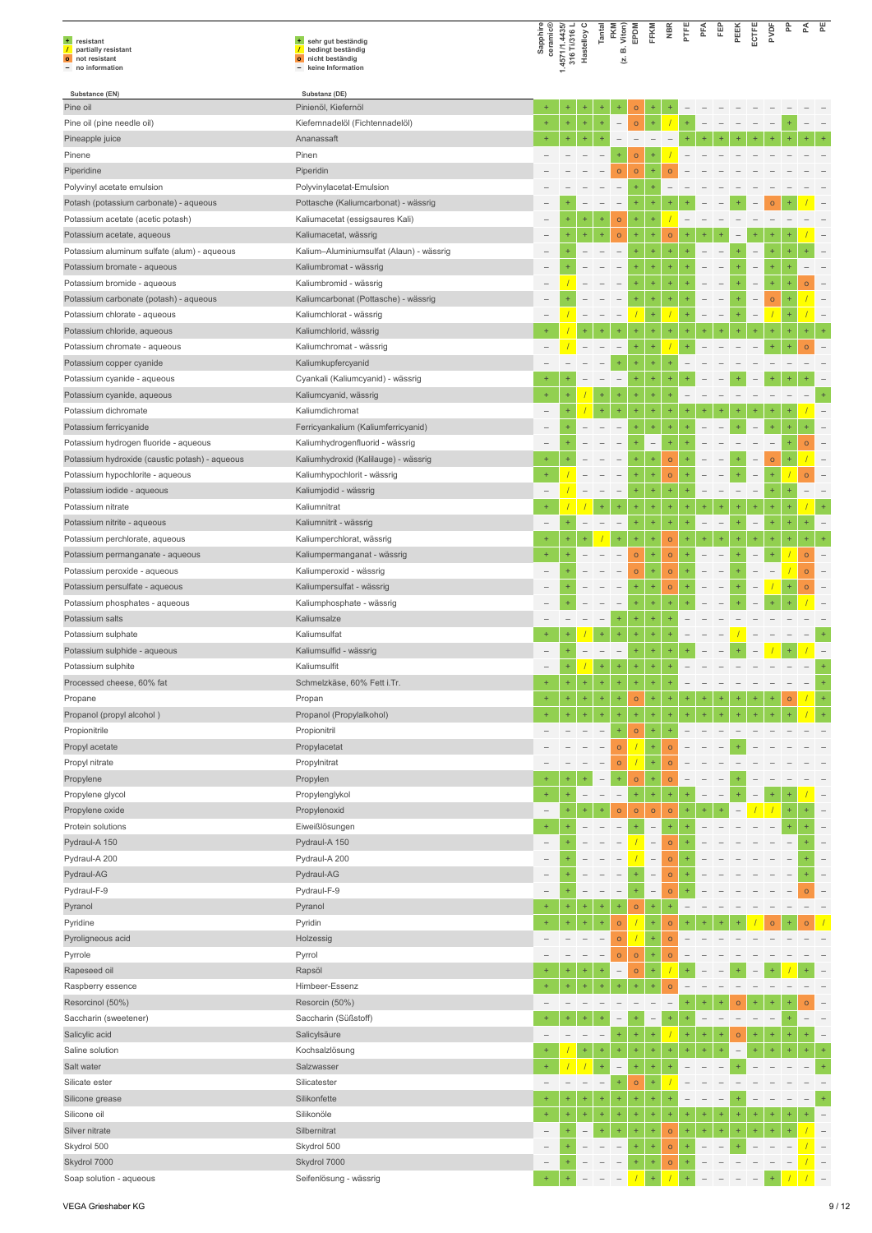| + resistant<br>$\overline{1}$<br>partially resistant<br>o not resistant<br>- no information | + sehr gut beständig<br>$\mathcal{L}$<br>bedingt beständig<br>o nicht beständig<br>keine Information | Sapphire<br>ceramic®     | 1.4571/1.4435/<br>316 Ti/316 L | Hastelloy C              | Tantal                   | FKM<br>Viton)<br>ம்<br>Σ. | EPDM                    | FFKM                                                 | <b>NBR</b>         | PTFE                 | PFA |           | PEEK      | ECTFE                    | ğ         | 운         | 준        | 뿐                        |
|---------------------------------------------------------------------------------------------|------------------------------------------------------------------------------------------------------|--------------------------|--------------------------------|--------------------------|--------------------------|---------------------------|-------------------------|------------------------------------------------------|--------------------|----------------------|-----|-----------|-----------|--------------------------|-----------|-----------|----------|--------------------------|
| Substance (EN)                                                                              | Substanz (DE)                                                                                        |                          |                                |                          |                          |                           |                         |                                                      |                    |                      |     |           |           |                          |           |           |          |                          |
| Pine oil                                                                                    | Pinienöl, Kiefernöl                                                                                  | $\ddot{}$                | +                              |                          |                          |                           | $\mathsf{o}$            | +                                                    |                    |                      |     |           |           |                          |           |           |          |                          |
| Pine oil (pine needle oil)                                                                  | Kiefernnadelöl (Fichtennadelöl)                                                                      | $+$                      | $\ddot{}$                      | $\ddot{}$                | $\ddot{}$                |                           | $\circ$                 | $\ddot{}$                                            |                    | ÷                    |     |           |           |                          |           |           |          |                          |
| Pineapple juice                                                                             | Ananassaft                                                                                           |                          | $\ddot{}$                      | $\ddot{}$                | ÷                        |                           |                         |                                                      |                    |                      |     |           |           |                          |           |           |          |                          |
| Pinene<br>Piperidine                                                                        | Pinen<br>Piperidin                                                                                   |                          |                                |                          |                          | $\circ$                   | $\circ$<br>$\mathsf{o}$ | ÷                                                    | $\circ$            |                      |     |           |           |                          |           |           |          |                          |
| Polyvinyl acetate emulsion                                                                  | Polyvinylacetat-Emulsion                                                                             |                          |                                |                          |                          | $\overline{\phantom{0}}$  | $\ddot{}$               |                                                      |                    |                      |     |           |           |                          |           |           |          |                          |
| Potash (potassium carbonate) - aqueous                                                      | Pottasche (Kaliumcarbonat) - wässrig                                                                 |                          |                                |                          |                          |                           |                         |                                                      |                    |                      |     |           |           |                          | $\circ$   |           |          |                          |
| Potassium acetate (acetic potash)                                                           | Kaliumacetat (essigsaures Kali)                                                                      | -                        | $\ddot{}$                      | $\ddot{}$                | ÷                        | $\circ$                   | $\ddot{}$               | $\ddot{}$                                            |                    |                      |     |           |           |                          |           |           |          |                          |
| Potassium acetate, aqueous                                                                  | Kaliumacetat, wässrig                                                                                |                          |                                | $^{+}$                   | ÷                        | $\circ$                   | ÷                       | 4                                                    | $\circ$            |                      |     |           |           |                          |           |           |          |                          |
| Potassium aluminum sulfate (alum) - aqueous                                                 | Kalium-Aluminiumsulfat (Alaun) - wässrig                                                             |                          |                                |                          |                          |                           |                         | ÷                                                    | $\ddot{}$          |                      |     |           |           |                          |           |           |          |                          |
| Potassium bromate - aqueous                                                                 | Kaliumbromat - wässrig                                                                               |                          |                                |                          |                          |                           | ÷                       | ÷                                                    | ÷                  |                      |     |           |           |                          |           |           |          |                          |
| Potassium bromide - aqueous                                                                 | Kaliumbromid - wässrig                                                                               | $\overline{\phantom{0}}$ |                                |                          |                          |                           | ÷                       | $\ddot{}$                                            | +                  |                      |     |           |           |                          | $\ddot{}$ |           | $\circ$  |                          |
| Potassium carbonate (potash) - aqueous                                                      | Kaliumcarbonat (Pottasche) - wässrig                                                                 |                          |                                |                          |                          |                           |                         | $\ddot{}$                                            | $\ddot{}$          |                      |     |           |           |                          | $\circ$   |           |          |                          |
| Potassium chlorate - aqueous                                                                | Kaliumchlorat - wässrig                                                                              |                          |                                |                          |                          |                           |                         | $\ddot{}$                                            |                    |                      |     |           |           |                          |           |           |          |                          |
| Potassium chloride, aqueous                                                                 | Kaliumchlorid, wässrig                                                                               |                          |                                |                          |                          |                           |                         |                                                      |                    |                      |     |           |           |                          |           |           |          |                          |
| Potassium chromate - aqueous                                                                | Kaliumchromat - wässrig                                                                              |                          |                                |                          |                          |                           | $\ddot{}$               | $\ddot{}$                                            |                    |                      |     |           |           |                          |           |           |          |                          |
| Potassium copper cyanide                                                                    | Kaliumkupfercyanid                                                                                   |                          |                                |                          |                          | ÷                         | $\ddot{}$               | $\ddot{}$                                            | ÷                  |                      |     |           |           |                          |           |           |          |                          |
| Potassium cyanide - aqueous                                                                 | Cyankali (Kaliumcyanid) - wässrig                                                                    |                          |                                |                          |                          | $\overline{\phantom{m}}$  | ÷                       | 4                                                    |                    |                      |     |           |           |                          |           |           |          |                          |
| Potassium cyanide, aqueous                                                                  | Kaliumcyanid, wässrig                                                                                | $+$                      | ÷                              |                          | ÷                        | $\ddot{}$                 | ÷                       | ÷                                                    | $\ddot{}$          |                      |     |           |           |                          |           |           |          | $\ddot{}$                |
| Potassium dichromate                                                                        | Kaliumdichromat                                                                                      |                          |                                |                          | ÷                        | $\ddot{}$                 |                         | 4                                                    |                    |                      |     |           |           |                          |           |           |          |                          |
| Potassium ferricyanide                                                                      | Ferricyankalium (Kaliumferricyanid)                                                                  |                          |                                |                          |                          |                           |                         | ÷                                                    |                    |                      |     |           |           |                          |           |           |          |                          |
| Potassium hydrogen fluoride - aqueous                                                       | Kaliumhydrogenfluorid - wässrig                                                                      | -                        |                                |                          |                          |                           |                         | $\qquad \qquad -$                                    | ÷                  |                      |     |           |           |                          |           |           | $\Omega$ |                          |
| Potassium hydroxide (caustic potash) - aqueous                                              | Kaliumhydroxid (Kalilauge) - wässrig                                                                 | $+$                      |                                |                          |                          |                           | ÷                       | ÷                                                    | $\circ$            |                      |     |           |           |                          | $\circ$   |           |          |                          |
| Potassium hypochlorite - aqueous                                                            | Kaliumhypochlorit - wässrig                                                                          | $\ddot{}$                |                                |                          |                          |                           |                         | ÷                                                    | $\circ$            |                      |     |           |           |                          |           |           | $\circ$  |                          |
| Potassium iodide - aqueous                                                                  | Kaliumjodid - wässrig                                                                                | $\overline{\phantom{0}}$ |                                |                          |                          | $\overline{\phantom{0}}$  | $\ddot{}$               | $\ddot{}$                                            | ÷                  |                      |     |           |           | -                        | $\ddot{}$ |           |          |                          |
| Potassium nitrate                                                                           | Kaliumnitrat                                                                                         |                          |                                |                          |                          |                           | $\ddot{}$               | $\ddot{}$<br>÷                                       | ÷<br>$\ddot{}$     | ÷<br>$\overline{1}$  |     |           | ÷         | $\overline{\phantom{0}}$ | $+$       |           |          |                          |
| Potassium nitrite - aqueous<br>Potassium perchlorate, aqueous                               | Kaliumnitrit - wässrig<br>Kaliumperchlorat, wässrig                                                  | $\ddot{}$                |                                |                          |                          |                           | ÷                       | $\ddot{}$                                            | $\circ$            | ÷                    |     |           | 4         | $\ddot{}$                | $\ddot{}$ |           | 4        |                          |
| Potassium permanganate - aqueous                                                            | Kaliumpermanganat - wässrig                                                                          |                          |                                |                          |                          |                           | $\mathsf{o}$            | ÷                                                    | $\circ$            |                      |     |           |           |                          |           |           | $\circ$  |                          |
| Potassium peroxide - aqueous                                                                | Kaliumperoxid - wässrig                                                                              |                          |                                |                          |                          |                           | $\mathsf{o}$            | ÷                                                    | $\mathsf{o}$       |                      |     |           |           |                          |           |           | $\circ$  |                          |
| Potassium persulfate - aqueous                                                              | Kaliumpersulfat - wässrig                                                                            |                          |                                |                          |                          |                           | $\ddot{}$               | $\ddot{}$                                            | $\circ$            |                      |     |           |           |                          |           |           | $\circ$  |                          |
| Potassium phosphates - aqueous                                                              | Kaliumphosphate - wässrig                                                                            |                          |                                |                          |                          |                           |                         | ÷                                                    |                    |                      |     |           |           |                          |           |           |          |                          |
| Potassium salts                                                                             | Kaliumsalze                                                                                          |                          |                                |                          |                          | ÷                         | $\ddot{}$               | $\ddot{}$                                            | $\ddot{}$          |                      |     |           |           |                          |           |           |          |                          |
| Potassium sulphate                                                                          | Kaliumsulfat                                                                                         | $\ddot{}$                |                                |                          | $\ddot{}$                | $\ddot{}$                 | ÷                       | 4                                                    |                    |                      |     |           |           |                          |           |           |          |                          |
| Potassium sulphide - aqueous                                                                | Kaliumsulfid - wässrig                                                                               |                          |                                |                          |                          |                           |                         |                                                      |                    |                      |     |           |           |                          |           |           |          |                          |
| Potassium sulphite                                                                          | Kaliumsulfit                                                                                         | $\qquad \qquad -$        |                                |                          | $^{+}$                   | $\ddot{}$                 | ÷                       | ÷                                                    |                    |                      |     |           |           |                          |           |           |          | $\ddot{}$                |
| Processed cheese, 60% fat                                                                   | Schmelzkäse, 60% Fett i.Tr.                                                                          | $\ddot{}$                |                                |                          | 4                        |                           |                         |                                                      |                    |                      |     |           |           |                          |           |           |          |                          |
| Propane                                                                                     | Propan                                                                                               | ÷                        | $\pm$                          | $\pm$                    | $\pm$                    | $\ddot{}$                 | $\circ$                 | ÷                                                    | $\ddot{}$          |                      |     |           |           |                          |           | $\circ$   |          |                          |
| Propanol (propyl alcohol)                                                                   | Propanol (Propylalkohol)                                                                             | $\ddot{}$                | $\ddot{}$                      | $\ddot{}$                | $\ddot{}$                | $\ddot{}$                 | $\ddot{}$               | $\ddot{}$                                            | ÷                  |                      |     |           |           |                          |           |           |          |                          |
| Propionitrile                                                                               | Propionitril                                                                                         | $\overline{\phantom{0}}$ |                                |                          |                          |                           | $\circ$                 | $\ddot{}$                                            | $\ddot{}$          |                      |     |           |           |                          |           |           |          |                          |
| Propyl acetate                                                                              | Propylacetat                                                                                         |                          |                                |                          | $\overline{\phantom{a}}$ | $\circ$                   |                         | ÷                                                    | $\overline{O}$     |                      |     |           |           |                          |           |           |          |                          |
| Propyl nitrate                                                                              | Propylnitrat                                                                                         |                          |                                |                          |                          | $\circ$                   |                         | $\ddot{}$                                            | $\overline{O}$     |                      |     |           |           |                          |           |           |          |                          |
| Propylene                                                                                   | Propylen                                                                                             |                          |                                |                          | $\overline{\phantom{a}}$ | $\ddot{}$                 | $\circ$                 | $\ddot{}$                                            | $\circ$            |                      |     |           |           |                          |           |           |          |                          |
| Propylene glycol                                                                            | Propylenglykol                                                                                       | $+$                      | $\ddot{}$                      |                          |                          | $\overline{\phantom{a}}$  | ÷                       | $\ddot{}$                                            | $\ddot{}$          |                      |     |           |           |                          | $\ddot{}$ |           |          |                          |
| Propylene oxide                                                                             | Propylenoxid                                                                                         | $\overline{\phantom{0}}$ | ÷                              |                          |                          | $\circ$                   | $\circ$                 | $\circ$                                              | $\circ$            | ÷                    |     |           |           |                          |           |           |          |                          |
| Protein solutions                                                                           | Eiweißlösungen<br>Pydraul-A 150                                                                      | $+$                      |                                |                          |                          |                           | ÷                       |                                                      | ÷                  |                      |     |           |           |                          |           |           |          |                          |
| Pydraul-A 150<br>Pydraul-A 200                                                              | Pydraul-A 200                                                                                        | $\overline{\phantom{0}}$ |                                |                          |                          | $\overline{\phantom{a}}$  |                         | $\overline{\phantom{a}}$                             | $\circ$            |                      |     |           |           |                          |           |           |          |                          |
| Pydraul-AG                                                                                  | Pydraul-AG                                                                                           | -                        |                                |                          |                          |                           |                         | $\overline{\phantom{0}}$<br>$\overline{\phantom{0}}$ | $\circ$<br>$\circ$ |                      |     |           |           |                          |           |           |          |                          |
| Pydraul-F-9                                                                                 | Pydraul-F-9                                                                                          | $\overline{\phantom{0}}$ |                                | $\qquad \qquad -$        |                          | $\overline{\phantom{a}}$  | $\ddot{}$               | $\overline{\phantom{a}}$                             | $\circ$            |                      |     |           |           |                          |           |           | $\circ$  | $\overline{\phantom{0}}$ |
| Pyranol                                                                                     | Pyranol                                                                                              | $\ddot{}$                | $\ddot{}$                      | $\ddot{}$                | ÷                        | $\ddot{}$                 | $\circ$                 | ÷                                                    | ÷                  |                      |     |           |           |                          |           |           |          |                          |
| Pyridine                                                                                    | Pyridin                                                                                              | $\ddot{}$                | $\ddot{}$                      | $\pm$                    | $\ddot{}$                | $\circ$                   |                         | $\ddot{}$                                            | $\circ$            | ÷                    |     |           |           |                          | $\circ$   |           | $\circ$  |                          |
| Pyroligneous acid                                                                           | Holzessig                                                                                            |                          |                                |                          |                          | $\circ$                   | 7                       | ÷                                                    | $\circ$            |                      |     |           |           |                          |           |           |          |                          |
| Pyrrole                                                                                     | Pyrrol                                                                                               |                          |                                |                          | $\qquad \qquad -$        | $\circ$                   | $\circ$                 | ÷                                                    | $\circ$            |                      |     |           |           |                          |           |           |          |                          |
| Rapeseed oil                                                                                | Rapsöl                                                                                               |                          |                                | $+$                      | $\ddot{}$                | $\overline{\phantom{0}}$  | $\circ$                 | $\ddot{}$                                            |                    |                      |     |           |           |                          |           |           |          |                          |
| Raspberry essence                                                                           | Himbeer-Essenz                                                                                       | $\ddot{}$                | $\ddot{}$                      | $\ddot{}$                | ÷                        |                           | $\ddot{}$               |                                                      | $\overline{O}$     |                      |     |           |           |                          |           |           |          |                          |
| Resorcinol (50%)                                                                            | Resorcin (50%)                                                                                       |                          |                                |                          |                          |                           |                         |                                                      |                    |                      |     |           | $\circ$   |                          |           |           | Ō        |                          |
| Saccharin (sweetener)                                                                       | Saccharin (Süßstoff)                                                                                 | $\ddot{}$                | $\ddot{}$                      | $+$                      | Ŧ                        | $\overline{\phantom{0}}$  |                         | $\overline{\phantom{0}}$                             | $\ddot{}$          | $\ddot{}$            |     |           |           |                          |           |           |          |                          |
| Salicylic acid                                                                              | Salicylsäure                                                                                         |                          |                                | $\overline{\phantom{0}}$ | $\qquad \qquad -$        | $\ddot{}$                 | $\ddot{}$               | ÷                                                    |                    | 4                    | ÷   |           | $\circ$   |                          |           |           |          |                          |
| Saline solution                                                                             | Kochsalzlösung                                                                                       |                          |                                | $\ddot{}$                | $\ddot{}$                | $\ddot{}$                 | $\ddot{}$               | $\ddot{}$                                            | ÷                  | $\ddot{\phantom{1}}$ |     |           |           |                          | ÷         |           | ÷        | $\ddot{}$                |
| Salt water                                                                                  | Salzwasser                                                                                           |                          |                                |                          | ÷                        | $\overline{\phantom{0}}$  | ÷                       | ÷                                                    |                    |                      |     |           |           |                          |           |           |          | $\ddot{}$                |
| Silicate ester                                                                              | Silicatester                                                                                         | $\overline{\phantom{0}}$ | ۰                              | $\overline{\phantom{a}}$ | $\overline{\phantom{0}}$ | $\ddot{}$                 | $\circ$                 | ÷                                                    |                    |                      |     |           |           |                          |           |           |          |                          |
| Silicone grease                                                                             | Silikonfette                                                                                         | $\ddot{}$                | ÷                              | $^{+}$                   | ÷                        | $\ddot{}$                 | $\ddot{}$               | $\ddot{}$                                            |                    |                      |     |           |           |                          |           |           |          | $\ddot{}$                |
| Silicone oil                                                                                | Silikonöle                                                                                           | $+$                      | $\ddot{}$                      | ÷                        | ÷                        | $\ddot{}$                 | ÷                       | ÷                                                    | ÷                  | $\ddot{}$            | $+$ | $\ddot{}$ | $\ddot{}$ | ÷                        | ÷         | $\ddot{}$ |          |                          |
| Silver nitrate                                                                              | Silbernitrat                                                                                         |                          | $\ddot{}$                      | $\overline{\phantom{a}}$ | ÷                        | $\ddot{}$                 | ÷                       | $\ddot{}$                                            | $\circ$            | $\ddot{}$            | ÷   | $\ddot{}$ | $\ddot{}$ | $\ddot{}$                | $\ddot{}$ |           |          |                          |
| Skydrol 500                                                                                 | Skydrol 500                                                                                          |                          |                                |                          |                          |                           | ÷                       | $\ddot{}$                                            | $\circ$            | ٠                    |     |           |           |                          |           |           |          |                          |
| Skydrol 7000                                                                                | Skydrol 7000                                                                                         |                          | ÷                              |                          |                          |                           | ÷                       | $\ddot{}$                                            | $\circ$            |                      |     |           |           |                          |           |           |          |                          |
| Soap solution - aqueous                                                                     | Seifenlösung - wässrig                                                                               |                          |                                |                          |                          |                           |                         |                                                      |                    |                      |     |           |           |                          |           |           |          |                          |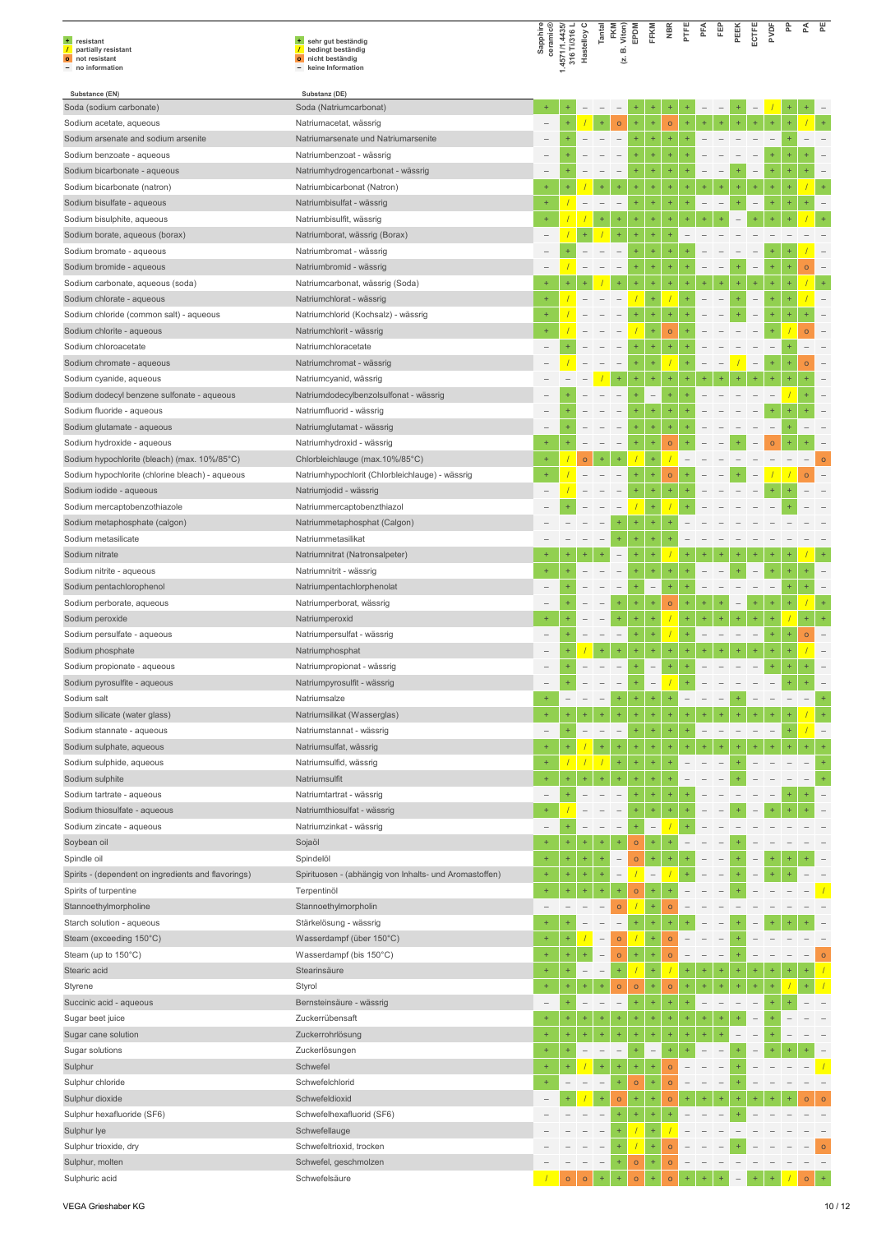|                                                         |                                                        |                      |                                |                   |                                                      | FKM<br>Viton)<br>EPDM    |              | FFKM                     | Йã             |           | £         | 臣         | PEEK      | pypp                                  | 운         | 준              |                                              |
|---------------------------------------------------------|--------------------------------------------------------|----------------------|--------------------------------|-------------------|------------------------------------------------------|--------------------------|--------------|--------------------------|----------------|-----------|-----------|-----------|-----------|---------------------------------------|-----------|----------------|----------------------------------------------|
| + resistant<br>partially resistant<br>$\prime$          | + sehr gut beständig<br>bedingt beständig              | Sapphire<br>ceramic® | 1.4571/1.4435/<br>316 Ti/316 L | Hastelloy         | Tantal                                               | ≃                        |              |                          |                | E         |           |           |           | ECTFE                                 |           |                |                                              |
| o not resistant<br>- no information                     | nicht beständig<br>$\circ$<br>keine Information        |                      |                                |                   |                                                      | 브                        |              |                          |                |           |           |           |           |                                       |           |                |                                              |
|                                                         |                                                        |                      |                                |                   |                                                      |                          |              |                          |                |           |           |           |           |                                       |           |                |                                              |
| Substance (EN)                                          | Substanz (DE)<br>Soda (Natriumcarbonat)                |                      |                                |                   |                                                      |                          |              |                          |                |           |           |           |           |                                       |           |                |                                              |
| Soda (sodium carbonate)<br>Sodium acetate, aqueous      | Natriumacetat, wässrig                                 | $\qquad \qquad -$    |                                |                   |                                                      | $\circ$                  | ÷            | ÷                        | $\circ$        |           |           |           |           |                                       |           |                |                                              |
| Sodium arsenate and sodium arsenite                     | Natriumarsenate und Natriumarsenite                    |                      |                                |                   |                                                      |                          | $\ddot{}$    | ÷                        | ÷              |           |           |           |           |                                       |           |                |                                              |
| Sodium benzoate - aqueous                               | Natriumbenzoat - wässrig                               |                      |                                |                   |                                                      |                          |              | ÷                        | $\ddot{}$      |           |           |           |           |                                       |           |                |                                              |
| Sodium bicarbonate - aqueous                            | Natriumhydrogencarbonat - wässrig                      |                      |                                |                   |                                                      | $\qquad \qquad -$        | ÷            | $\ddot{}$                | ÷              |           |           |           |           | ÷                                     | $\ddot{}$ |                |                                              |
| Sodium bicarbonate (natron)                             | Natriumbicarbonat (Natron)                             |                      |                                |                   |                                                      | ÷                        |              | ÷                        | ÷              |           |           |           |           |                                       | $\ddot{}$ |                | $\ddot{}$                                    |
| Sodium bisulfate - aqueous                              | Natriumbisulfat - wässrig                              | $+$                  |                                |                   |                                                      |                          | $\ddot{}$    | $\ddot{}$                | ÷              | ۰         |           |           |           | $\ddot{}$                             | $\ddot{}$ | ÷              |                                              |
| Sodium bisulphite, aqueous                              | Natriumbisulfit, wässrig                               |                      |                                |                   |                                                      | ÷                        | $\ddot{}$    | $\ddot{}$                | $^{+}$         |           |           |           |           |                                       |           |                |                                              |
| Sodium borate, aqueous (borax)                          | Natriumborat, wässrig (Borax)                          |                      |                                |                   |                                                      |                          |              |                          |                |           |           |           |           |                                       |           |                |                                              |
| Sodium bromate - aqueous                                | Natriumbromat - wässrig                                |                      | $\ddot{}$                      |                   |                                                      |                          | ÷            | ÷                        | $\ddot{}$      |           |           |           |           | ÷                                     |           |                |                                              |
| Sodium bromide - aqueous                                | Natriumbromid - wässrig                                |                      |                                |                   |                                                      | $\qquad \qquad -$        | ÷            | ÷                        | ÷              |           |           |           |           | $\overline{a}$<br>÷                   | $\ddot{}$ | o              |                                              |
| Sodium carbonate, aqueous (soda)                        | Natriumcarbonat, wässrig (Soda)                        | $\ddot{}$            |                                |                   |                                                      | ÷                        |              | ÷                        | ÷              | ÷         |           |           | $\ddot{}$ |                                       |           |                | $\ddot{}$                                    |
| Sodium chlorate - aqueous                               | Natriumchlorat - wässrig                               |                      |                                |                   |                                                      | $\qquad \qquad -$        |              | ÷                        |                |           |           |           | ÷         | $\ddot{}$<br>$\qquad \qquad -$        |           |                | $\overline{\phantom{0}}$                     |
| Sodium chloride (common salt) - aqueous                 | Natriumchlorid (Kochsalz) - wässrig                    | $+$                  |                                |                   |                                                      |                          | $\ddot{}$    | ÷                        | $\ddot{}$      |           |           |           |           | ÷<br>$\overline{\phantom{0}}$         | $\ddot{}$ |                |                                              |
| Sodium chlorite - aqueous                               | Natriumchlorit - wässrig                               |                      |                                |                   |                                                      |                          |              | ÷                        | $\circ$        |           |           |           |           |                                       |           | ö              |                                              |
| Sodium chloroacetate                                    | Natriumchloracetate                                    |                      |                                |                   |                                                      | $\qquad \qquad -$        | ÷            | $\ddot{}$                | ÷              |           |           |           |           |                                       |           |                |                                              |
| Sodium chromate - aqueous                               | Natriumchromat - wässrig                               |                      |                                |                   |                                                      | $\qquad \qquad -$        | +            | $\ddot{}$                |                | ÷         |           |           |           | $\overline{\phantom{0}}$<br>+         | $\ddot{}$ | $\overline{O}$ | $\overline{\phantom{0}}$                     |
| Sodium cyanide, aqueous                                 | Natriumcyanid, wässrig                                 |                      |                                |                   |                                                      | $^{+}$                   | $\ddot{}$    | ÷                        | $\ddot{}$      | $\ddot{}$ |           |           |           | 4                                     |           |                |                                              |
| Sodium dodecyl benzene sulfonate - aqueous              | Natriumdodecylbenzolsulfonat - wässrig                 |                      | $\ddot{}$                      |                   |                                                      | $\qquad \qquad -$        | ÷            | $\overline{\phantom{0}}$ | ÷              |           |           |           |           |                                       |           |                |                                              |
| Sodium fluoride - aqueous                               | Natriumfluorid - wässrig                               |                      |                                |                   |                                                      |                          |              | ÷                        |                |           |           |           |           |                                       |           |                |                                              |
| Sodium glutamate - aqueous                              | Natriumglutamat - wässrig                              |                      | $\ddot{}$                      |                   |                                                      | $\overline{\phantom{m}}$ | $\ddot{}$    | $\ddot{}$                | ÷              |           |           |           |           |                                       |           |                |                                              |
| Sodium hydroxide - aqueous                              | Natriumhydroxid - wässrig                              |                      |                                |                   |                                                      | $\qquad \qquad -$        |              | $\ddot{}$                | $\circ$        |           |           |           |           | $\circ$                               |           |                |                                              |
| Sodium hypochlorite (bleach) (max. 10%/85°C)            | Chlorbleichlauge (max.10%/85°C)                        | $+$                  |                                | $\circ$           |                                                      | $\overline{\phantom{a}}$ | $\ddot{}$    | $\ddot{}$                |                |           |           |           |           |                                       |           |                | $\circ$<br>$\hspace{1.0cm} - \hspace{1.0cm}$ |
| Sodium hypochlorite (chlorine bleach) - aqueous         | Natriumhypochlorit (Chlorbleichlauge) - wässrig        |                      |                                |                   |                                                      |                          | $\ddot{}$    | ÷                        | $\circ$<br>÷   | $\ddot{}$ |           |           |           |                                       |           | $\circ$        |                                              |
| Sodium iodide - aqueous<br>Sodium mercaptobenzothiazole | Natriumjodid - wässrig<br>Natriummercaptobenzthiazol   |                      |                                |                   |                                                      |                          |              |                          |                |           |           |           |           |                                       |           |                |                                              |
| Sodium metaphosphate (calgon)                           | Natriummetaphosphat (Calgon)                           |                      |                                |                   |                                                      | $\ddot{}$                | ÷            | Ŧ                        |                |           |           |           |           |                                       |           |                |                                              |
| Sodium metasilicate                                     | Natriummetasilikat                                     |                      |                                |                   | $\overline{\phantom{a}}$                             | $\ddot{}$                | ÷            | $\ddot{}$                |                |           |           |           |           |                                       |           |                |                                              |
| Sodium nitrate                                          | Natriumnitrat (Natronsalpeter)                         |                      | ÷                              |                   | ÷                                                    | $\overline{\phantom{0}}$ | $\ddot{}$    | ÷                        |                | $\ddot{}$ |           |           |           |                                       |           |                | $\ddot{}$                                    |
| Sodium nitrite - aqueous                                | Natriumnitrit - wässrig                                | $\ddot{}$            |                                |                   |                                                      |                          | ÷            | ÷                        | ÷              |           |           |           |           | ÷                                     |           |                |                                              |
| Sodium pentachlorophenol                                | Natriumpentachlorphenolat                              |                      |                                |                   |                                                      | $\overline{\phantom{0}}$ | ÷            | $\overline{\phantom{0}}$ | $\ddot{}$      | ÷         |           |           |           |                                       | $\ddot{}$ |                |                                              |
| Sodium perborate, aqueous                               | Natriumperborat, wässrig                               |                      |                                |                   |                                                      | $\ddot{}$                | $\ddot{}$    | ÷                        | $\circ$        | ÷         |           |           |           |                                       |           |                |                                              |
| Sodium peroxide                                         | Natriumperoxid                                         |                      |                                |                   |                                                      | $\ddot{}$                | $\ddot{}$    | ÷                        |                | ÷         |           |           |           | ÷                                     |           |                | $\ddot{}$                                    |
| Sodium persulfate - aqueous                             | Natriumpersulfat - wässrig                             |                      |                                |                   |                                                      | $\qquad \qquad -$        |              |                          |                |           |           |           |           |                                       |           | $\overline{O}$ |                                              |
| Sodium phosphate                                        | Natriumphosphat                                        |                      |                                |                   | ÷                                                    | $\pm$                    | $\ddot{}$    | $\ddot{}$                | $\ddot{}$      | ÷         |           | $\ddot{}$ | $\ddot{}$ | $+$<br>$\ddot{}$                      | $+$       |                |                                              |
| Sodium propionate - aqueous                             | Natriumpropionat - wässrig                             |                      | $\ddot{}$                      | $\qquad \qquad -$ | $\overline{\phantom{a}}$                             | $\overline{\phantom{m}}$ | $\ddot{}$    | $\overline{\phantom{a}}$ | $\ddot{}$      | $\ddot{}$ |           |           |           | $\ddot{}$<br>$\overline{\phantom{a}}$ | $\ddot{}$ |                |                                              |
| Sodium pyrosulfite - aqueous                            | Natriumpyrosulfit - wässrig                            |                      |                                |                   |                                                      |                          |              |                          |                |           |           |           |           |                                       |           |                |                                              |
| Sodium salt                                             | Natriumsalze                                           | $\ddot{}$            |                                |                   |                                                      | $^\mathrm{+}$            | ÷            | ÷                        |                |           |           |           |           |                                       |           |                |                                              |
| Sodium silicate (water glass)                           | Natriumsilikat (Wasserglas)                            | $\ddot{}$            |                                |                   |                                                      | $\ddot{}$                | ÷            | ÷                        |                |           |           |           |           |                                       |           |                |                                              |
| Sodium stannate - aqueous                               | Natriumstannat - wässrig                               |                      |                                |                   |                                                      |                          | ÷            | ÷                        |                |           |           |           |           |                                       |           |                |                                              |
| Sodium sulphate, aqueous                                | Natriumsulfat, wässrig                                 | $\ddot{}$            |                                |                   |                                                      |                          | ÷            |                          |                |           |           |           |           |                                       |           |                |                                              |
| Sodium sulphide, aqueous                                | Natriumsulfid, wässrig                                 | $\ddot{}$            |                                |                   |                                                      | $\ddot{}$                | $\ddot{}$    | ÷                        | ÷              |           |           |           |           |                                       |           |                |                                              |
| Sodium sulphite                                         | Natriumsulfit                                          | $\div$               | Ŧ                              |                   |                                                      |                          |              |                          |                |           |           |           |           |                                       |           |                |                                              |
| Sodium tartrate - aqueous                               | Natriumtartrat - wässrig                               |                      |                                |                   |                                                      |                          |              | ÷                        |                |           |           |           |           |                                       |           |                |                                              |
| Sodium thiosulfate - aqueous                            | Natriumthiosulfat - wässrig                            |                      |                                |                   |                                                      |                          |              | ÷                        |                |           |           |           |           |                                       |           |                |                                              |
| Sodium zincate - aqueous                                | Natriumzinkat - wässrig                                |                      | $\ddot{}$                      |                   |                                                      | $\qquad \qquad -$        | $\ddot{}$    | $\overline{\phantom{a}}$ |                |           |           |           |           |                                       |           |                |                                              |
| Soybean oil                                             | Sojaöl                                                 |                      |                                |                   |                                                      | $\ddot{}$                | $\circ$      | $\ddot{}$                |                |           |           |           |           |                                       |           |                |                                              |
| Spindle oil                                             | Spindelöl                                              |                      |                                |                   |                                                      |                          | $\circ$      |                          |                |           |           |           |           |                                       |           |                |                                              |
| Spirits - (dependent on ingredients and flavorings)     | Spirituosen - (abhängig von Inhalts- und Aromastoffen) | $+$                  | ÷                              | $^{+}$            | $\ddot{}$                                            | $\overline{\phantom{0}}$ |              | $\overline{\phantom{0}}$ |                |           |           |           |           |                                       |           |                |                                              |
| Spirits of turpentine                                   | Terpentinöl                                            | $\ddot{}$            | ÷                              | $+$               | $\ddot{}$                                            |                          | $\mathsf{o}$ |                          |                |           |           |           |           |                                       |           |                |                                              |
| Stannoethylmorpholine                                   | Stannoethylmorpholin                                   |                      |                                |                   |                                                      | $\circ$                  |              | ÷                        | $\circ$        |           |           |           |           |                                       |           |                |                                              |
| Starch solution - aqueous                               | Stärkelösung - wässrig                                 |                      |                                |                   |                                                      | $\overline{\phantom{a}}$ | ÷            | $\ddot{}$                |                |           |           |           |           |                                       |           |                |                                              |
| Steam (exceeding 150°C)                                 | Wasserdampf (über 150°C)                               |                      | ÷                              | $\ddot{}$         | $\overline{\phantom{0}}$<br>$\overline{\phantom{a}}$ | $\circ$                  | ÷            | ÷                        | $\circ$        |           |           |           |           |                                       |           |                |                                              |
| Steam (up to 150°C)<br>Stearic acid                     | Wasserdampf (bis 150°C)<br>Stearinsäure                |                      | ÷                              |                   |                                                      | $\circ$<br>$\ddot{}$     |              | ÷                        | $\circ$        | ÷         |           |           |           |                                       |           |                | $\circ$                                      |
| Styrene                                                 | Styrol                                                 | $\ddot{}$            | ÷                              |                   |                                                      | $\circ$                  | $\circ$      | $\ddot{}$                | $\circ$        |           |           |           |           |                                       |           |                |                                              |
| Succinic acid - aqueous                                 | Bernsteinsäure - wässrig                               |                      | ÷                              |                   |                                                      | $\overline{\phantom{0}}$ | $\ddot{}$    | ÷                        | $\ddot{}$      |           |           |           |           |                                       |           |                |                                              |
| Sugar beet juice                                        | Zuckerrübensaft                                        | $+$                  | ÷                              | $\ddot{}$         |                                                      | ÷                        | $\ddot{}$    | $\ddot{}$                | +              | $\ddot{}$ | $\ddot{}$ |           |           |                                       |           |                |                                              |
| Sugar cane solution                                     | Zuckerrohrlösung                                       |                      |                                |                   |                                                      | $\ddot{}$                |              | ÷                        |                |           |           |           |           |                                       |           |                |                                              |
| Sugar solutions                                         | Zuckerlösungen                                         | $+$                  | $\ddot{}$                      |                   |                                                      | $\overline{\phantom{0}}$ | Ŧ            | $\overline{\phantom{a}}$ | $\ddot{}$      |           |           |           |           |                                       |           |                |                                              |
| Sulphur                                                 | Schwefel                                               | $+$                  |                                |                   |                                                      |                          | $\ddot{}$    | ÷                        | $\circ$        |           |           |           |           |                                       |           |                |                                              |
| Sulphur chloride                                        | Schwefelchlorid                                        |                      |                                |                   |                                                      |                          | $\circ$      |                          | $\circ$        |           |           |           |           |                                       |           |                |                                              |
| Sulphur dioxide                                         | Schwefeldioxid                                         |                      |                                |                   | ÷                                                    | $\circ$                  | $\ddot{}$    | $\ddot{}$                | $\circ$        | $\ddot{}$ |           |           |           |                                       |           |                | $\circ$                                      |
| Sulphur hexafluoride (SF6)                              | Schwefelhexafluorid (SF6)                              |                      |                                |                   |                                                      | ÷                        | ÷            | ÷                        |                |           |           |           |           |                                       |           |                |                                              |
| Sulphur lye                                             | Schwefellauge                                          |                      |                                |                   |                                                      | ÷                        |              |                          |                |           |           |           |           |                                       |           |                |                                              |
| Sulphur trioxide, dry                                   | Schwefeltrioxid, trocken                               |                      |                                |                   | $\overline{\phantom{m}}$                             | $\ddot{}$                |              | Ŧ                        | $\circ$        |           |           |           |           |                                       |           |                | $\bullet$                                    |
| Sulphur, molten                                         | Schwefel, geschmolzen                                  |                      |                                |                   |                                                      |                          | $\circ$      | ÷                        | $\circ$        |           |           |           |           |                                       |           |                |                                              |
| Sulphuric acid                                          | Schwefelsäure                                          |                      | $\circ$                        | $\circ$           |                                                      |                          | $\circ$      |                          | $\overline{O}$ |           |           |           |           |                                       |           |                |                                              |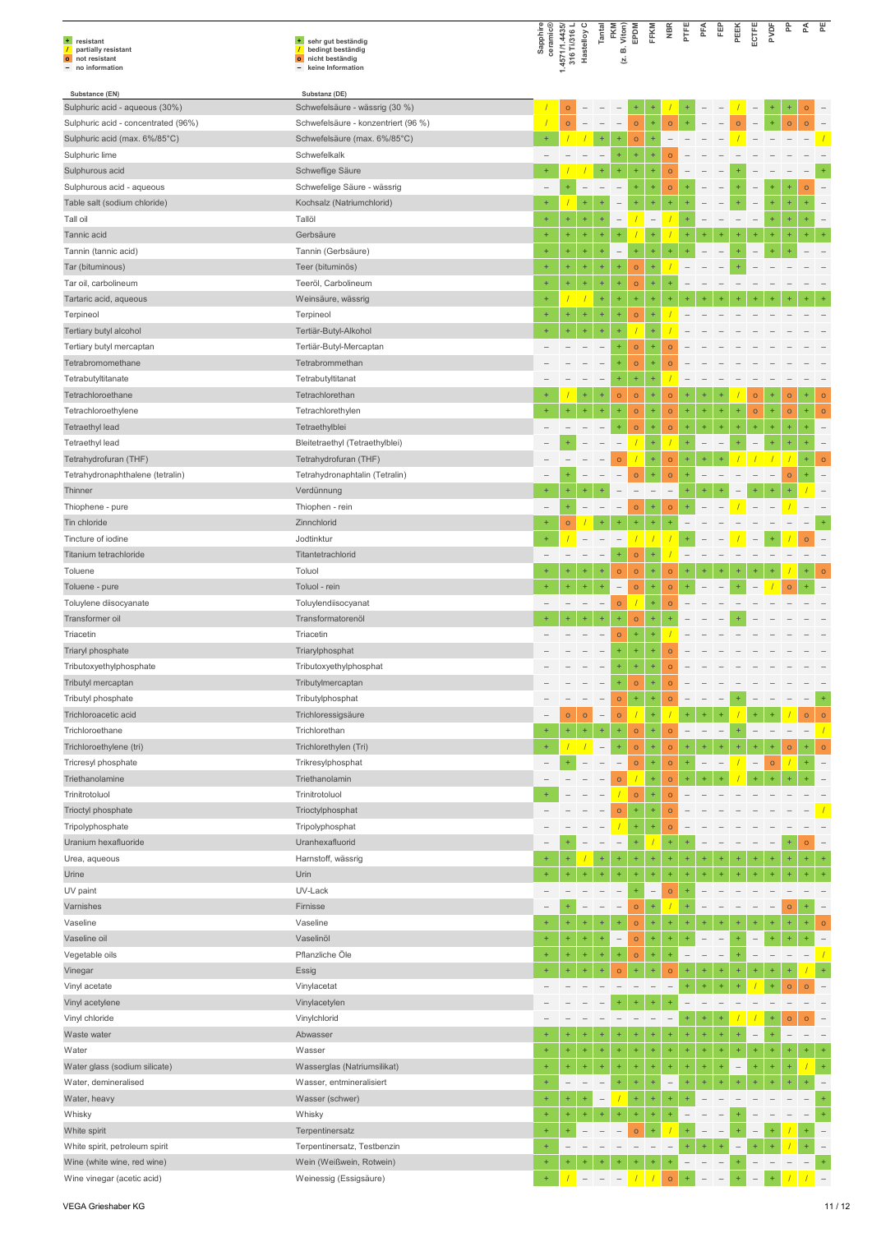| + resistant<br>$\sqrt{ }$<br>partially resistant          | + sehr gut beständig<br>bedingt beständig<br>$\overline{1}$ | Sapphire<br>ceramic®            | 1.4571/1.4435/<br>316 Ti/316 L | Hastelloy C              | Tantal                                | FKM<br>Viton)<br>$\vec{m}$          | EPDM                     | FFKM                     | <b>NBR</b>               | PTFE                     | PFA       | 臣                        | PEEK                     | ECTFE                    | PVDF      | 운         | ₹         | 뿐                        |
|-----------------------------------------------------------|-------------------------------------------------------------|---------------------------------|--------------------------------|--------------------------|---------------------------------------|-------------------------------------|--------------------------|--------------------------|--------------------------|--------------------------|-----------|--------------------------|--------------------------|--------------------------|-----------|-----------|-----------|--------------------------|
| o not resistant<br>- no information                       | o nicht beständig<br>- keine Information                    |                                 |                                |                          |                                       | ΙÄ.                                 |                          |                          |                          |                          |           |                          |                          |                          |           |           |           |                          |
| Substance (EN)                                            | Substanz (DE)                                               |                                 |                                |                          |                                       |                                     |                          |                          |                          |                          |           |                          |                          |                          |           |           |           |                          |
| Sulphuric acid - aqueous (30%)                            | Schwefelsäure - wässrig (30 %)                              |                                 | $\circ$                        |                          |                                       |                                     |                          |                          |                          |                          |           |                          |                          | $\overline{\phantom{0}}$ |           |           | $\circ$   |                          |
| Sulphuric acid - concentrated (96%)                       | Schwefelsäure - konzentriert (96 %)                         |                                 | $\circ$                        |                          |                                       | $\overline{\phantom{a}}$            | $\mathsf{o}$             | ÷                        | $\circ$                  | ÷                        |           |                          | $\circ$                  |                          | Ŧ,        | $\circ$   | $\circ$   |                          |
| Sulphuric acid (max. 6%/85°C)                             | Schwefelsäure (max. 6%/85°C)                                | $\ddot{}$                       |                                |                          | ÷                                     | $\ddot{}$                           | $\mathsf{o}$             | ÷                        |                          |                          |           |                          |                          |                          |           |           |           |                          |
| Sulphuric lime                                            | Schwefelkalk                                                |                                 |                                |                          |                                       | ÷                                   | $\ddot{}$                |                          | $\circ$                  |                          |           |                          |                          |                          |           |           |           | $\ddot{}$                |
| Sulphurous acid                                           | Schweflige Säure                                            | $+$<br>$\overline{\phantom{0}}$ | $\ddot{}$                      | $\overline{\phantom{0}}$ | ÷                                     | $\ddot{}$                           | $\ddot{}$<br>÷           | ÷<br>÷                   | $\circ$                  | ÷                        |           |                          |                          |                          |           |           |           |                          |
| Sulphurous acid - aqueous<br>Table salt (sodium chloride) | Schwefelige Säure - wässrig<br>Kochsalz (Natriumchlorid)    | $\ddot{}$                       |                                |                          |                                       |                                     | ÷                        | ÷                        | $\circ$                  |                          |           |                          |                          |                          |           |           | $\circ$   |                          |
| Tall oil                                                  | Tallöl                                                      | $\ddot{}$                       | $\ddot{}$                      | ÷                        | ÷                                     | $\overline{\phantom{0}}$            |                          | $\overline{\phantom{a}}$ |                          |                          |           |                          |                          |                          |           |           |           |                          |
| Tannic acid                                               | Gerbsäure                                                   | $+$                             | $^{+}$                         | ÷                        | ÷                                     | ÷                                   |                          | ÷                        |                          |                          |           |                          |                          |                          | $\ddot{}$ |           |           |                          |
| Tannin (tannic acid)                                      | Tannin (Gerbsäure)                                          | $\ddot{}$                       | $\ddot{}$                      | ÷                        | ÷                                     | $\overline{a}$                      | $\ddot{}$                | ÷                        |                          |                          |           |                          |                          |                          |           |           |           |                          |
| Tar (bituminous)                                          | Teer (bituminös)                                            | $\ddot{}$                       | $\ddot{}$                      | ÷                        | ÷                                     | $\ddot{}$                           | $\mathsf{o}$             | ÷                        |                          |                          |           |                          |                          |                          |           |           |           |                          |
| Tar oil, carbolineum                                      | Teeröl, Carbolineum                                         | $\ddot{}$                       | $\ddot{}$                      | $^{+}$                   | ÷                                     | $\ddot{}$                           | $\mathsf{o}$             | ÷                        | $\ddot{}$                |                          |           |                          |                          |                          |           |           |           |                          |
| Tartaric acid, aqueous                                    | Weinsäure, wässrig                                          | $+$                             |                                |                          | ÷                                     | $\ddot{}$                           | ÷                        | ÷                        |                          |                          |           |                          |                          |                          |           |           |           |                          |
| Terpineol                                                 | Terpineol                                                   | $\ddot{}$                       | $\ddot{}$                      | ÷                        | ÷                                     | $\ddot{}$                           | $\circ$                  | ÷                        |                          |                          |           |                          |                          |                          |           |           |           |                          |
| Tertiary butyl alcohol                                    | Tertiär-Butyl-Alkohol                                       |                                 | $\ddot{}$                      | $\ddot{}$                | ÷                                     |                                     |                          | Ŧ                        |                          |                          |           |                          |                          |                          |           |           |           |                          |
| Tertiary butyl mercaptan                                  | Tertiär-Butyl-Mercaptan                                     |                                 |                                |                          |                                       | $\ddot{}$                           | $\mathsf{o}$             | $\ddot{}$                | $\circ$                  |                          |           |                          |                          |                          |           |           |           |                          |
| Tetrabromomethane                                         | Tetrabrommethan                                             |                                 |                                |                          |                                       | $^{+}$                              | $\circ$                  | $^{+}$                   | $\circ$                  |                          |           |                          |                          |                          |           |           |           |                          |
| Tetrabutyltitanate                                        | Tetrabutyltitanat                                           |                                 |                                |                          | $\qquad \qquad -$                     | $\ddot{}$                           | $\ddot{}$                | ÷                        |                          |                          |           |                          |                          |                          |           |           |           |                          |
| Tetrachloroethane                                         | Tetrachlorethan                                             |                                 |                                | ÷                        | ÷                                     | $\circ$                             | $\circ$                  | $\pm$                    | $\circ$                  | 4                        |           |                          |                          | $\circ$                  | $\ddot{}$ | $\circ$   | $\ddot{}$ | $\circ$                  |
| Tetrachloroethylene                                       | Tetrachlorethylen                                           | $+$                             | $\ddot{}$                      | $\ddot{}$                | ÷                                     | ÷                                   | $\mathsf{o}$             | ÷                        | $\circ$                  | $\ddot{}$                | $\ddot{}$ | $\ddot{}$                | $\ddot{}$                | $\circ$                  | ÷,        | $\circ$   | $\ddot{}$ | $\circ$                  |
| Tetraethyl lead                                           | Tetraethylblei                                              |                                 |                                |                          |                                       | ÷                                   | $\circ$                  | ÷                        | $\circ$                  | ÷                        | $\ddot{}$ |                          |                          |                          |           |           |           |                          |
| Tetraethyl lead                                           | Bleitetraethyl (Tetraethylblei)                             |                                 | ÷                              |                          |                                       |                                     |                          | ÷                        |                          | ÷                        |           |                          |                          |                          |           |           |           |                          |
| Tetrahydrofuran (THF)                                     | Tetrahydrofuran (THF)                                       |                                 |                                |                          |                                       | $\circ$                             |                          | ÷                        | $\circ$                  | $\ddot{}$                |           |                          |                          |                          |           |           |           | $\circ$                  |
| Tetrahydronaphthalene (tetralin)                          | Tetrahydronaphtalin (Tetralin)                              |                                 |                                |                          |                                       |                                     | $\circ$                  | $\ddot{}$                | $\circ$                  | ÷                        |           |                          |                          |                          |           | $\circ$   | ÷         |                          |
| Thinner                                                   | Verdünnung                                                  | $\ddot{}$                       | $^{+}$                         |                          |                                       |                                     | $\overline{\phantom{a}}$ | $\overline{\phantom{a}}$ | $\overline{\phantom{0}}$ |                          |           |                          |                          |                          |           |           |           |                          |
| Thiophene - pure                                          | Thiophen - rein                                             | $\overline{\phantom{0}}$        | $\ddot{}$                      |                          |                                       |                                     | $\circ$                  | $^{+}$                   | $\circ$                  | ÷                        |           |                          |                          |                          |           |           |           |                          |
| Tin chloride                                              | Zinnchlorid                                                 | $+$                             | $\circ$                        |                          |                                       |                                     |                          | ÷                        | ÷                        |                          |           |                          |                          |                          |           |           |           | $\ddot{}$                |
| Tincture of iodine                                        | Jodtinktur                                                  |                                 |                                |                          |                                       |                                     | $\prime$                 | 7                        |                          |                          |           |                          |                          |                          |           |           | $\circ$   |                          |
| Titanium tetrachloride                                    | Titantetrachlorid                                           |                                 |                                |                          |                                       | $\ddot{}$                           | $\circ$                  | ÷                        |                          |                          |           |                          |                          |                          |           |           |           |                          |
| Toluene                                                   | Toluol                                                      | $+$<br>$\ddot{}$                | $\ddot{}$                      | ÷                        | $\pm$                                 | $\circ$                             | $\circ$                  | $^{\rm +}$               | $\circ$                  | 4                        |           |                          |                          |                          |           |           |           | $\circ$                  |
| Toluene - pure                                            | Toluol - rein                                               |                                 | $\ddot{}$                      | $\ddot{}$                | $\ddot{}$<br>$\overline{\phantom{m}}$ | $\overline{\phantom{0}}$<br>$\circ$ | $\circ$                  | $^{+}$<br>÷              | $\circ$<br>$\circ$       |                          |           |                          |                          |                          |           | $\circ$   |           |                          |
| Toluylene diisocyanate<br>Transformer oil                 | Toluylendiisocyanat<br>Transformatorenöl                    |                                 |                                |                          | ÷                                     | ÷                                   | $\circ$                  | ÷                        |                          |                          |           |                          |                          |                          |           |           |           |                          |
| Triacetin                                                 | Triacetin                                                   |                                 |                                |                          |                                       | $\circ$                             | ÷                        |                          |                          |                          |           |                          |                          |                          |           |           |           |                          |
| Triaryl phosphate                                         | Triarylphosphat                                             |                                 |                                |                          |                                       | $\ddot{}$                           | ÷                        |                          | $\circ$                  |                          |           |                          |                          |                          |           |           |           |                          |
| Tributoxyethylphosphate                                   | Tributoxyethylphosphat                                      |                                 |                                |                          | $\overline{\phantom{m}}$              | $\ddot{}$                           | $\ddot{}$                | ÷                        | $\Omega$                 |                          |           |                          |                          |                          |           |           |           |                          |
| Tributyl mercaptan                                        | Tributylmercaptan                                           |                                 |                                |                          |                                       | ÷                                   | $\circ$                  | ÷                        | $\circ$                  |                          |           |                          |                          |                          |           |           |           |                          |
| Tributyl phosphate                                        | Tributylphosphat                                            |                                 |                                |                          | $\overline{\phantom{a}}$              | $\circ$                             | $\ddot{}$                | $\pm$                    | $\circ$                  | ÷                        |           | $\overline{\phantom{a}}$ | $\ddot{}$                |                          |           |           |           | $\ddot{}$                |
| Trichloroacetic acid                                      | Trichloressigsäure                                          |                                 | $\circ$                        | $\circ$                  | $\overline{\phantom{a}}$              | $\circ$                             | $\overline{1}$           | ÷                        |                          |                          |           | $\ddot{}$                |                          |                          | $\ddot{}$ |           | $\circ$   | $\circ$                  |
| Trichloroethane                                           | Trichlorethan                                               | $\ddot{}$                       | $\ddot{}$                      | $\pm$                    | ÷                                     | $\ddot{}$                           | $\circ$                  | $\ddot{}$                | $\circ$                  | $\overline{\phantom{a}}$ |           | $\overline{\phantom{0}}$ |                          |                          |           |           |           |                          |
| Trichloroethylene (tri)                                   | Trichlorethylen (Tri)                                       | $\ddot{}$                       |                                | $\sqrt{ }$               | $\qquad \qquad -$                     | $\ddot{}$                           | $\circ$                  | $\pm$                    | $\circ$                  | ÷                        |           |                          |                          |                          | $+$       | $\circ$   | ÷         | $\circ$                  |
| Tricresyl phosphate                                       | Trikresylphosphat                                           |                                 | $\ddot{}$                      |                          |                                       |                                     | $\circ$                  | ÷                        | $\circ$                  | ÷                        |           |                          |                          | $\qquad \qquad -$        | $\circ$   |           | $\ddot{}$ | ÷                        |
| Triethanolamine                                           | Triethanolamin                                              |                                 |                                |                          |                                       | $\circ$                             |                          | ÷                        | $\circ$                  | ÷                        |           |                          |                          |                          |           |           |           |                          |
| Trinitrotoluol                                            | Trinitrotoluol                                              |                                 |                                |                          | $\overline{\phantom{a}}$              |                                     | $\circ$                  | $\ddot{}$                | $\circ$                  |                          |           |                          |                          |                          |           |           |           |                          |
| Trioctyl phosphate                                        | Trioctylphosphat                                            |                                 |                                |                          |                                       | $\circ$                             | ÷                        | ÷                        | $\circ$                  |                          |           |                          |                          |                          |           |           |           |                          |
| Tripolyphosphate                                          | Tripolyphosphat                                             |                                 |                                |                          |                                       |                                     | $\ddot{}$                | ÷                        | $\circ$                  |                          |           |                          |                          |                          |           |           |           |                          |
| Uranium hexafluoride                                      | Uranhexafluorid                                             |                                 |                                |                          | $\overline{\phantom{a}}$              | $\overline{\phantom{a}}$            | ÷                        |                          | $\ddot{}$                | ÷                        |           |                          |                          |                          |           |           | $\circ$   |                          |
| Urea, aqueous                                             | Harnstoff, wässrig                                          | $\ddot{}$                       | $\ddot{}$                      |                          | ÷                                     | ÷                                   | ÷                        | ÷                        | $\ddot{}$                | ÷                        | $\ddot{}$ |                          | ÷                        |                          | ÷         |           | ÷         | $\ddot{}$                |
| Urine                                                     | Urin                                                        | $+$                             | $\ddot{}$                      | $\ddot{}$                | $\ddot{}$                             |                                     |                          | $\ddot{}$                | $+$                      | ÷                        |           |                          |                          |                          |           |           |           |                          |
| UV paint                                                  | UV-Lack                                                     | $\overline{\phantom{0}}$        | $\overline{\phantom{0}}$       |                          |                                       |                                     | ÷                        | $\qquad \qquad -$        | $\circ$                  |                          |           |                          |                          |                          |           |           |           |                          |
| Varnishes                                                 | Firnisse                                                    | $\overline{\phantom{0}}$        | $\ddot{}$                      | $\overline{\phantom{0}}$ | $\overline{\phantom{a}}$              | $\qquad \qquad -$                   | $\circ$                  | ÷                        |                          |                          |           |                          |                          |                          |           | $\circ$   |           |                          |
| Vaseline                                                  | Vaseline                                                    | $\ddot{}$                       | $\ddot{}$                      | $+$                      | ÷                                     | $\ddot{}$                           | $\circ$                  | $\ddot{}$                | $\ddot{}$                | ÷                        |           |                          | $\ddot{}$                |                          | $\ddot{}$ | $\ddot{}$ | ÷         | $\circ$                  |
| Vaseline oil                                              | Vaselinöl                                                   | $\ddot{}$                       | $\ddot{}$<br>$\ddot{}$         | $\ddot{}$                | $\ddot{}$                             | $\qquad \qquad -$<br>$\ddot{}$      | $\circ$                  | $^{+}$<br>÷              | $\ddot{}$<br>$+$         | ÷                        |           |                          |                          |                          | $\ddot{}$ | $\ddot{}$ | $\ddot{}$ | ÷                        |
| Vegetable oils                                            | Pflanzliche Öle<br>Essig                                    | $\ddot{}$<br>$\div$             | $\ddot{}$                      | $\ddot{}$<br>$+$         | ÷<br>$\ddot{}$                        | $\circ$                             | $\circ$<br>$\ddot{}$     |                          |                          | ÷                        |           |                          |                          | $+$                      | $\ddot{}$ |           |           | $\ddot{}$                |
| Vinegar<br>Vinyl acetate                                  | Vinylacetat                                                 |                                 |                                |                          |                                       |                                     |                          |                          | $\circ$                  | ÷                        | ÷         |                          |                          |                          |           | $\Omega$  | O         |                          |
| Vinyl acetylene                                           | Vinylacetylen                                               |                                 |                                |                          |                                       |                                     |                          |                          |                          |                          |           |                          |                          |                          |           |           |           |                          |
| Vinyl chloride                                            | Vinylchlorid                                                |                                 |                                |                          |                                       |                                     |                          |                          |                          | ÷                        | ÷         |                          |                          |                          |           | $\circ$   | $\Omega$  |                          |
| Waste water                                               | Abwasser                                                    |                                 |                                |                          | ÷                                     |                                     |                          |                          |                          | $\ddot{}$                | $\ddot{}$ | $\ddot{}$                | $\ddot{}$                | $\overline{\phantom{0}}$ |           |           |           |                          |
| Water                                                     | Wasser                                                      | $\ddot{}$                       | $\ddot{}$                      | $\pm$                    | ÷                                     | $\ddot{}$                           | ÷                        | ÷                        | $\ddot{}$                | Ŧ                        | $\ddot{}$ | $\ddot{}$                | $\ddot{}$                |                          |           |           |           |                          |
| Water glass (sodium silicate)                             | Wasserglas (Natriumsilikat)                                 | $\ddot{}$                       | $\ddot{}$                      | $\ddot{}$                | ÷                                     | $\ddot{}$                           | ÷                        | ÷                        | $\ddot{}$                | $\ddot{}$                | $\ddot{}$ | $\ddot{}$                | $\overline{\phantom{a}}$ | $\ddot{}$                | ÷         |           |           |                          |
| Water, demineralised                                      | Wasser, entmineralisiert                                    | $\ddot{}$                       | $\overline{\phantom{a}}$       |                          | $\overline{\phantom{0}}$              | $\ddot{}$                           | ÷                        | ÷                        | $\overline{\phantom{0}}$ | ÷                        | $\ddot{}$ | $\ddot{}$                |                          |                          | $\ddot{}$ |           |           |                          |
| Water, heavy                                              | Wasser (schwer)                                             | $\ddot{}$                       | $\ddot{}$                      | $\ddot{}$                | $\qquad \qquad -$                     |                                     | ÷                        | ÷                        | $\ddot{}$                | ÷                        |           |                          |                          |                          |           |           |           | $\ddot{}$                |
| Whisky                                                    | Whisky                                                      | $\ddot{}$                       | $\ddot{}$                      | $\pm$                    | ÷,                                    | $\ddot{}$                           | ÷                        | ÷                        |                          |                          |           |                          |                          |                          |           |           |           | ÷                        |
| White spirit                                              | Terpentinersatz                                             | $+$                             | $\ddot{}$                      |                          | $\overline{\phantom{0}}$              |                                     | $\circ$                  | ÷                        |                          |                          |           |                          |                          |                          |           |           |           |                          |
| White spirit, petroleum spirit                            | Terpentinersatz, Testbenzin                                 | $+$                             |                                |                          |                                       |                                     |                          |                          |                          |                          |           |                          |                          |                          |           |           |           |                          |
| Wine (white wine, red wine)                               | Wein (Weißwein, Rotwein)                                    | $\ddot{}$                       | $\ddot{}$                      |                          | ÷                                     | ÷                                   | ÷                        | ÷                        |                          |                          |           |                          | ÷                        |                          |           |           |           | $\pm$                    |
| Wine vinegar (acetic acid)                                | Weinessig (Essigsäure)                                      | $+$                             |                                | $\overline{\phantom{0}}$ |                                       |                                     |                          |                          | $\circ$                  |                          |           |                          |                          |                          |           |           |           | $\overline{\phantom{a}}$ |